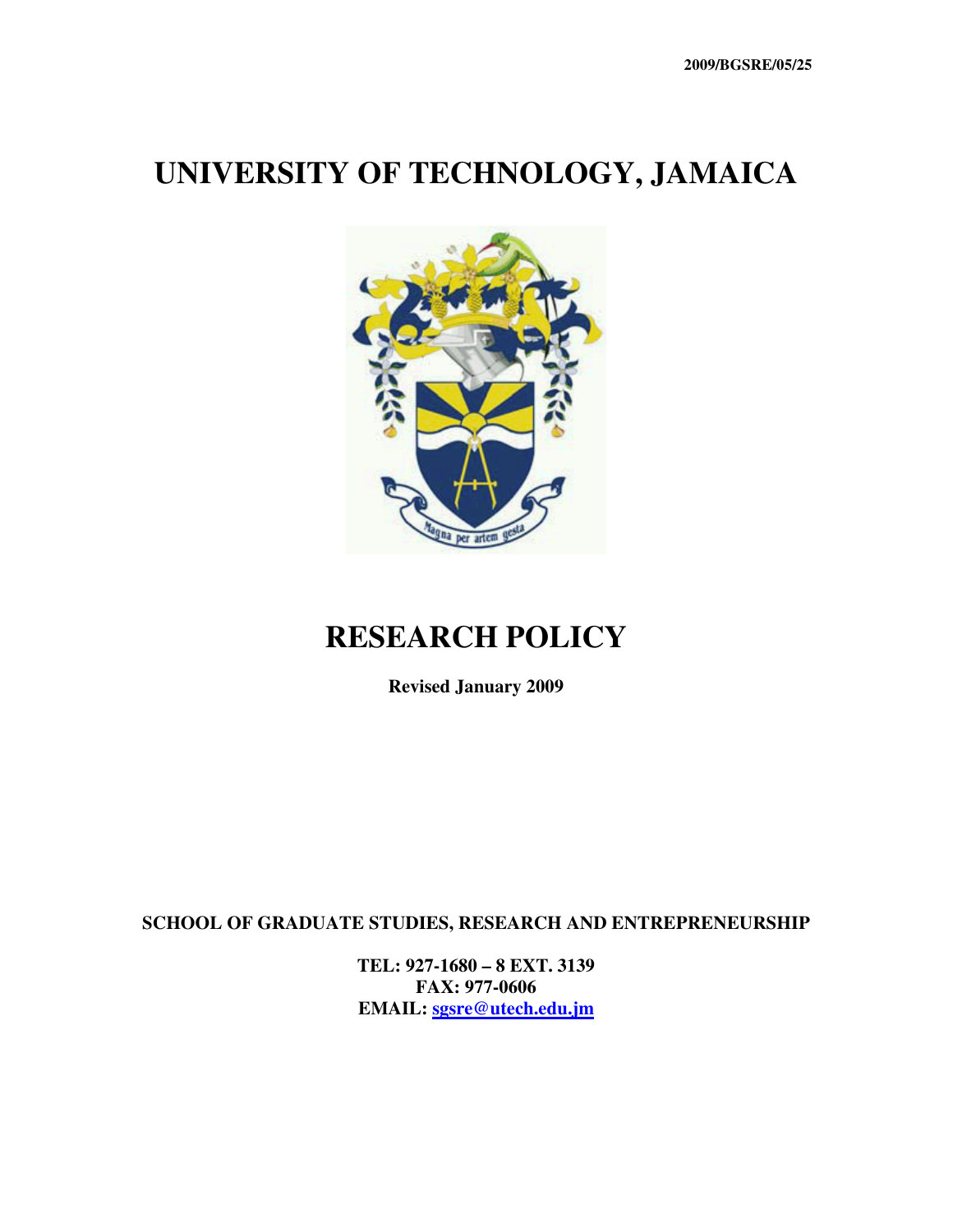# **UNIVERSITY OF TECHNOLOGY, JAMAICA**



# **RESEARCH POLICY**

**Revised January 2009** 

**SCHOOL OF GRADUATE STUDIES, RESEARCH AND ENTREPRENEURSHIP** 

**TEL: 927-1680 – 8 EXT. 3139 FAX: 977-0606 EMAIL: sgsre@utech.edu.jm**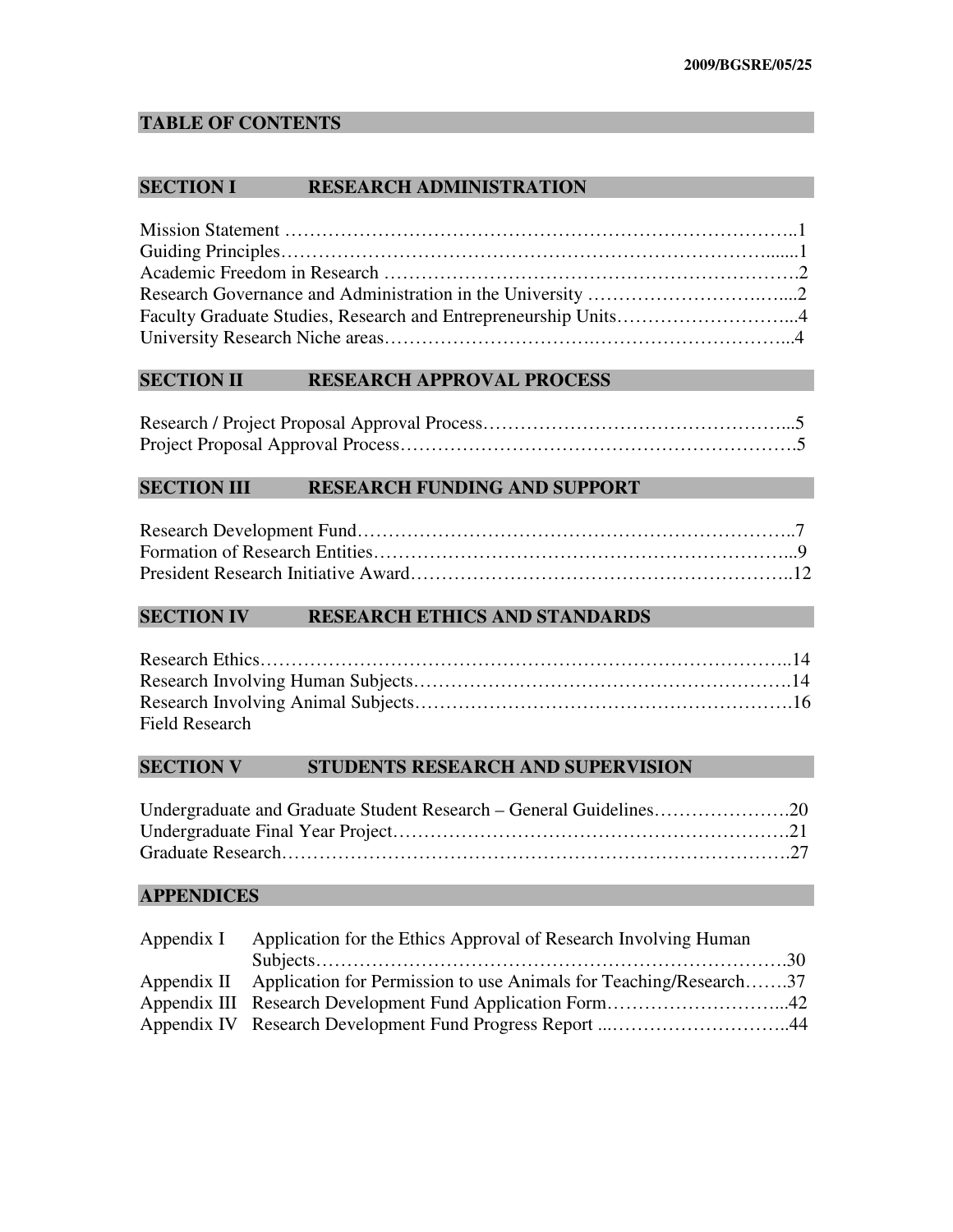# **TABLE OF CONTENTS**

#### **SECTION I RESEARCH ADMINISTRATION**

## **SECTION II RESEARCH APPROVAL PROCESS**

#### **SECTION III RESEARCH FUNDING AND SUPPORT**

# **SECTION IV RESEARCH ETHICS AND STANDARDS**

| <b>Field Research</b> |  |
|-----------------------|--|

#### **SECTION V STUDENTS RESEARCH AND SUPERVISION**

| Undergraduate and Graduate Student Research – General Guidelines20 |  |
|--------------------------------------------------------------------|--|
|                                                                    |  |
|                                                                    |  |

### **APPENDICES**

| Appendix I Application for the Ethics Approval of Research Involving Human    |  |
|-------------------------------------------------------------------------------|--|
|                                                                               |  |
| Appendix II Application for Permission to use Animals for Teaching/Research37 |  |
|                                                                               |  |
|                                                                               |  |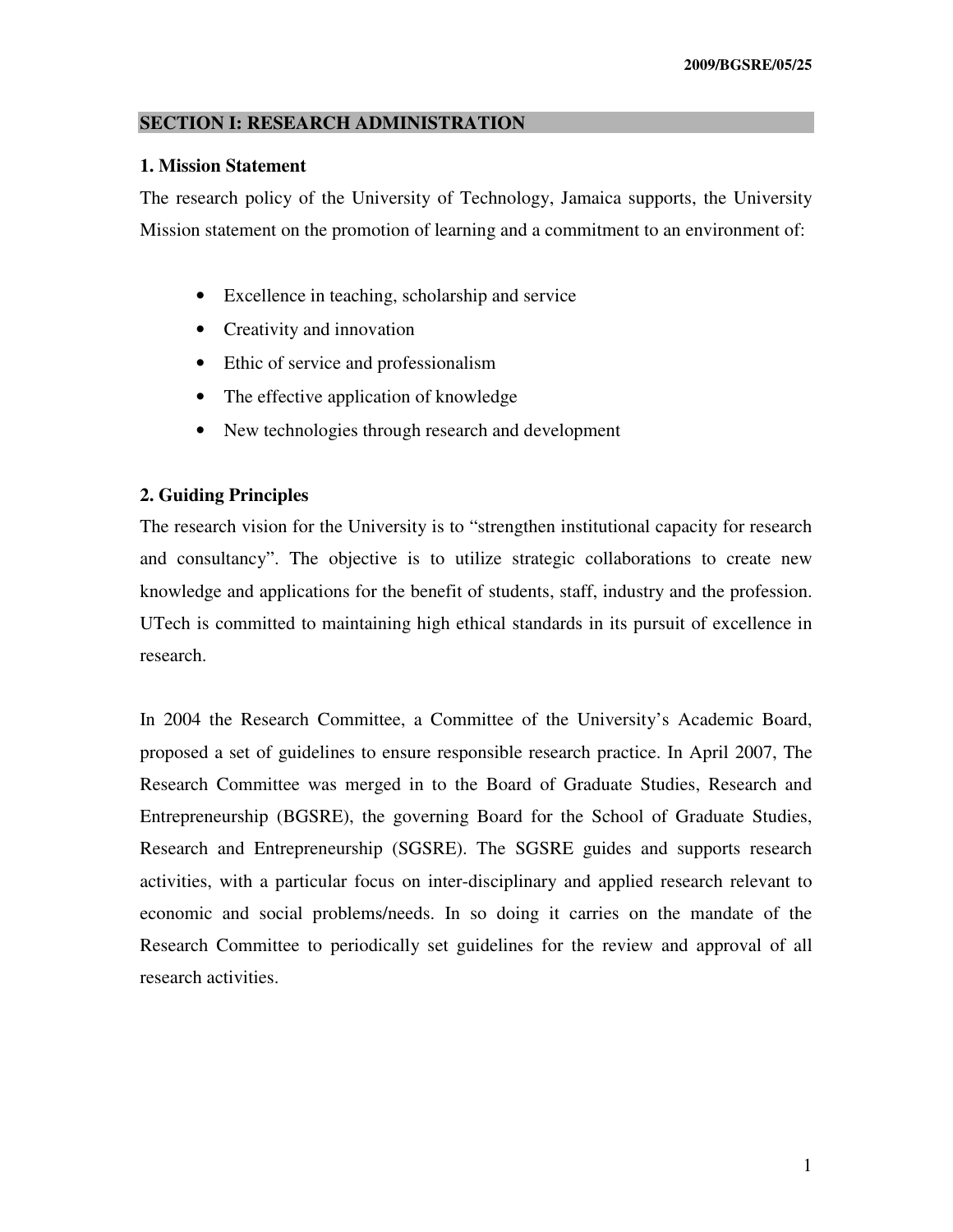#### **SECTION I: RESEARCH ADMINISTRATION**

#### **1. Mission Statement**

The research policy of the University of Technology, Jamaica supports, the University Mission statement on the promotion of learning and a commitment to an environment of:

- Excellence in teaching, scholarship and service
- Creativity and innovation
- Ethic of service and professionalism
- The effective application of knowledge
- New technologies through research and development

#### **2. Guiding Principles**

The research vision for the University is to "strengthen institutional capacity for research and consultancy". The objective is to utilize strategic collaborations to create new knowledge and applications for the benefit of students, staff, industry and the profession. UTech is committed to maintaining high ethical standards in its pursuit of excellence in research.

In 2004 the Research Committee, a Committee of the University's Academic Board, proposed a set of guidelines to ensure responsible research practice. In April 2007, The Research Committee was merged in to the Board of Graduate Studies, Research and Entrepreneurship (BGSRE), the governing Board for the School of Graduate Studies, Research and Entrepreneurship (SGSRE). The SGSRE guides and supports research activities, with a particular focus on inter-disciplinary and applied research relevant to economic and social problems/needs. In so doing it carries on the mandate of the Research Committee to periodically set guidelines for the review and approval of all research activities.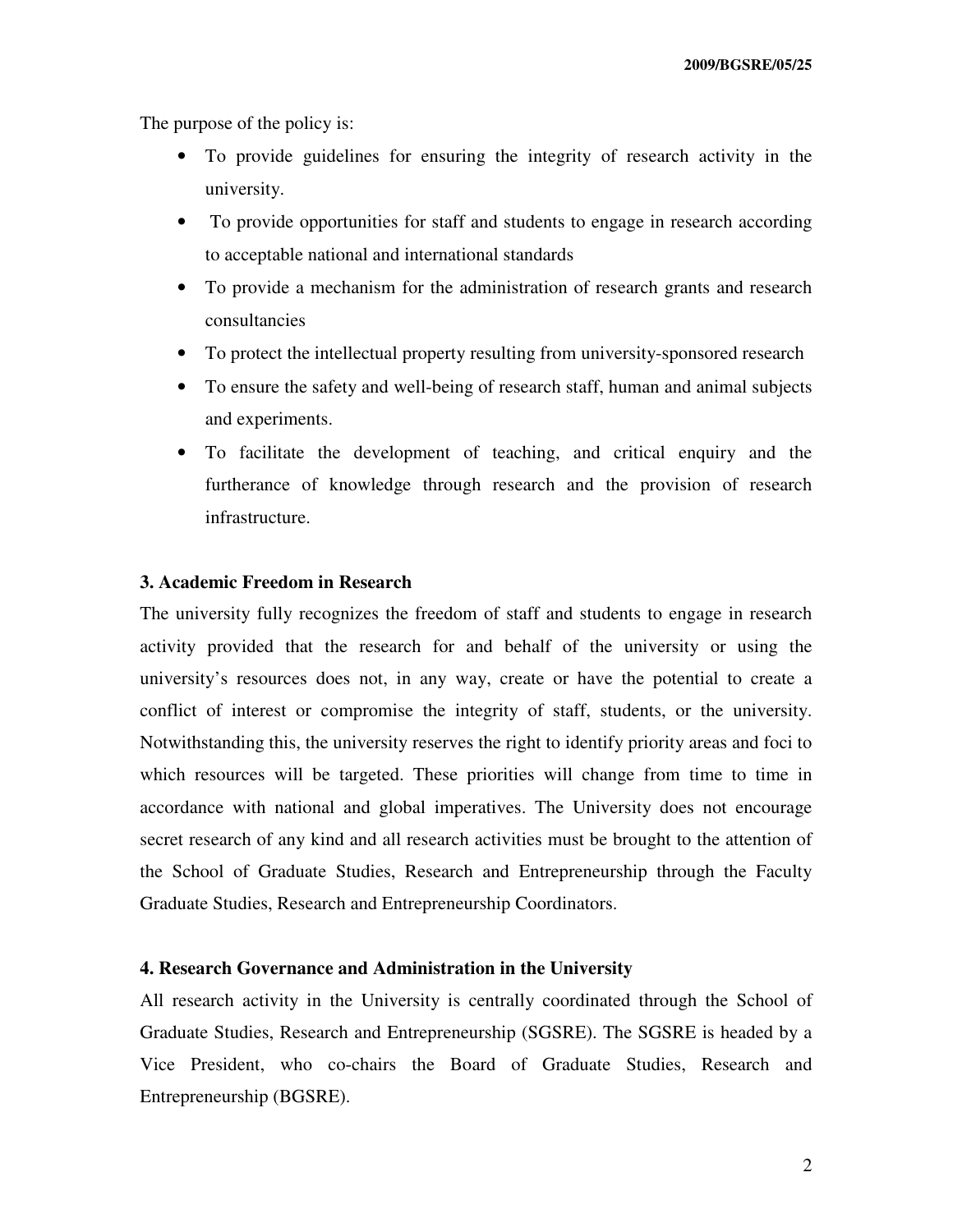The purpose of the policy is:

- To provide guidelines for ensuring the integrity of research activity in the university.
- To provide opportunities for staff and students to engage in research according to acceptable national and international standards
- To provide a mechanism for the administration of research grants and research consultancies
- To protect the intellectual property resulting from university-sponsored research
- To ensure the safety and well-being of research staff, human and animal subjects and experiments.
- To facilitate the development of teaching, and critical enquiry and the furtherance of knowledge through research and the provision of research infrastructure.

### **3. Academic Freedom in Research**

The university fully recognizes the freedom of staff and students to engage in research activity provided that the research for and behalf of the university or using the university's resources does not, in any way, create or have the potential to create a conflict of interest or compromise the integrity of staff, students, or the university. Notwithstanding this, the university reserves the right to identify priority areas and foci to which resources will be targeted. These priorities will change from time to time in accordance with national and global imperatives. The University does not encourage secret research of any kind and all research activities must be brought to the attention of the School of Graduate Studies, Research and Entrepreneurship through the Faculty Graduate Studies, Research and Entrepreneurship Coordinators.

#### **4. Research Governance and Administration in the University**

All research activity in the University is centrally coordinated through the School of Graduate Studies, Research and Entrepreneurship (SGSRE). The SGSRE is headed by a Vice President, who co-chairs the Board of Graduate Studies, Research and Entrepreneurship (BGSRE).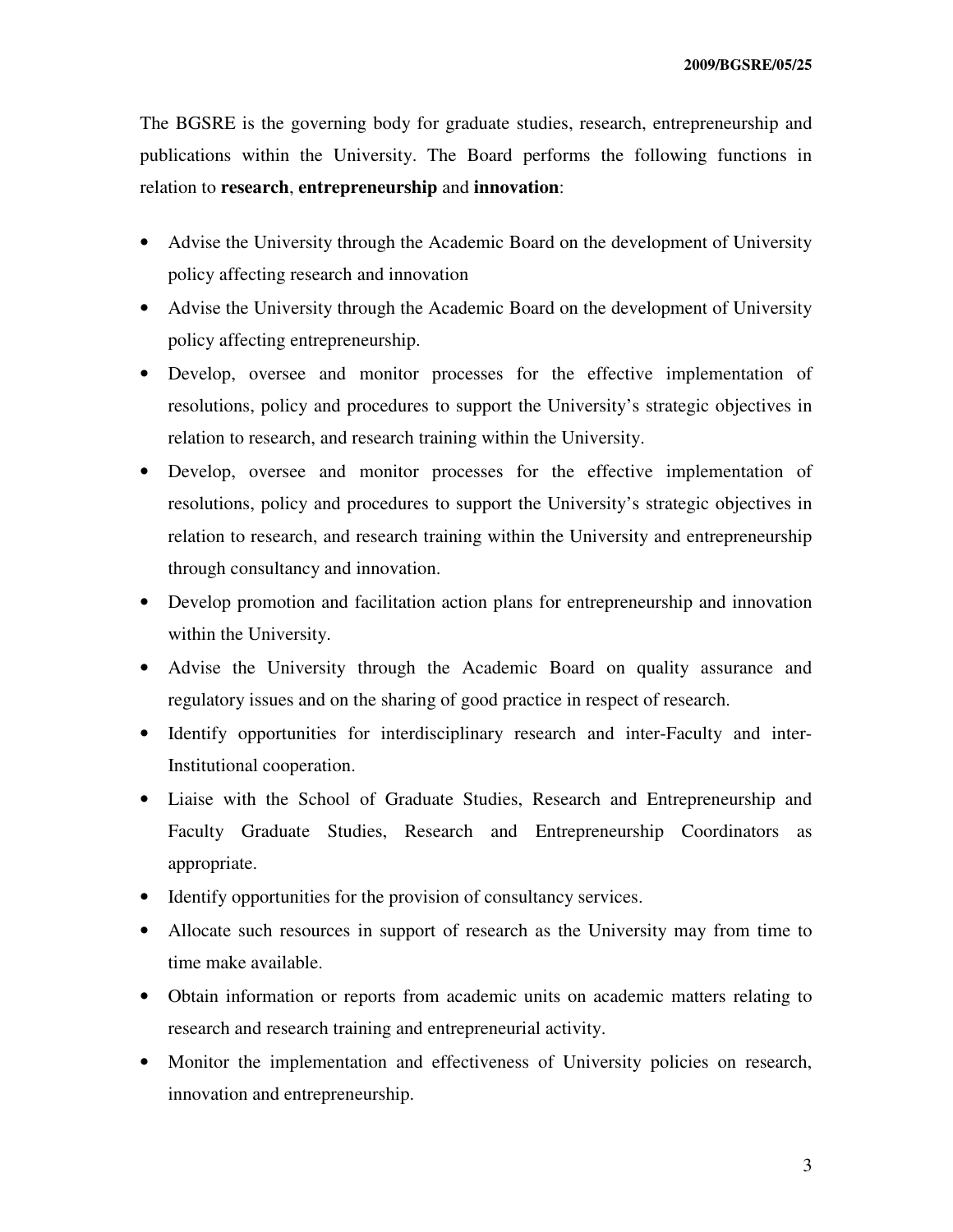The BGSRE is the governing body for graduate studies, research, entrepreneurship and publications within the University. The Board performs the following functions in relation to **research**, **entrepreneurship** and **innovation**:

- Advise the University through the Academic Board on the development of University policy affecting research and innovation
- Advise the University through the Academic Board on the development of University policy affecting entrepreneurship.
- Develop, oversee and monitor processes for the effective implementation of resolutions, policy and procedures to support the University's strategic objectives in relation to research, and research training within the University.
- Develop, oversee and monitor processes for the effective implementation of resolutions, policy and procedures to support the University's strategic objectives in relation to research, and research training within the University and entrepreneurship through consultancy and innovation.
- Develop promotion and facilitation action plans for entrepreneurship and innovation within the University.
- Advise the University through the Academic Board on quality assurance and regulatory issues and on the sharing of good practice in respect of research.
- Identify opportunities for interdisciplinary research and inter-Faculty and inter-Institutional cooperation.
- Liaise with the School of Graduate Studies, Research and Entrepreneurship and Faculty Graduate Studies, Research and Entrepreneurship Coordinators as appropriate.
- Identify opportunities for the provision of consultancy services.
- Allocate such resources in support of research as the University may from time to time make available.
- Obtain information or reports from academic units on academic matters relating to research and research training and entrepreneurial activity.
- Monitor the implementation and effectiveness of University policies on research, innovation and entrepreneurship.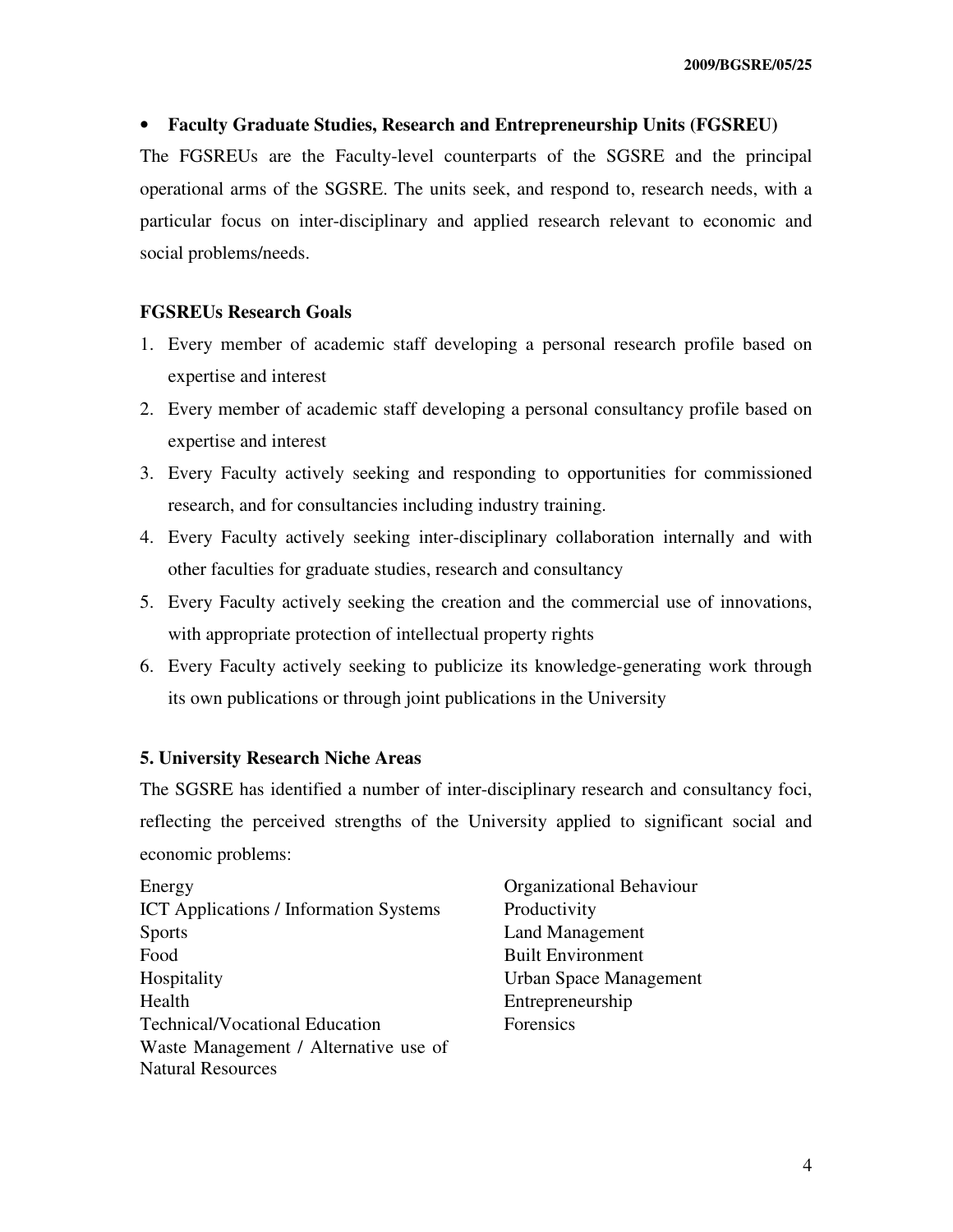#### • **Faculty Graduate Studies, Research and Entrepreneurship Units (FGSREU)**

The FGSREUs are the Faculty-level counterparts of the SGSRE and the principal operational arms of the SGSRE. The units seek, and respond to, research needs, with a particular focus on inter-disciplinary and applied research relevant to economic and social problems/needs.

#### **FGSREUs Research Goals**

- 1. Every member of academic staff developing a personal research profile based on expertise and interest
- 2. Every member of academic staff developing a personal consultancy profile based on expertise and interest
- 3. Every Faculty actively seeking and responding to opportunities for commissioned research, and for consultancies including industry training.
- 4. Every Faculty actively seeking inter-disciplinary collaboration internally and with other faculties for graduate studies, research and consultancy
- 5. Every Faculty actively seeking the creation and the commercial use of innovations, with appropriate protection of intellectual property rights
- 6. Every Faculty actively seeking to publicize its knowledge-generating work through its own publications or through joint publications in the University

#### **5. University Research Niche Areas**

The SGSRE has identified a number of inter-disciplinary research and consultancy foci, reflecting the perceived strengths of the University applied to significant social and economic problems:

| Energy                                        |
|-----------------------------------------------|
| <b>ICT</b> Applications / Information Systems |
| <b>Sports</b>                                 |
| Food                                          |
| Hospitality                                   |
| Health                                        |
| <b>Technical/Vocational Education</b>         |
| Waste Management / Alternative use of         |
| <b>Natural Resources</b>                      |

Organizational Behaviour Productivity Land Management Built Environment Urban Space Management Entrepreneurship Forensics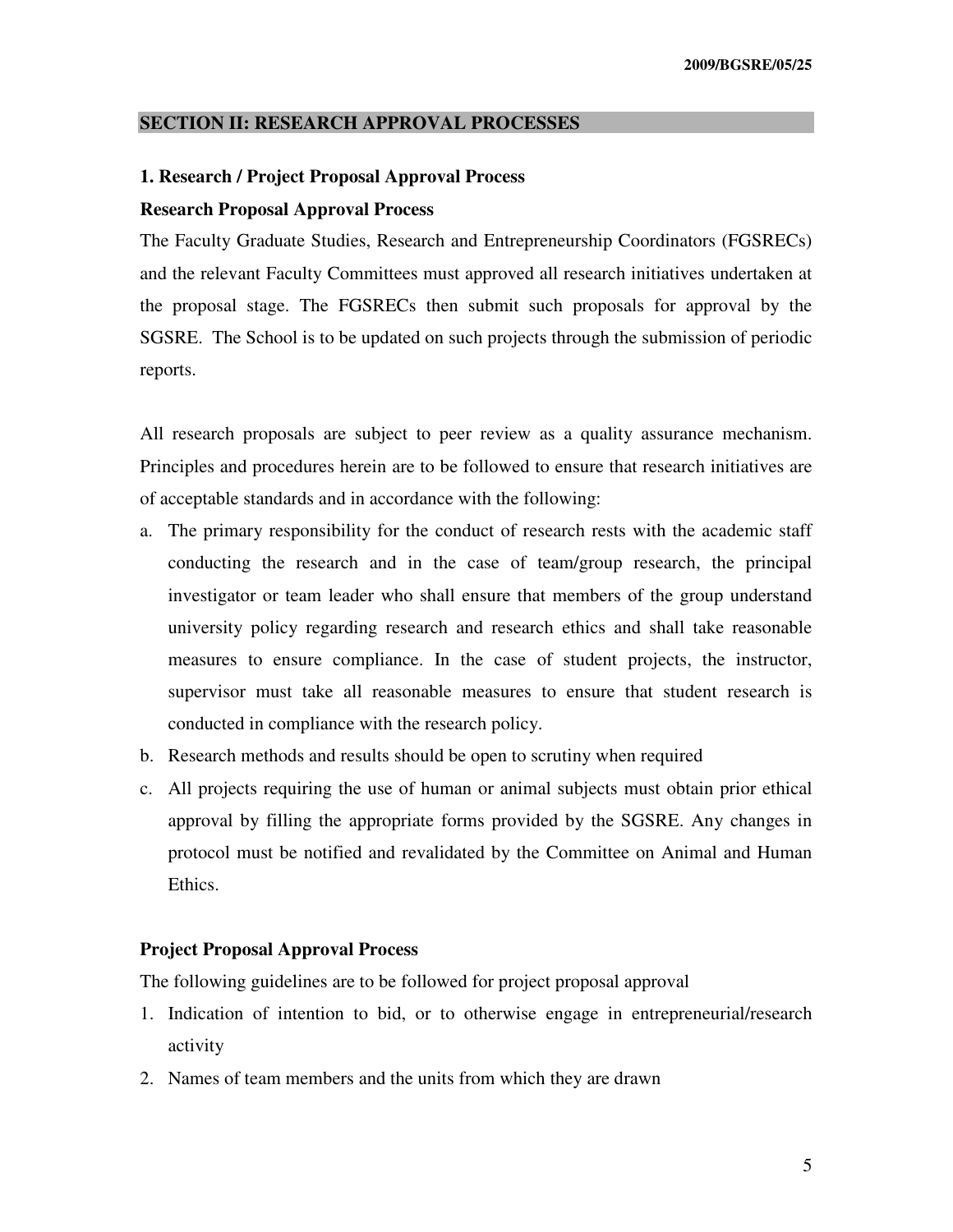#### **SECTION II: RESEARCH APPROVAL PROCESSES**

# **1. Research / Project Proposal Approval Process**

#### **Research Proposal Approval Process**

The Faculty Graduate Studies, Research and Entrepreneurship Coordinators (FGSRECs) and the relevant Faculty Committees must approved all research initiatives undertaken at the proposal stage. The FGSRECs then submit such proposals for approval by the SGSRE. The School is to be updated on such projects through the submission of periodic reports.

All research proposals are subject to peer review as a quality assurance mechanism. Principles and procedures herein are to be followed to ensure that research initiatives are of acceptable standards and in accordance with the following:

- a. The primary responsibility for the conduct of research rests with the academic staff conducting the research and in the case of team/group research, the principal investigator or team leader who shall ensure that members of the group understand university policy regarding research and research ethics and shall take reasonable measures to ensure compliance. In the case of student projects, the instructor, supervisor must take all reasonable measures to ensure that student research is conducted in compliance with the research policy.
- b. Research methods and results should be open to scrutiny when required
- c. All projects requiring the use of human or animal subjects must obtain prior ethical approval by filling the appropriate forms provided by the SGSRE. Any changes in protocol must be notified and revalidated by the Committee on Animal and Human Ethics.

#### **Project Proposal Approval Process**

The following guidelines are to be followed for project proposal approval

- 1. Indication of intention to bid, or to otherwise engage in entrepreneurial/research activity
- 2. Names of team members and the units from which they are drawn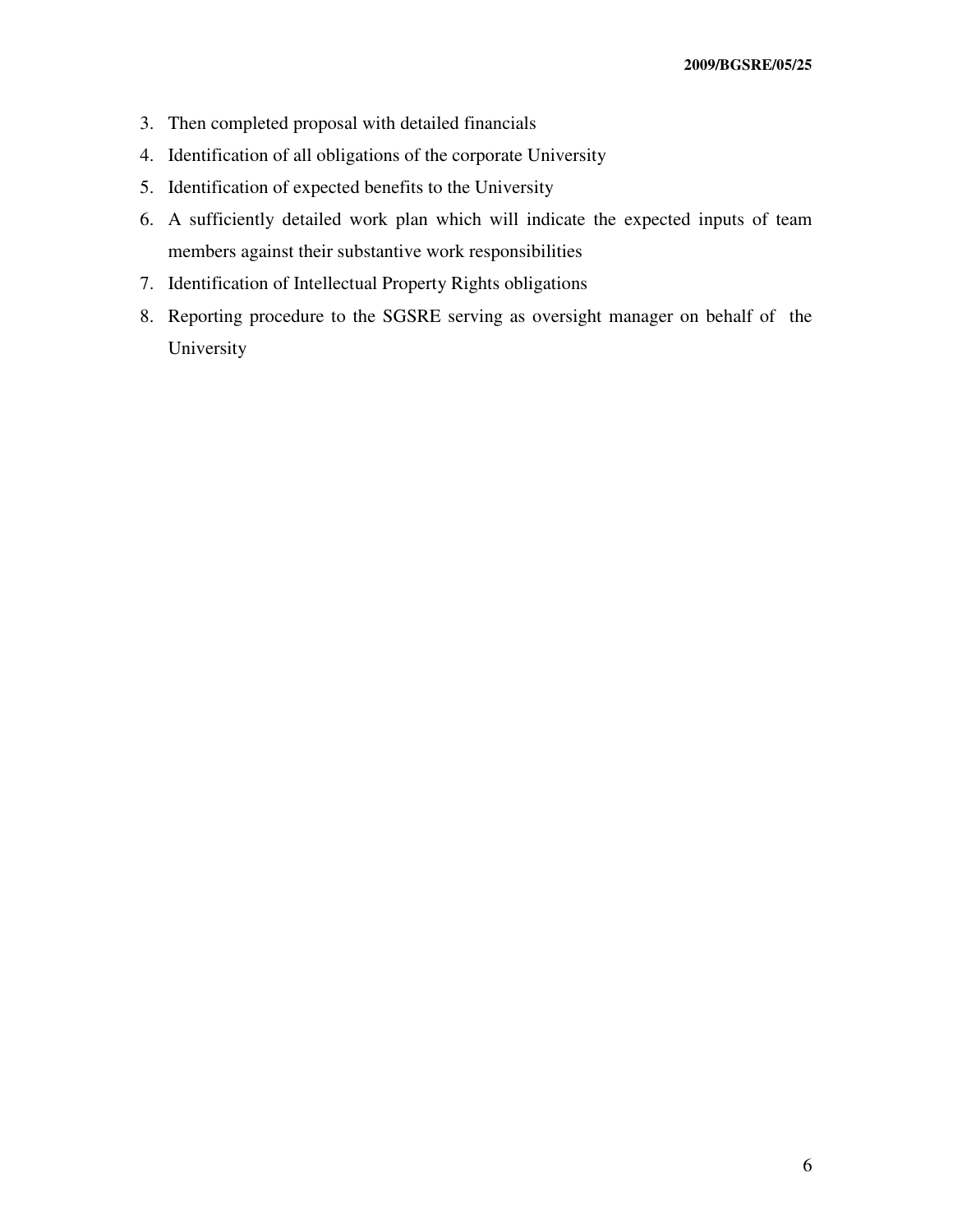- 3. Then completed proposal with detailed financials
- 4. Identification of all obligations of the corporate University
- 5. Identification of expected benefits to the University
- 6. A sufficiently detailed work plan which will indicate the expected inputs of team members against their substantive work responsibilities
- 7. Identification of Intellectual Property Rights obligations
- 8. Reporting procedure to the SGSRE serving as oversight manager on behalf of the University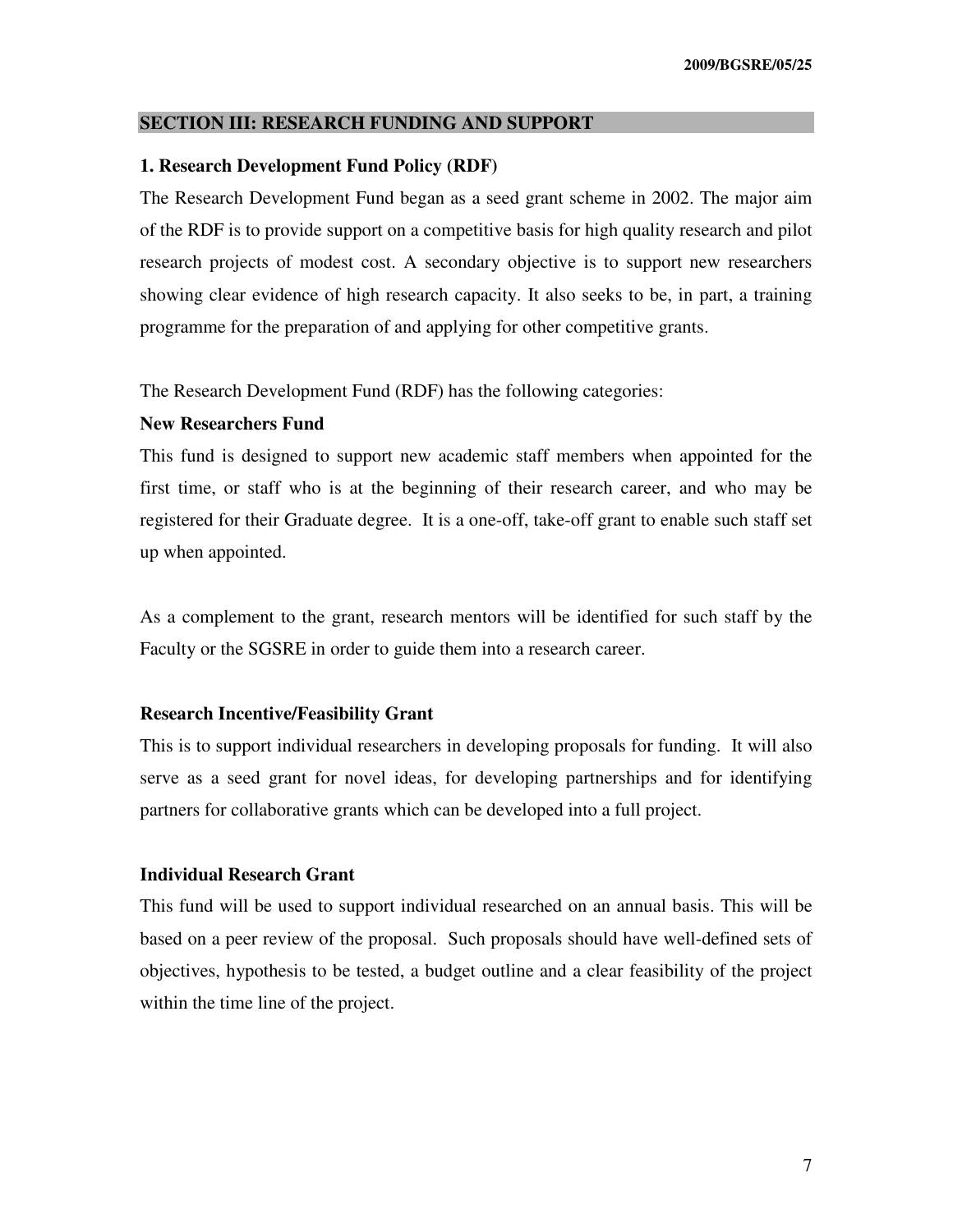#### **SECTION III: RESEARCH FUNDING AND SUPPORT**

#### **1. Research Development Fund Policy (RDF)**

The Research Development Fund began as a seed grant scheme in 2002. The major aim of the RDF is to provide support on a competitive basis for high quality research and pilot research projects of modest cost. A secondary objective is to support new researchers showing clear evidence of high research capacity. It also seeks to be, in part, a training programme for the preparation of and applying for other competitive grants.

The Research Development Fund (RDF) has the following categories:

#### **New Researchers Fund**

This fund is designed to support new academic staff members when appointed for the first time, or staff who is at the beginning of their research career, and who may be registered for their Graduate degree. It is a one-off, take-off grant to enable such staff set up when appointed.

As a complement to the grant, research mentors will be identified for such staff by the Faculty or the SGSRE in order to guide them into a research career.

#### **Research Incentive/Feasibility Grant**

This is to support individual researchers in developing proposals for funding. It will also serve as a seed grant for novel ideas, for developing partnerships and for identifying partners for collaborative grants which can be developed into a full project.

#### **Individual Research Grant**

This fund will be used to support individual researched on an annual basis. This will be based on a peer review of the proposal. Such proposals should have well-defined sets of objectives, hypothesis to be tested, a budget outline and a clear feasibility of the project within the time line of the project.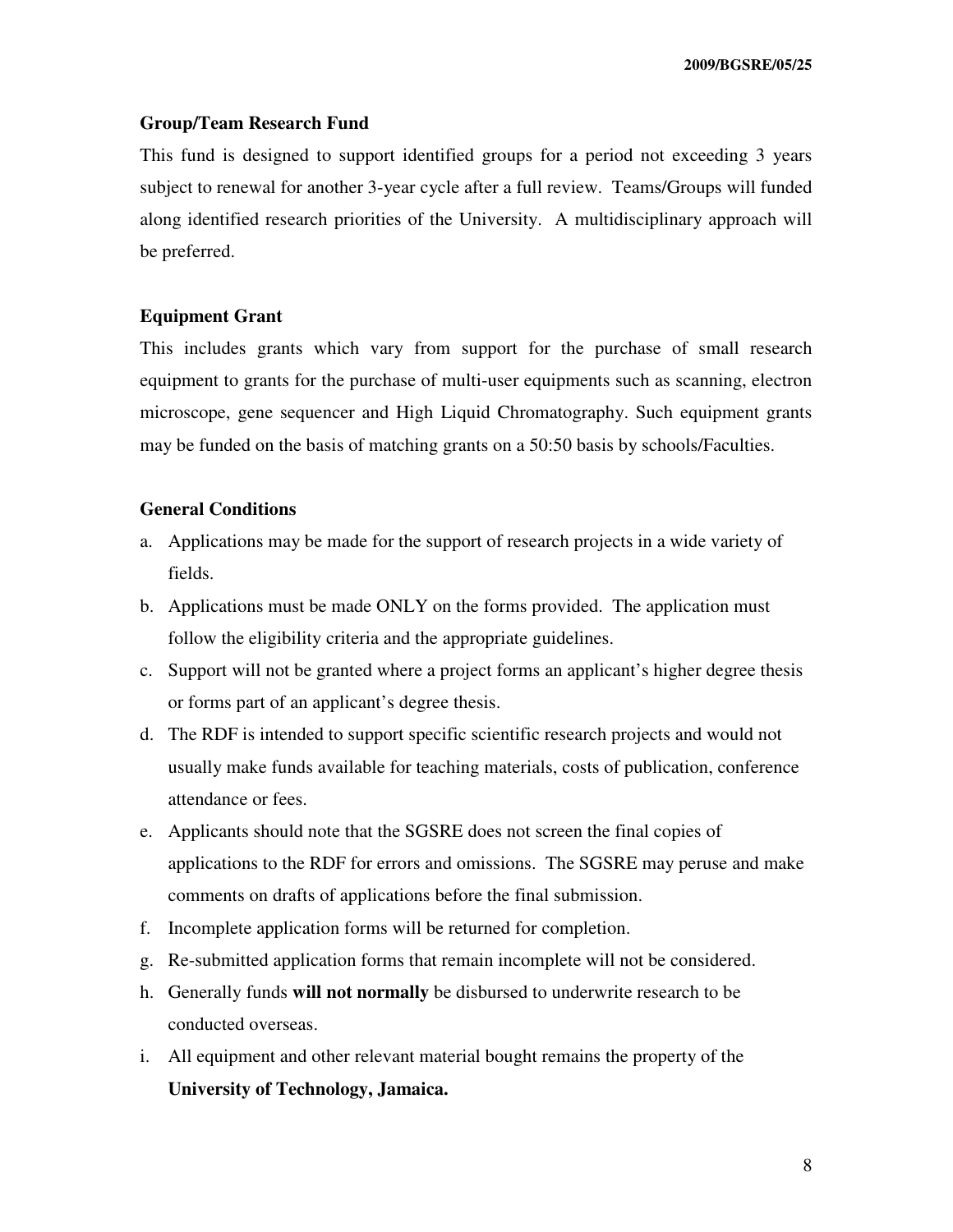#### **Group/Team Research Fund**

This fund is designed to support identified groups for a period not exceeding 3 years subject to renewal for another 3-year cycle after a full review. Teams/Groups will funded along identified research priorities of the University. A multidisciplinary approach will be preferred.

#### **Equipment Grant**

This includes grants which vary from support for the purchase of small research equipment to grants for the purchase of multi-user equipments such as scanning, electron microscope, gene sequencer and High Liquid Chromatography. Such equipment grants may be funded on the basis of matching grants on a 50:50 basis by schools/Faculties.

#### **General Conditions**

- a. Applications may be made for the support of research projects in a wide variety of fields.
- b. Applications must be made ONLY on the forms provided. The application must follow the eligibility criteria and the appropriate guidelines.
- c. Support will not be granted where a project forms an applicant's higher degree thesis or forms part of an applicant's degree thesis.
- d. The RDF is intended to support specific scientific research projects and would not usually make funds available for teaching materials, costs of publication, conference attendance or fees.
- e. Applicants should note that the SGSRE does not screen the final copies of applications to the RDF for errors and omissions. The SGSRE may peruse and make comments on drafts of applications before the final submission.
- f. Incomplete application forms will be returned for completion.
- g. Re-submitted application forms that remain incomplete will not be considered.
- h. Generally funds **will not normally** be disbursed to underwrite research to be conducted overseas.
- i. All equipment and other relevant material bought remains the property of the **University of Technology, Jamaica.**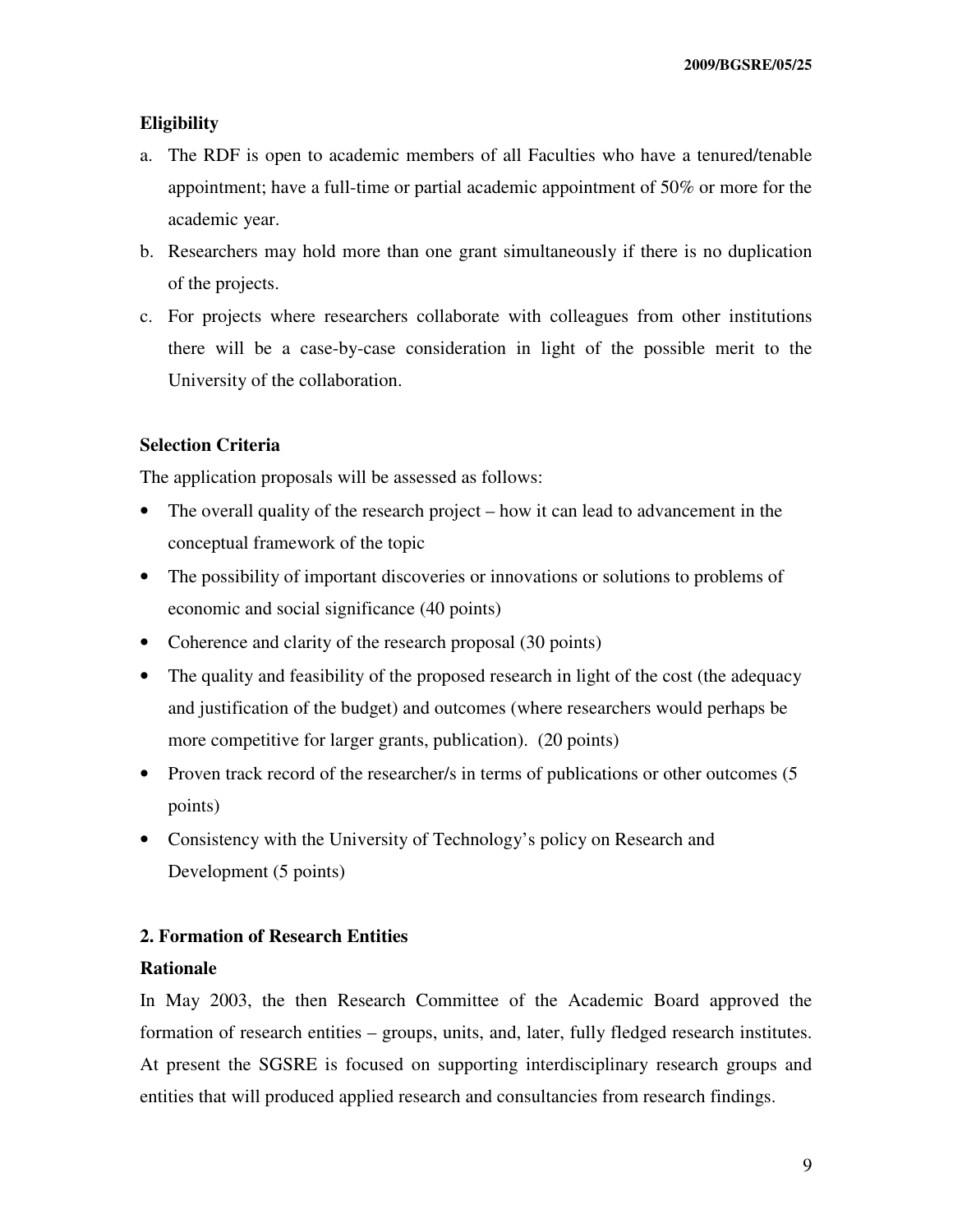#### **Eligibility**

- a. The RDF is open to academic members of all Faculties who have a tenured/tenable appointment; have a full-time or partial academic appointment of 50% or more for the academic year.
- b. Researchers may hold more than one grant simultaneously if there is no duplication of the projects.
- c. For projects where researchers collaborate with colleagues from other institutions there will be a case-by-case consideration in light of the possible merit to the University of the collaboration.

#### **Selection Criteria**

The application proposals will be assessed as follows:

- The overall quality of the research project how it can lead to advancement in the conceptual framework of the topic
- The possibility of important discoveries or innovations or solutions to problems of economic and social significance (40 points)
- Coherence and clarity of the research proposal (30 points)
- The quality and feasibility of the proposed research in light of the cost (the adequacy and justification of the budget) and outcomes (where researchers would perhaps be more competitive for larger grants, publication). (20 points)
- Proven track record of the researcher/s in terms of publications or other outcomes (5 points)
- Consistency with the University of Technology's policy on Research and Development (5 points)

#### **2. Formation of Research Entities**

#### **Rationale**

In May 2003, the then Research Committee of the Academic Board approved the formation of research entities – groups, units, and, later, fully fledged research institutes. At present the SGSRE is focused on supporting interdisciplinary research groups and entities that will produced applied research and consultancies from research findings.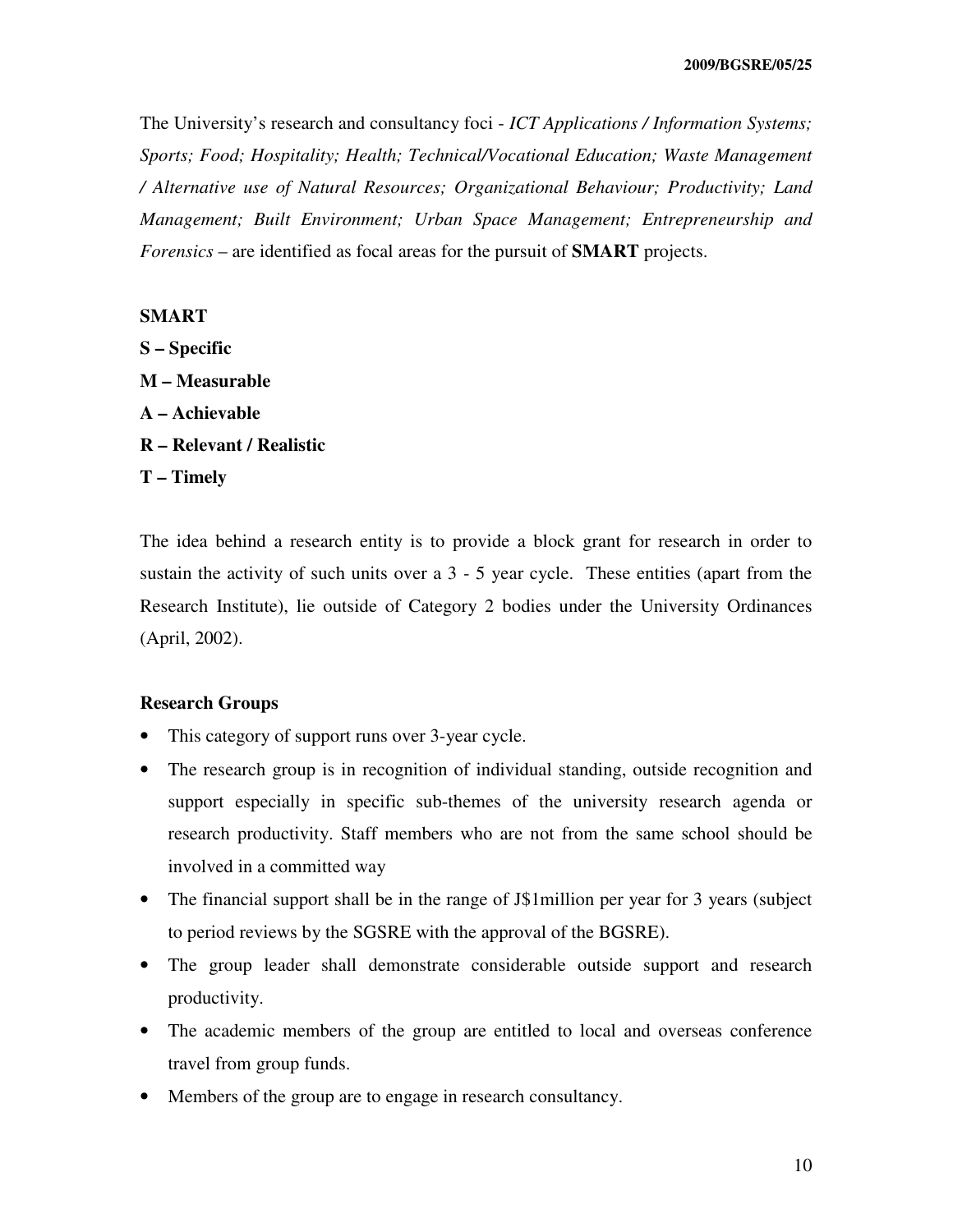The University's research and consultancy foci - *ICT Applications / Information Systems; Sports; Food; Hospitality; Health; Technical/Vocational Education; Waste Management / Alternative use of Natural Resources; Organizational Behaviour; Productivity; Land Management; Built Environment; Urban Space Management; Entrepreneurship and Forensics* – are identified as focal areas for the pursuit of **SMART** projects.

#### **SMART**

**S – Specific M – Measurable A – Achievable R – Relevant / Realistic T – Timely** 

The idea behind a research entity is to provide a block grant for research in order to sustain the activity of such units over a 3 - 5 year cycle. These entities (apart from the Research Institute), lie outside of Category 2 bodies under the University Ordinances (April, 2002).

### **Research Groups**

- This category of support runs over 3-year cycle.
- The research group is in recognition of individual standing, outside recognition and support especially in specific sub-themes of the university research agenda or research productivity. Staff members who are not from the same school should be involved in a committed way
- The financial support shall be in the range of J\$1million per year for 3 years (subject to period reviews by the SGSRE with the approval of the BGSRE).
- The group leader shall demonstrate considerable outside support and research productivity.
- The academic members of the group are entitled to local and overseas conference travel from group funds.
- Members of the group are to engage in research consultancy.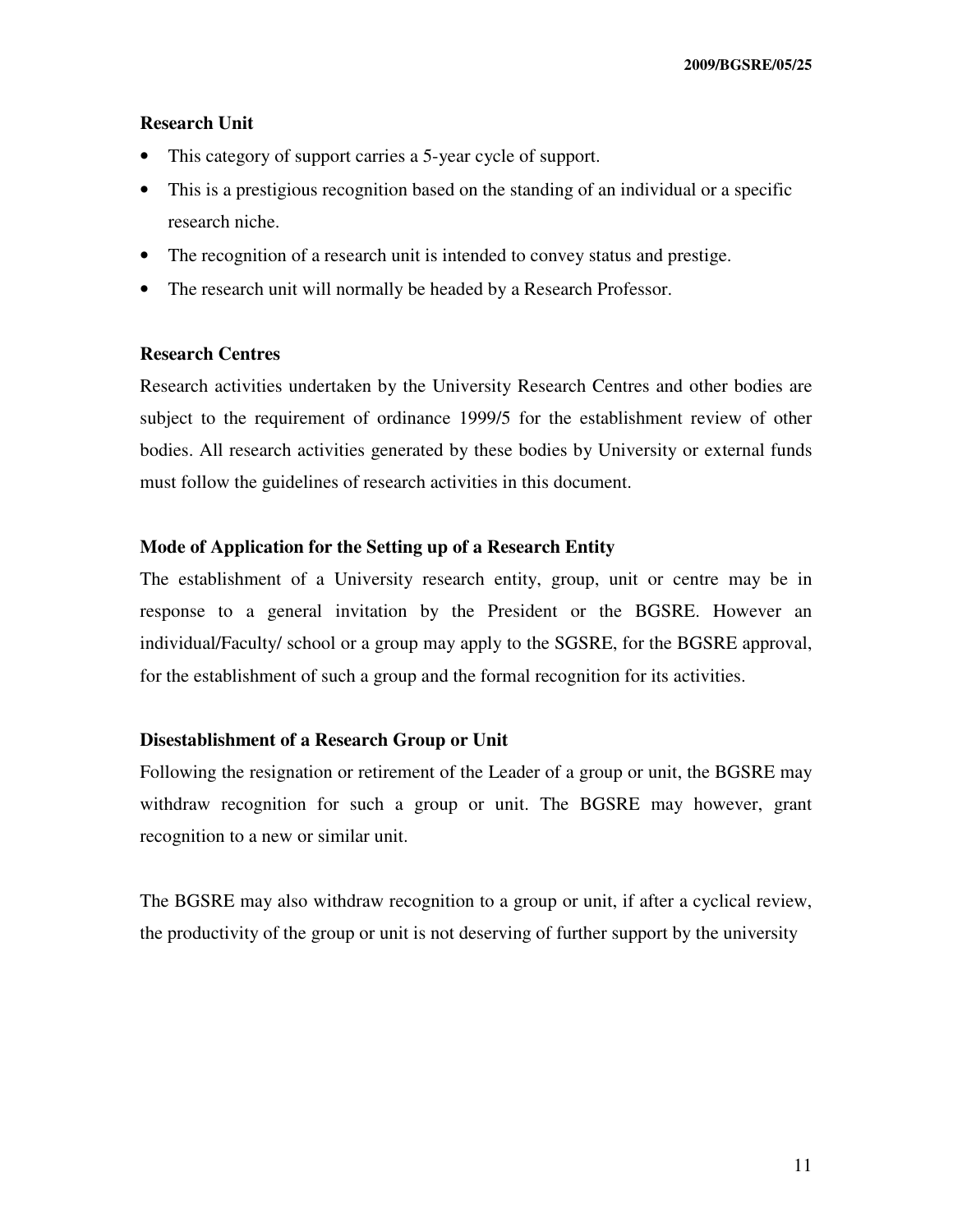#### **Research Unit**

- This category of support carries a 5-year cycle of support.
- This is a prestigious recognition based on the standing of an individual or a specific research niche.
- The recognition of a research unit is intended to convey status and prestige.
- The research unit will normally be headed by a Research Professor.

#### **Research Centres**

Research activities undertaken by the University Research Centres and other bodies are subject to the requirement of ordinance 1999/5 for the establishment review of other bodies. All research activities generated by these bodies by University or external funds must follow the guidelines of research activities in this document.

#### **Mode of Application for the Setting up of a Research Entity**

The establishment of a University research entity, group, unit or centre may be in response to a general invitation by the President or the BGSRE. However an individual/Faculty/ school or a group may apply to the SGSRE, for the BGSRE approval, for the establishment of such a group and the formal recognition for its activities.

#### **Disestablishment of a Research Group or Unit**

Following the resignation or retirement of the Leader of a group or unit, the BGSRE may withdraw recognition for such a group or unit. The BGSRE may however, grant recognition to a new or similar unit.

The BGSRE may also withdraw recognition to a group or unit, if after a cyclical review, the productivity of the group or unit is not deserving of further support by the university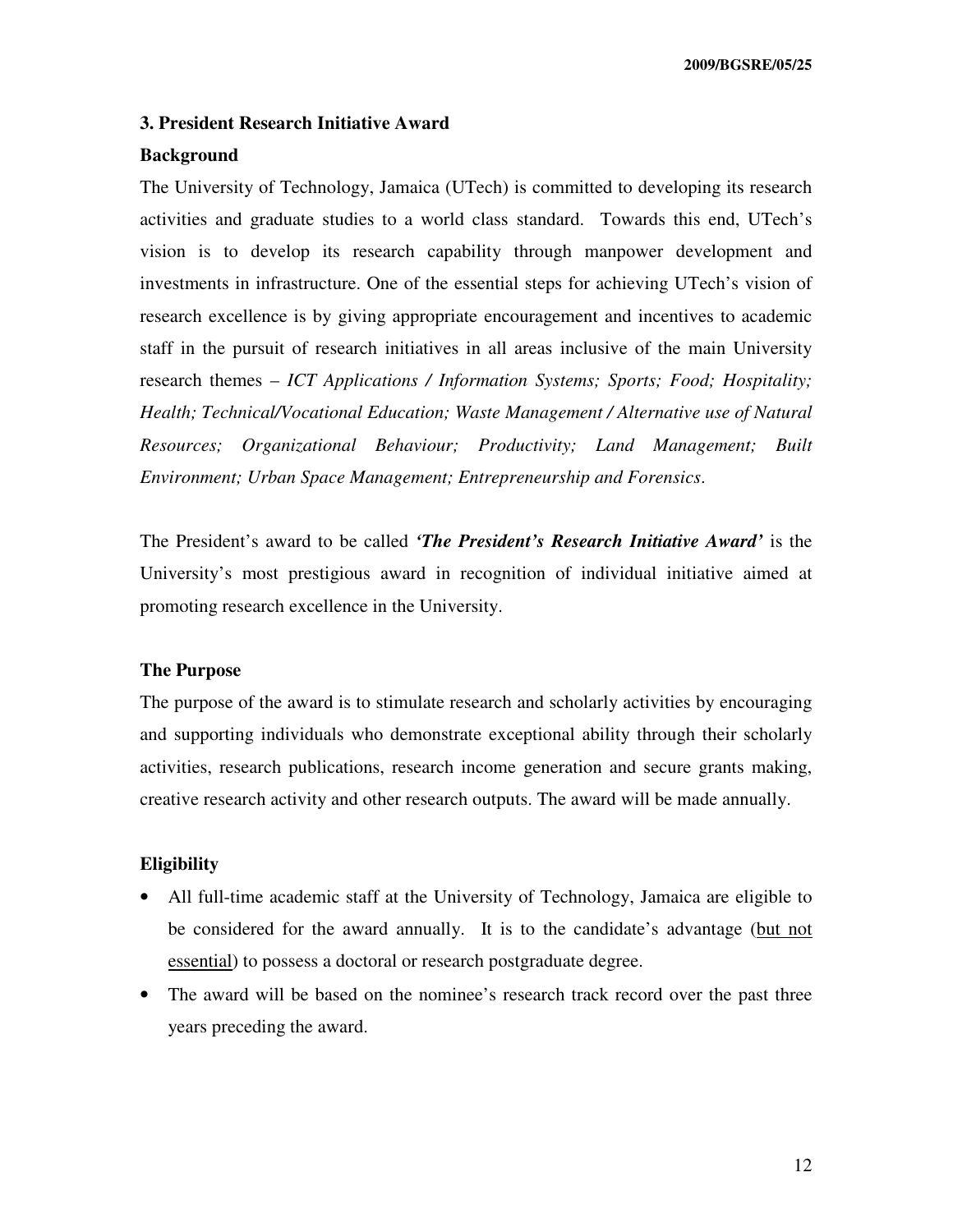#### **3. President Research Initiative Award**

#### **Background**

The University of Technology, Jamaica (UTech) is committed to developing its research activities and graduate studies to a world class standard. Towards this end, UTech's vision is to develop its research capability through manpower development and investments in infrastructure. One of the essential steps for achieving UTech's vision of research excellence is by giving appropriate encouragement and incentives to academic staff in the pursuit of research initiatives in all areas inclusive of the main University research themes – *ICT Applications / Information Systems; Sports; Food; Hospitality; Health; Technical/Vocational Education; Waste Management / Alternative use of Natural Resources; Organizational Behaviour; Productivity; Land Management; Built Environment; Urban Space Management; Entrepreneurship and Forensics*.

The President's award to be called *'The President's Research Initiative Award'* is the University's most prestigious award in recognition of individual initiative aimed at promoting research excellence in the University.

#### **The Purpose**

The purpose of the award is to stimulate research and scholarly activities by encouraging and supporting individuals who demonstrate exceptional ability through their scholarly activities, research publications, research income generation and secure grants making, creative research activity and other research outputs. The award will be made annually.

#### **Eligibility**

- All full-time academic staff at the University of Technology, Jamaica are eligible to be considered for the award annually. It is to the candidate's advantage (but not essential) to possess a doctoral or research postgraduate degree.
- The award will be based on the nominee's research track record over the past three years preceding the award.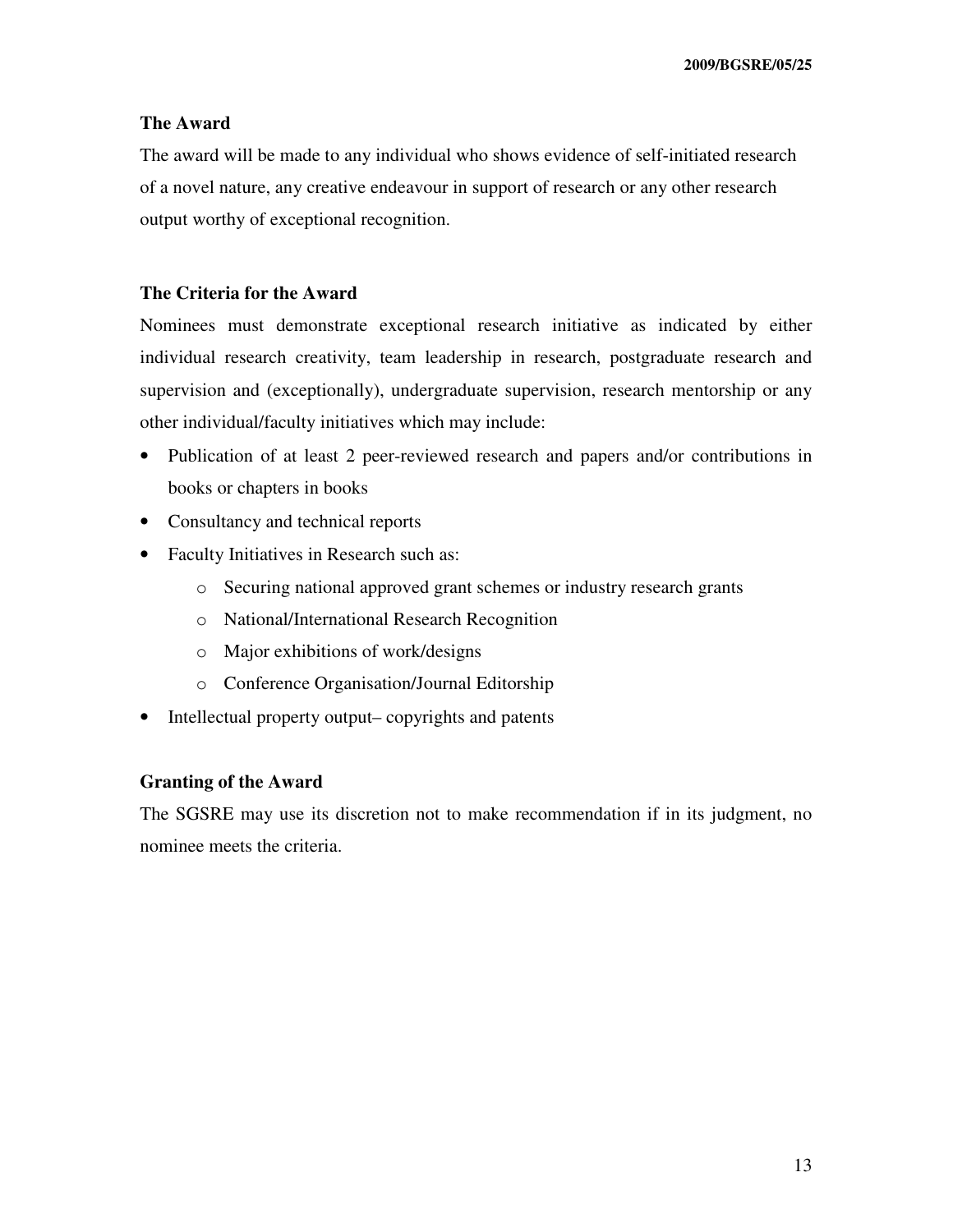# **The Award**

The award will be made to any individual who shows evidence of self-initiated research of a novel nature, any creative endeavour in support of research or any other research output worthy of exceptional recognition.

#### **The Criteria for the Award**

Nominees must demonstrate exceptional research initiative as indicated by either individual research creativity, team leadership in research, postgraduate research and supervision and (exceptionally), undergraduate supervision, research mentorship or any other individual/faculty initiatives which may include:

- Publication of at least 2 peer-reviewed research and papers and/or contributions in books or chapters in books
- Consultancy and technical reports
- Faculty Initiatives in Research such as:
	- o Securing national approved grant schemes or industry research grants
	- o National/International Research Recognition
	- o Major exhibitions of work/designs
	- o Conference Organisation/Journal Editorship
- Intellectual property output– copyrights and patents

#### **Granting of the Award**

The SGSRE may use its discretion not to make recommendation if in its judgment, no nominee meets the criteria.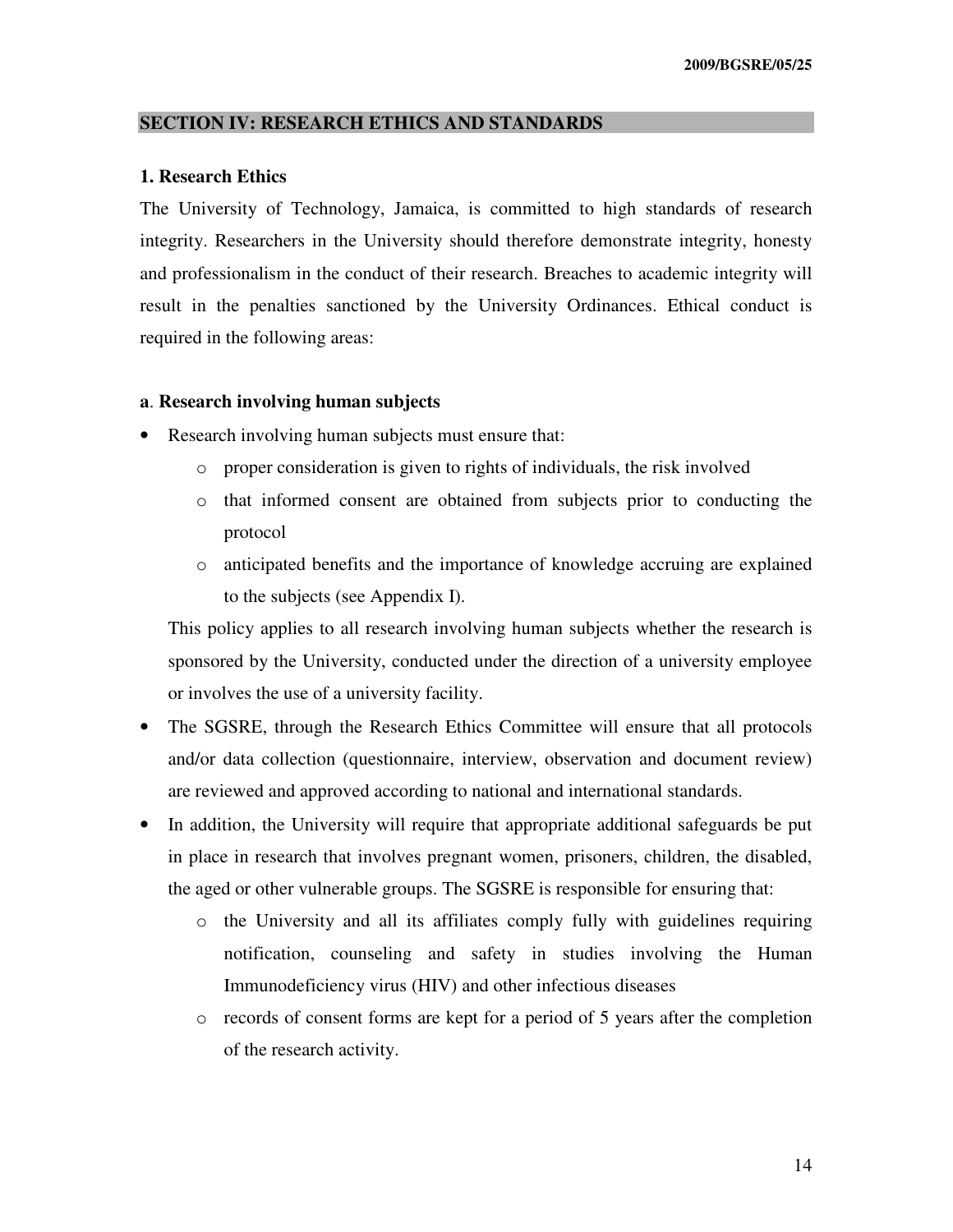#### **SECTION IV: RESEARCH ETHICS AND STANDARDS**

#### **1. Research Ethics**

The University of Technology, Jamaica, is committed to high standards of research integrity. Researchers in the University should therefore demonstrate integrity, honesty and professionalism in the conduct of their research. Breaches to academic integrity will result in the penalties sanctioned by the University Ordinances. Ethical conduct is required in the following areas:

#### **a**. **Research involving human subjects**

- Research involving human subjects must ensure that:
	- o proper consideration is given to rights of individuals, the risk involved
	- o that informed consent are obtained from subjects prior to conducting the protocol
	- o anticipated benefits and the importance of knowledge accruing are explained to the subjects (see Appendix I).

This policy applies to all research involving human subjects whether the research is sponsored by the University, conducted under the direction of a university employee or involves the use of a university facility.

- The SGSRE, through the Research Ethics Committee will ensure that all protocols and/or data collection (questionnaire, interview, observation and document review) are reviewed and approved according to national and international standards.
- In addition, the University will require that appropriate additional safeguards be put in place in research that involves pregnant women, prisoners, children, the disabled, the aged or other vulnerable groups. The SGSRE is responsible for ensuring that:
	- o the University and all its affiliates comply fully with guidelines requiring notification, counseling and safety in studies involving the Human Immunodeficiency virus (HIV) and other infectious diseases
	- o records of consent forms are kept for a period of 5 years after the completion of the research activity.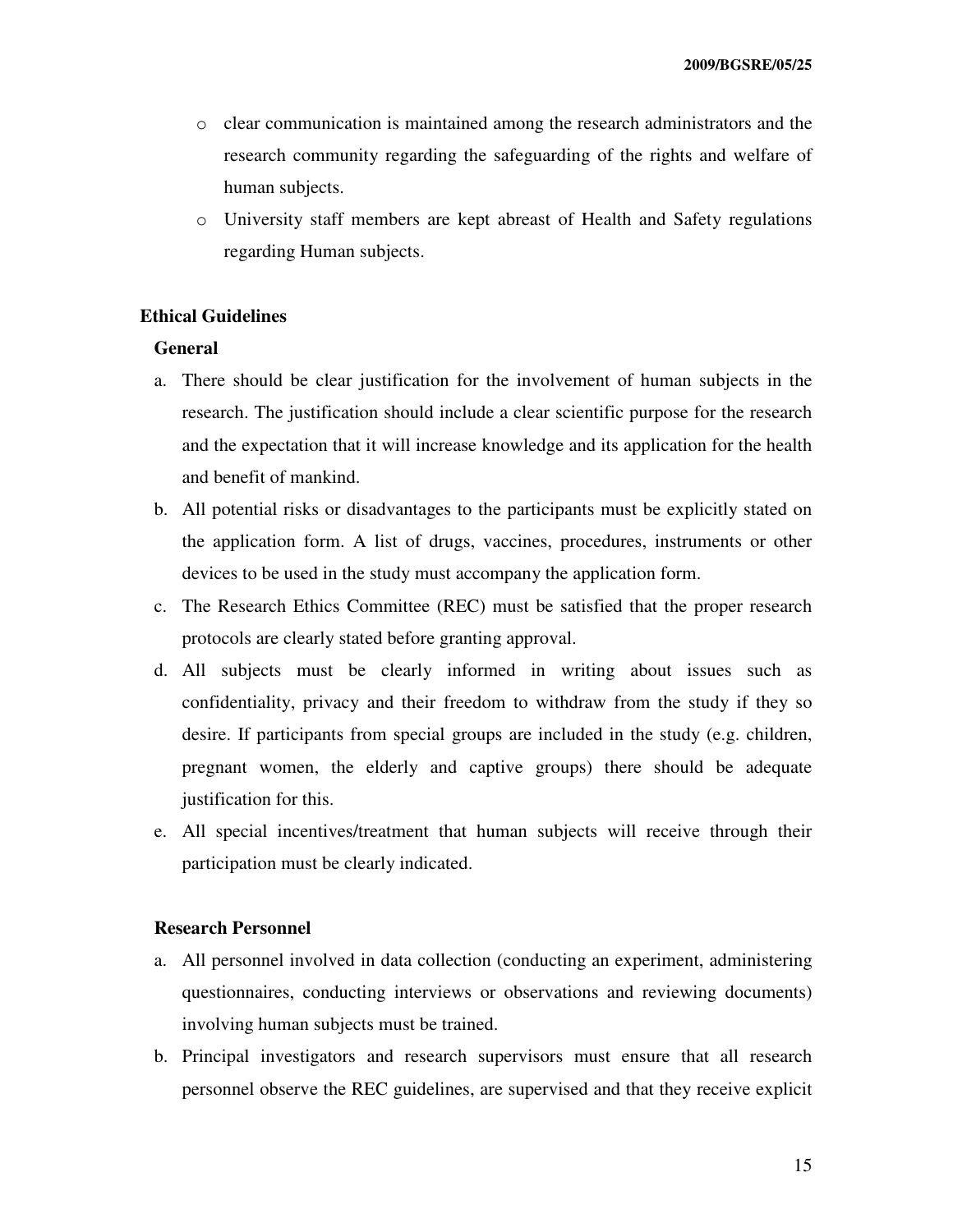- o clear communication is maintained among the research administrators and the research community regarding the safeguarding of the rights and welfare of human subjects.
- o University staff members are kept abreast of Health and Safety regulations regarding Human subjects.

#### **Ethical Guidelines**

#### **General**

- a. There should be clear justification for the involvement of human subjects in the research. The justification should include a clear scientific purpose for the research and the expectation that it will increase knowledge and its application for the health and benefit of mankind.
- b. All potential risks or disadvantages to the participants must be explicitly stated on the application form. A list of drugs, vaccines, procedures, instruments or other devices to be used in the study must accompany the application form.
- c. The Research Ethics Committee (REC) must be satisfied that the proper research protocols are clearly stated before granting approval.
- d. All subjects must be clearly informed in writing about issues such as confidentiality, privacy and their freedom to withdraw from the study if they so desire. If participants from special groups are included in the study (e.g. children, pregnant women, the elderly and captive groups) there should be adequate justification for this.
- e. All special incentives/treatment that human subjects will receive through their participation must be clearly indicated.

#### **Research Personnel**

- a. All personnel involved in data collection (conducting an experiment, administering questionnaires, conducting interviews or observations and reviewing documents) involving human subjects must be trained.
- b. Principal investigators and research supervisors must ensure that all research personnel observe the REC guidelines, are supervised and that they receive explicit

15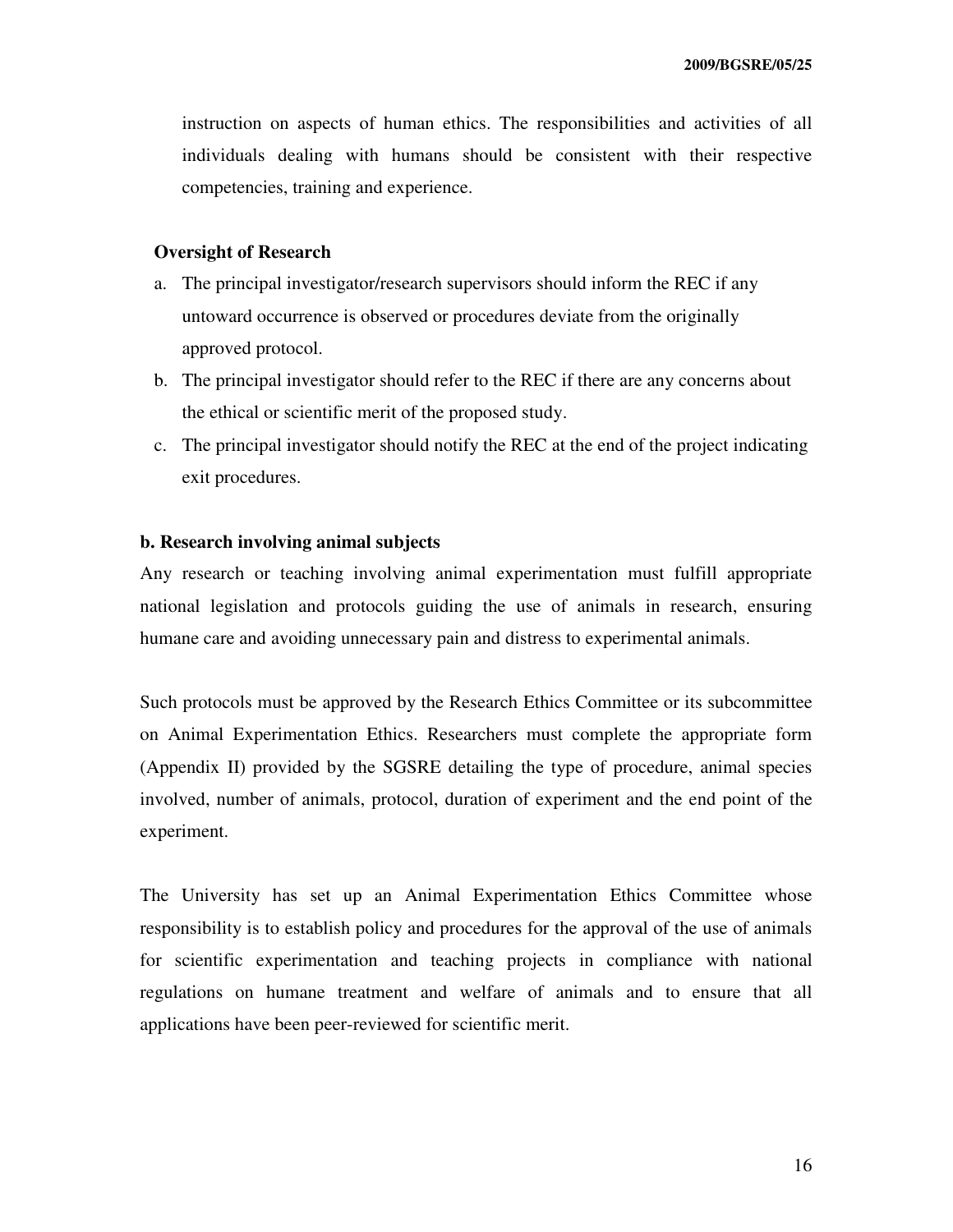instruction on aspects of human ethics. The responsibilities and activities of all individuals dealing with humans should be consistent with their respective competencies, training and experience.

#### **Oversight of Research**

- a. The principal investigator/research supervisors should inform the REC if any untoward occurrence is observed or procedures deviate from the originally approved protocol.
- b. The principal investigator should refer to the REC if there are any concerns about the ethical or scientific merit of the proposed study.
- c. The principal investigator should notify the REC at the end of the project indicating exit procedures.

#### **b. Research involving animal subjects**

Any research or teaching involving animal experimentation must fulfill appropriate national legislation and protocols guiding the use of animals in research, ensuring humane care and avoiding unnecessary pain and distress to experimental animals.

Such protocols must be approved by the Research Ethics Committee or its subcommittee on Animal Experimentation Ethics. Researchers must complete the appropriate form (Appendix II) provided by the SGSRE detailing the type of procedure, animal species involved, number of animals, protocol, duration of experiment and the end point of the experiment.

The University has set up an Animal Experimentation Ethics Committee whose responsibility is to establish policy and procedures for the approval of the use of animals for scientific experimentation and teaching projects in compliance with national regulations on humane treatment and welfare of animals and to ensure that all applications have been peer-reviewed for scientific merit.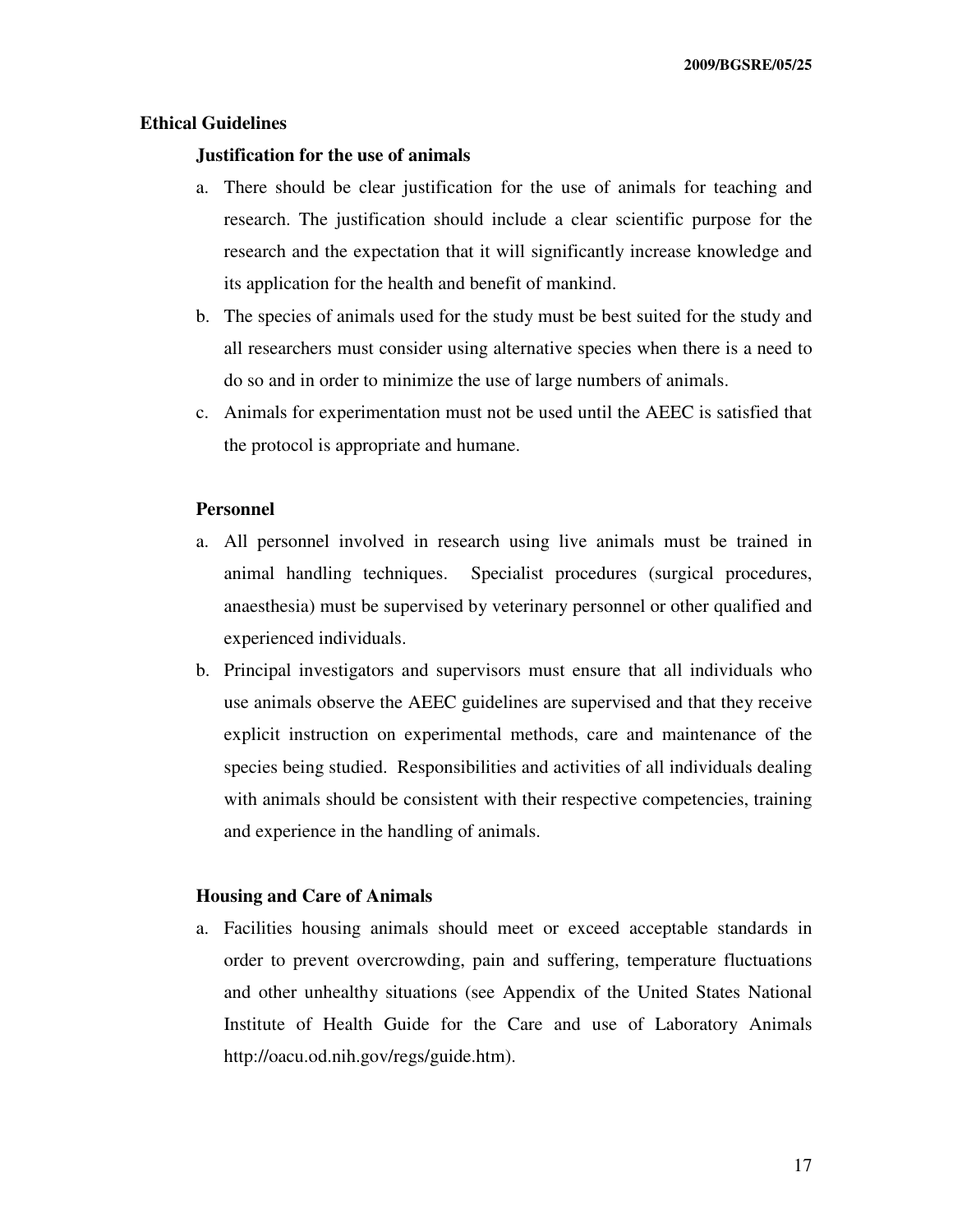#### **Ethical Guidelines**

#### **Justification for the use of animals**

- a. There should be clear justification for the use of animals for teaching and research. The justification should include a clear scientific purpose for the research and the expectation that it will significantly increase knowledge and its application for the health and benefit of mankind.
- b. The species of animals used for the study must be best suited for the study and all researchers must consider using alternative species when there is a need to do so and in order to minimize the use of large numbers of animals.
- c. Animals for experimentation must not be used until the AEEC is satisfied that the protocol is appropriate and humane.

#### **Personnel**

- a. All personnel involved in research using live animals must be trained in animal handling techniques. Specialist procedures (surgical procedures, anaesthesia) must be supervised by veterinary personnel or other qualified and experienced individuals.
- b. Principal investigators and supervisors must ensure that all individuals who use animals observe the AEEC guidelines are supervised and that they receive explicit instruction on experimental methods, care and maintenance of the species being studied. Responsibilities and activities of all individuals dealing with animals should be consistent with their respective competencies, training and experience in the handling of animals.

#### **Housing and Care of Animals**

a. Facilities housing animals should meet or exceed acceptable standards in order to prevent overcrowding, pain and suffering, temperature fluctuations and other unhealthy situations (see Appendix of the United States National Institute of Health Guide for the Care and use of Laboratory Animals http://oacu.od.nih.gov/regs/guide.htm).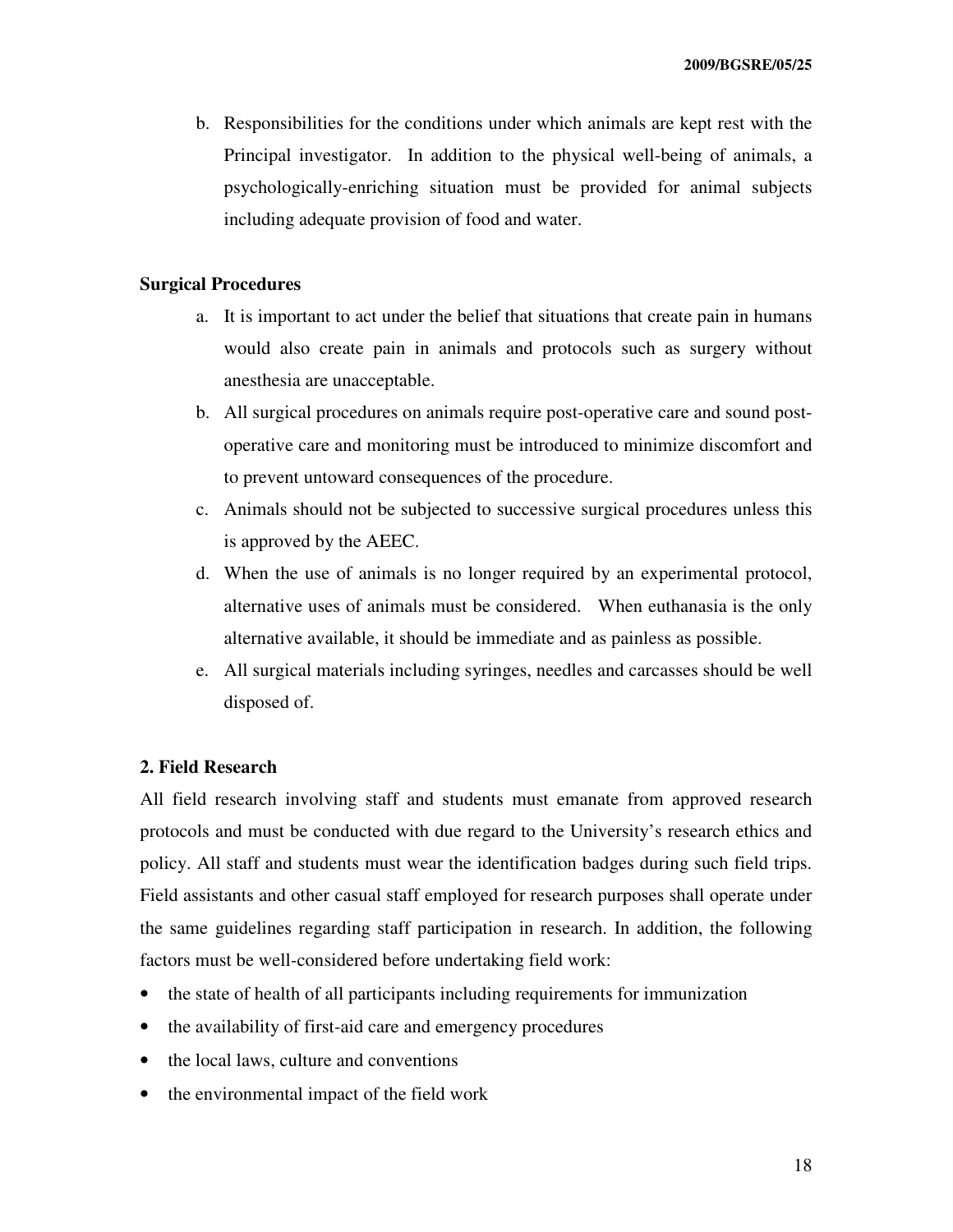b. Responsibilities for the conditions under which animals are kept rest with the Principal investigator. In addition to the physical well-being of animals, a psychologically-enriching situation must be provided for animal subjects including adequate provision of food and water.

#### **Surgical Procedures**

- a. It is important to act under the belief that situations that create pain in humans would also create pain in animals and protocols such as surgery without anesthesia are unacceptable.
- b. All surgical procedures on animals require post-operative care and sound postoperative care and monitoring must be introduced to minimize discomfort and to prevent untoward consequences of the procedure.
- c. Animals should not be subjected to successive surgical procedures unless this is approved by the AEEC.
- d. When the use of animals is no longer required by an experimental protocol, alternative uses of animals must be considered. When euthanasia is the only alternative available, it should be immediate and as painless as possible.
- e. All surgical materials including syringes, needles and carcasses should be well disposed of.

#### **2. Field Research**

All field research involving staff and students must emanate from approved research protocols and must be conducted with due regard to the University's research ethics and policy. All staff and students must wear the identification badges during such field trips. Field assistants and other casual staff employed for research purposes shall operate under the same guidelines regarding staff participation in research. In addition, the following factors must be well-considered before undertaking field work:

- the state of health of all participants including requirements for immunization
- the availability of first-aid care and emergency procedures
- the local laws, culture and conventions
- the environmental impact of the field work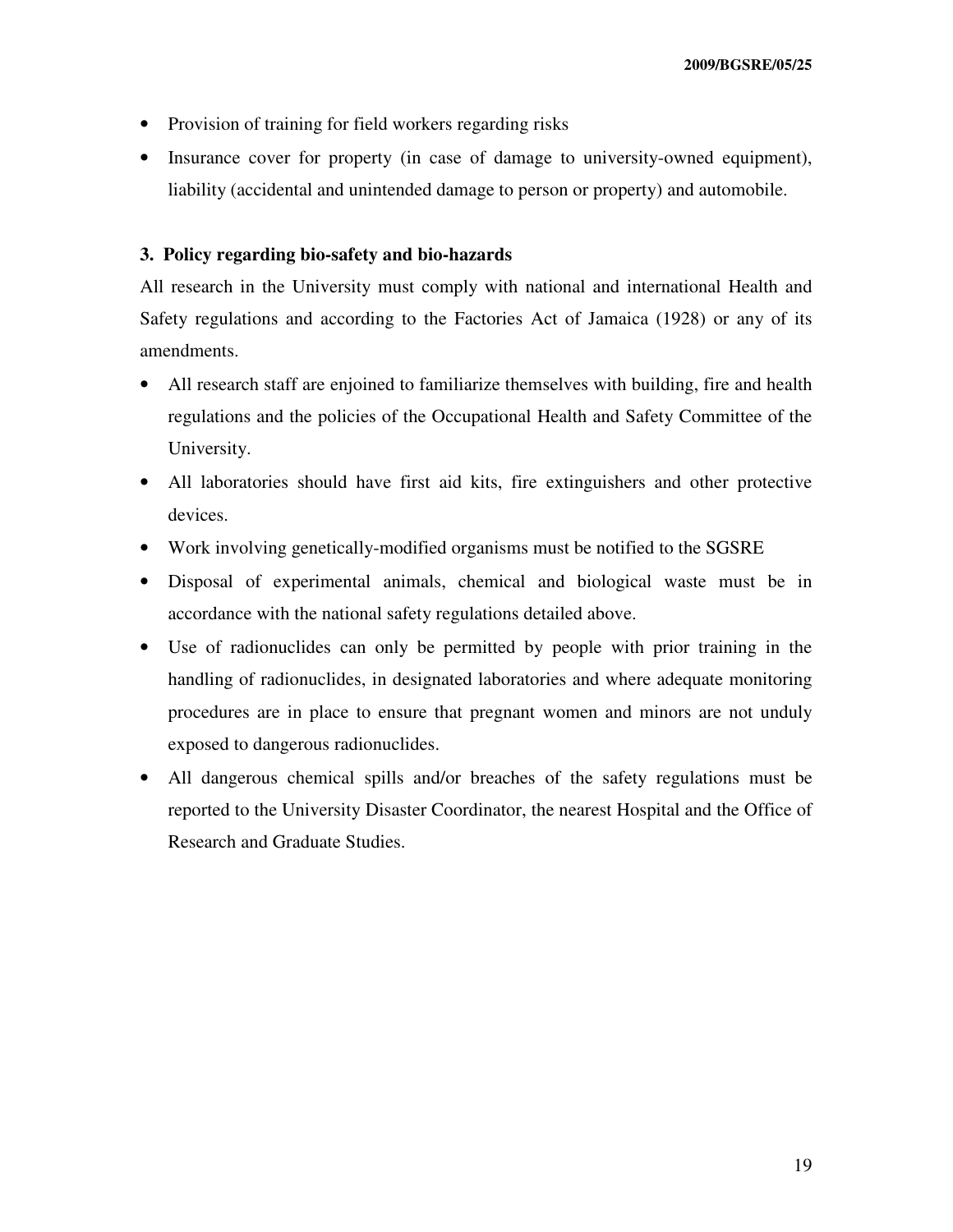- Provision of training for field workers regarding risks
- Insurance cover for property (in case of damage to university-owned equipment), liability (accidental and unintended damage to person or property) and automobile.

#### **3. Policy regarding bio-safety and bio-hazards**

All research in the University must comply with national and international Health and Safety regulations and according to the Factories Act of Jamaica (1928) or any of its amendments.

- All research staff are enjoined to familiarize themselves with building, fire and health regulations and the policies of the Occupational Health and Safety Committee of the University.
- All laboratories should have first aid kits, fire extinguishers and other protective devices.
- Work involving genetically-modified organisms must be notified to the SGSRE
- Disposal of experimental animals, chemical and biological waste must be in accordance with the national safety regulations detailed above.
- Use of radionuclides can only be permitted by people with prior training in the handling of radionuclides, in designated laboratories and where adequate monitoring procedures are in place to ensure that pregnant women and minors are not unduly exposed to dangerous radionuclides.
- All dangerous chemical spills and/or breaches of the safety regulations must be reported to the University Disaster Coordinator, the nearest Hospital and the Office of Research and Graduate Studies.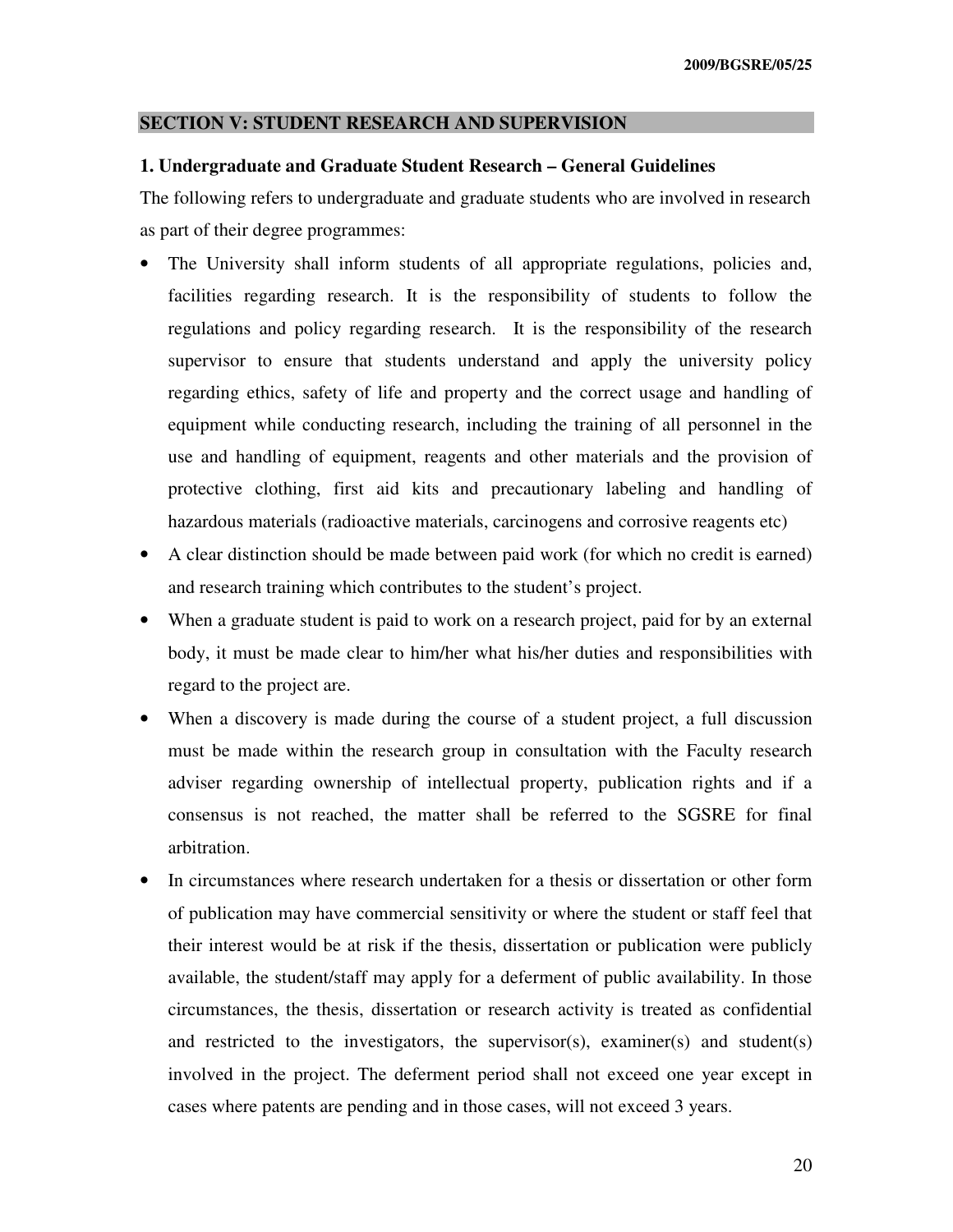#### **SECTION V: STUDENT RESEARCH AND SUPERVISION**

#### **1. Undergraduate and Graduate Student Research – General Guidelines**

The following refers to undergraduate and graduate students who are involved in research as part of their degree programmes:

- The University shall inform students of all appropriate regulations, policies and, facilities regarding research. It is the responsibility of students to follow the regulations and policy regarding research. It is the responsibility of the research supervisor to ensure that students understand and apply the university policy regarding ethics, safety of life and property and the correct usage and handling of equipment while conducting research, including the training of all personnel in the use and handling of equipment, reagents and other materials and the provision of protective clothing, first aid kits and precautionary labeling and handling of hazardous materials (radioactive materials, carcinogens and corrosive reagents etc)
- A clear distinction should be made between paid work (for which no credit is earned) and research training which contributes to the student's project.
- When a graduate student is paid to work on a research project, paid for by an external body, it must be made clear to him/her what his/her duties and responsibilities with regard to the project are.
- When a discovery is made during the course of a student project, a full discussion must be made within the research group in consultation with the Faculty research adviser regarding ownership of intellectual property, publication rights and if a consensus is not reached, the matter shall be referred to the SGSRE for final arbitration.
- In circumstances where research undertaken for a thesis or dissertation or other form of publication may have commercial sensitivity or where the student or staff feel that their interest would be at risk if the thesis, dissertation or publication were publicly available, the student/staff may apply for a deferment of public availability. In those circumstances, the thesis, dissertation or research activity is treated as confidential and restricted to the investigators, the supervisor(s), examiner(s) and student(s) involved in the project. The deferment period shall not exceed one year except in cases where patents are pending and in those cases, will not exceed 3 years.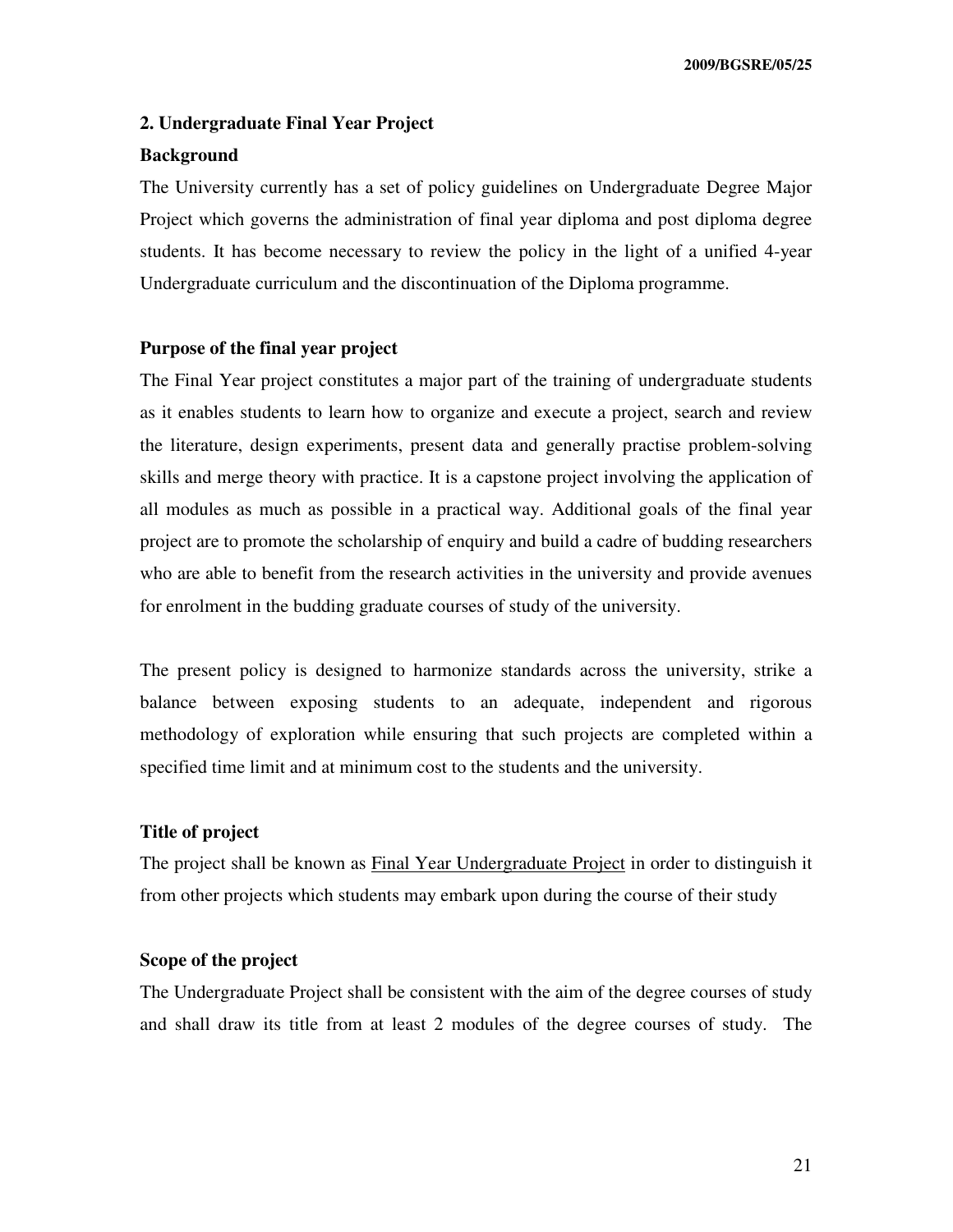#### **2. Undergraduate Final Year Project**

#### **Background**

The University currently has a set of policy guidelines on Undergraduate Degree Major Project which governs the administration of final year diploma and post diploma degree students. It has become necessary to review the policy in the light of a unified 4-year Undergraduate curriculum and the discontinuation of the Diploma programme.

#### **Purpose of the final year project**

The Final Year project constitutes a major part of the training of undergraduate students as it enables students to learn how to organize and execute a project, search and review the literature, design experiments, present data and generally practise problem-solving skills and merge theory with practice. It is a capstone project involving the application of all modules as much as possible in a practical way. Additional goals of the final year project are to promote the scholarship of enquiry and build a cadre of budding researchers who are able to benefit from the research activities in the university and provide avenues for enrolment in the budding graduate courses of study of the university.

The present policy is designed to harmonize standards across the university, strike a balance between exposing students to an adequate, independent and rigorous methodology of exploration while ensuring that such projects are completed within a specified time limit and at minimum cost to the students and the university.

#### **Title of project**

The project shall be known as Final Year Undergraduate Project in order to distinguish it from other projects which students may embark upon during the course of their study

#### **Scope of the project**

The Undergraduate Project shall be consistent with the aim of the degree courses of study and shall draw its title from at least 2 modules of the degree courses of study. The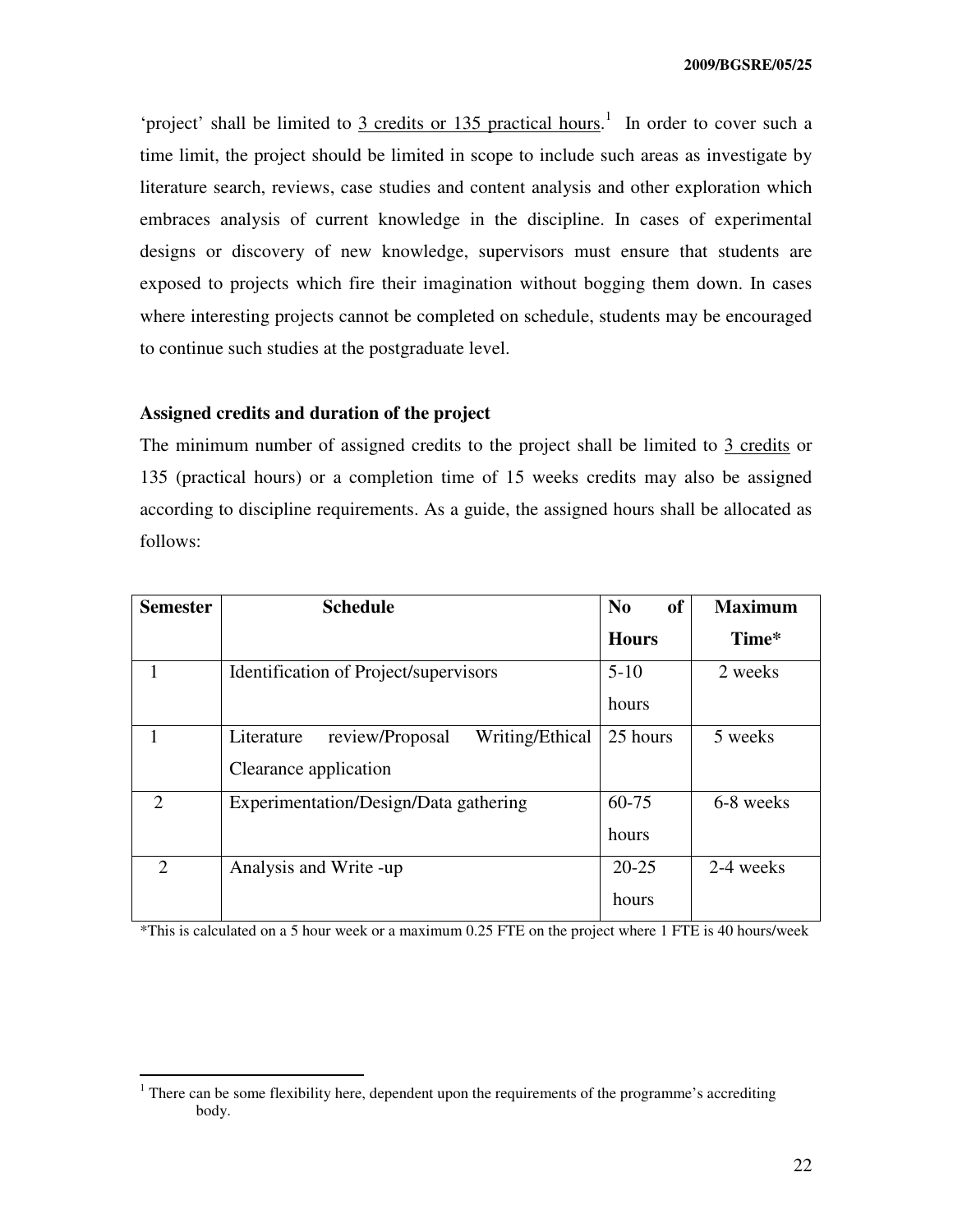'project' shall be limited to  $\frac{3 \text{ credits or } 135 \text{ practical hours}}{135 \text{ practical hours}}$ . In order to cover such a time limit, the project should be limited in scope to include such areas as investigate by literature search, reviews, case studies and content analysis and other exploration which embraces analysis of current knowledge in the discipline. In cases of experimental designs or discovery of new knowledge, supervisors must ensure that students are exposed to projects which fire their imagination without bogging them down. In cases where interesting projects cannot be completed on schedule, students may be encouraged to continue such studies at the postgraduate level.

#### **Assigned credits and duration of the project**

The minimum number of assigned credits to the project shall be limited to 3 credits or 135 (practical hours) or a completion time of 15 weeks credits may also be assigned according to discipline requirements. As a guide, the assigned hours shall be allocated as follows:

| <b>Semester</b>             | <b>Schedule</b>                                  | <b>of</b><br>$\bf No$ | <b>Maximum</b> |
|-----------------------------|--------------------------------------------------|-----------------------|----------------|
|                             |                                                  | <b>Hours</b>          | Time*          |
|                             | <b>Identification of Project/supervisors</b>     | $5-10$                | 2 weeks        |
|                             |                                                  | hours                 |                |
|                             | review/Proposal<br>Writing/Ethical<br>Literature | 25 hours              | 5 weeks        |
|                             | Clearance application                            |                       |                |
| $\mathcal{D}_{\mathcal{L}}$ | Experimentation/Design/Data gathering            | 60-75                 | 6-8 weeks      |
|                             |                                                  | hours                 |                |
| $\mathcal{D}_{\mathcal{L}}$ | Analysis and Write -up                           | $20 - 25$             | 2-4 weeks      |
|                             |                                                  | hours                 |                |

\*This is calculated on a 5 hour week or a maximum 0.25 FTE on the project where 1 FTE is 40 hours/week

<sup>&</sup>lt;sup>1</sup> There can be some flexibility here, dependent upon the requirements of the programme's accrediting body.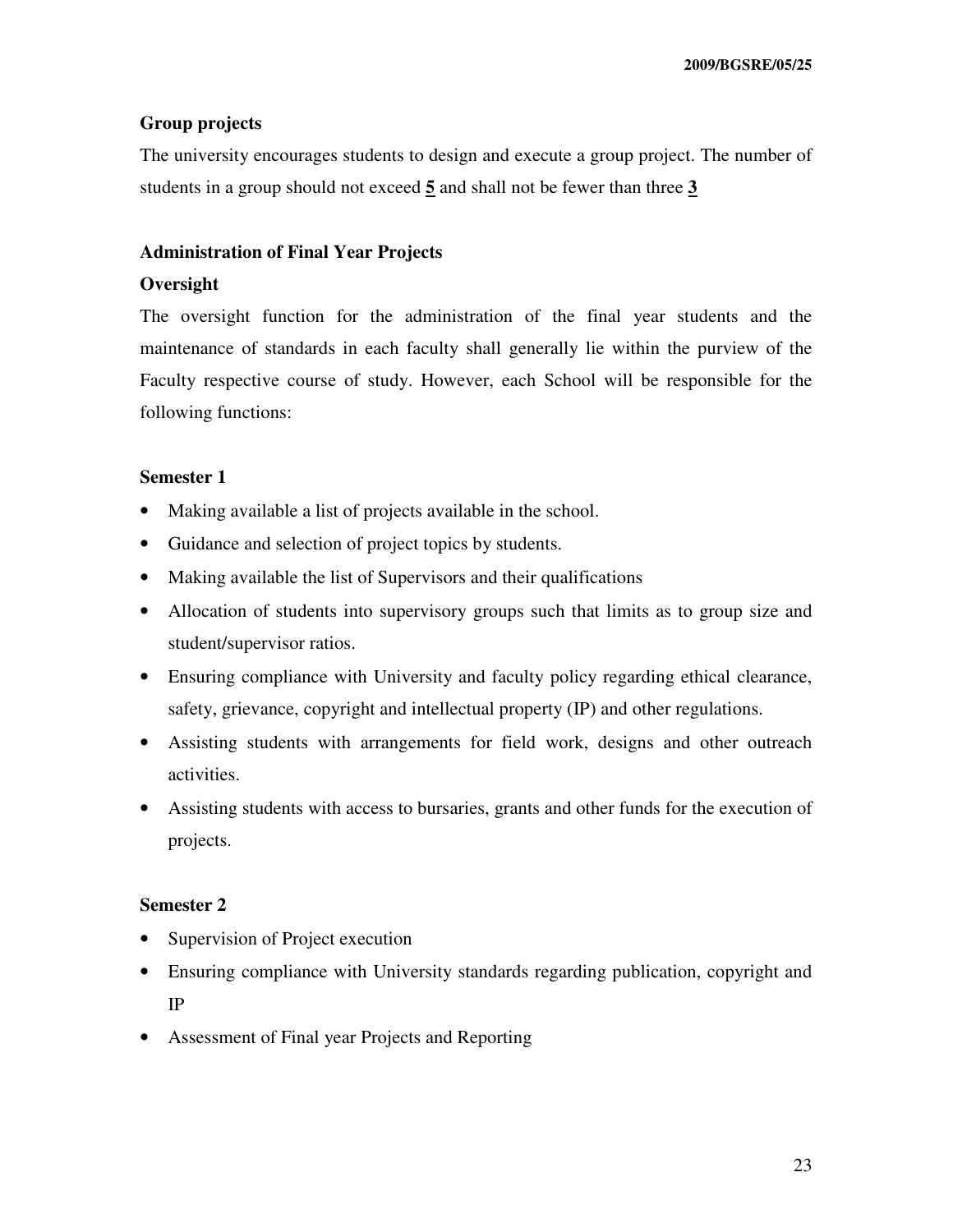#### **Group projects**

The university encourages students to design and execute a group project. The number of students in a group should not exceed **5** and shall not be fewer than three **3**

#### **Administration of Final Year Projects**

### **Oversight**

The oversight function for the administration of the final year students and the maintenance of standards in each faculty shall generally lie within the purview of the Faculty respective course of study. However, each School will be responsible for the following functions:

#### **Semester 1**

- Making available a list of projects available in the school.
- Guidance and selection of project topics by students.
- Making available the list of Supervisors and their qualifications
- Allocation of students into supervisory groups such that limits as to group size and student/supervisor ratios.
- Ensuring compliance with University and faculty policy regarding ethical clearance, safety, grievance, copyright and intellectual property (IP) and other regulations.
- Assisting students with arrangements for field work, designs and other outreach activities.
- Assisting students with access to bursaries, grants and other funds for the execution of projects.

#### **Semester 2**

- Supervision of Project execution
- Ensuring compliance with University standards regarding publication, copyright and IP
- Assessment of Final year Projects and Reporting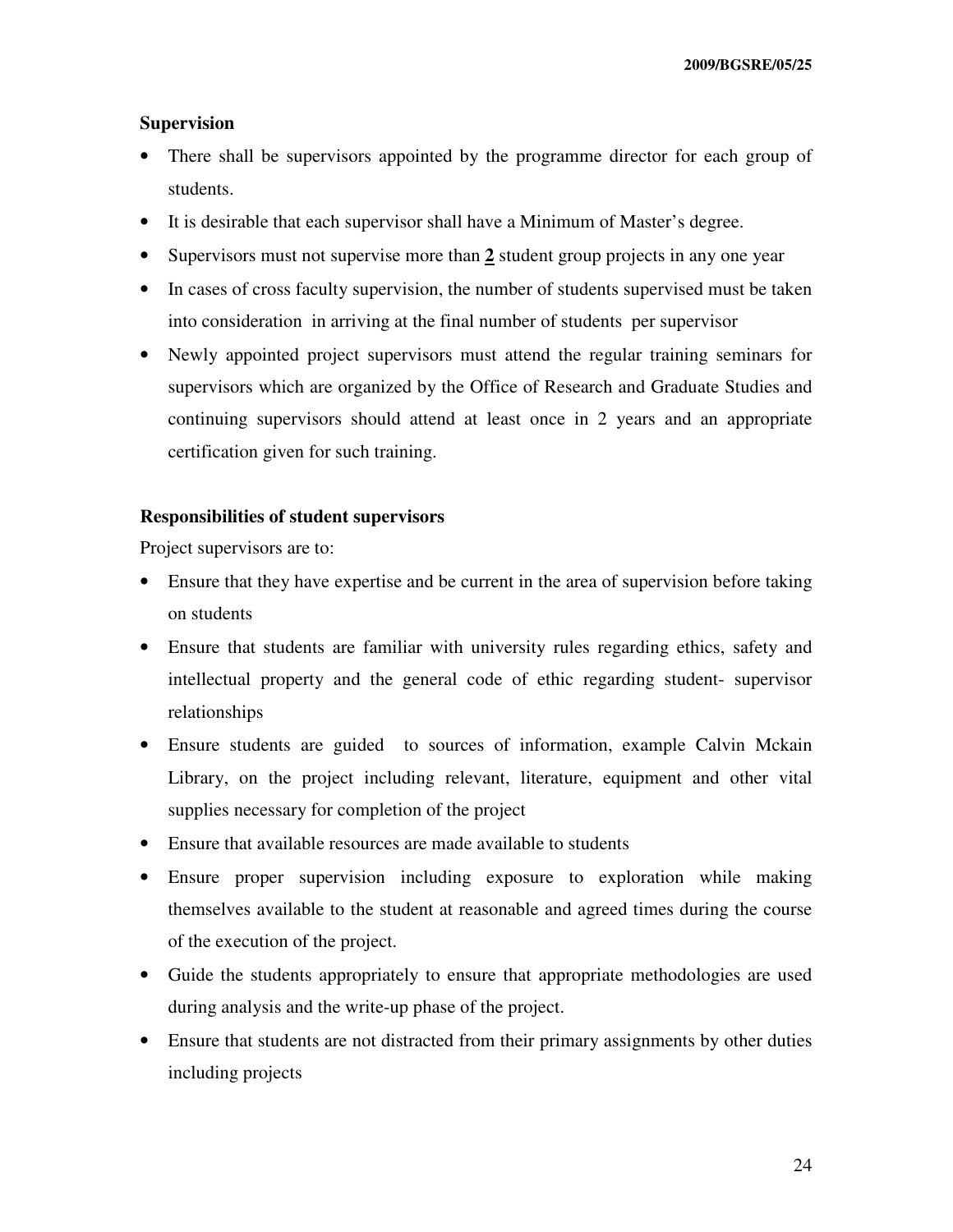#### **Supervision**

- There shall be supervisors appointed by the programme director for each group of students.
- It is desirable that each supervisor shall have a Minimum of Master's degree.
- Supervisors must not supervise more than 2 student group projects in any one year
- In cases of cross faculty supervision, the number of students supervised must be taken into consideration in arriving at the final number of students per supervisor
- Newly appointed project supervisors must attend the regular training seminars for supervisors which are organized by the Office of Research and Graduate Studies and continuing supervisors should attend at least once in 2 years and an appropriate certification given for such training.

#### **Responsibilities of student supervisors**

Project supervisors are to:

- Ensure that they have expertise and be current in the area of supervision before taking on students
- Ensure that students are familiar with university rules regarding ethics, safety and intellectual property and the general code of ethic regarding student- supervisor relationships
- Ensure students are guided to sources of information, example Calvin Mckain Library, on the project including relevant, literature, equipment and other vital supplies necessary for completion of the project
- Ensure that available resources are made available to students
- Ensure proper supervision including exposure to exploration while making themselves available to the student at reasonable and agreed times during the course of the execution of the project.
- Guide the students appropriately to ensure that appropriate methodologies are used during analysis and the write-up phase of the project.
- Ensure that students are not distracted from their primary assignments by other duties including projects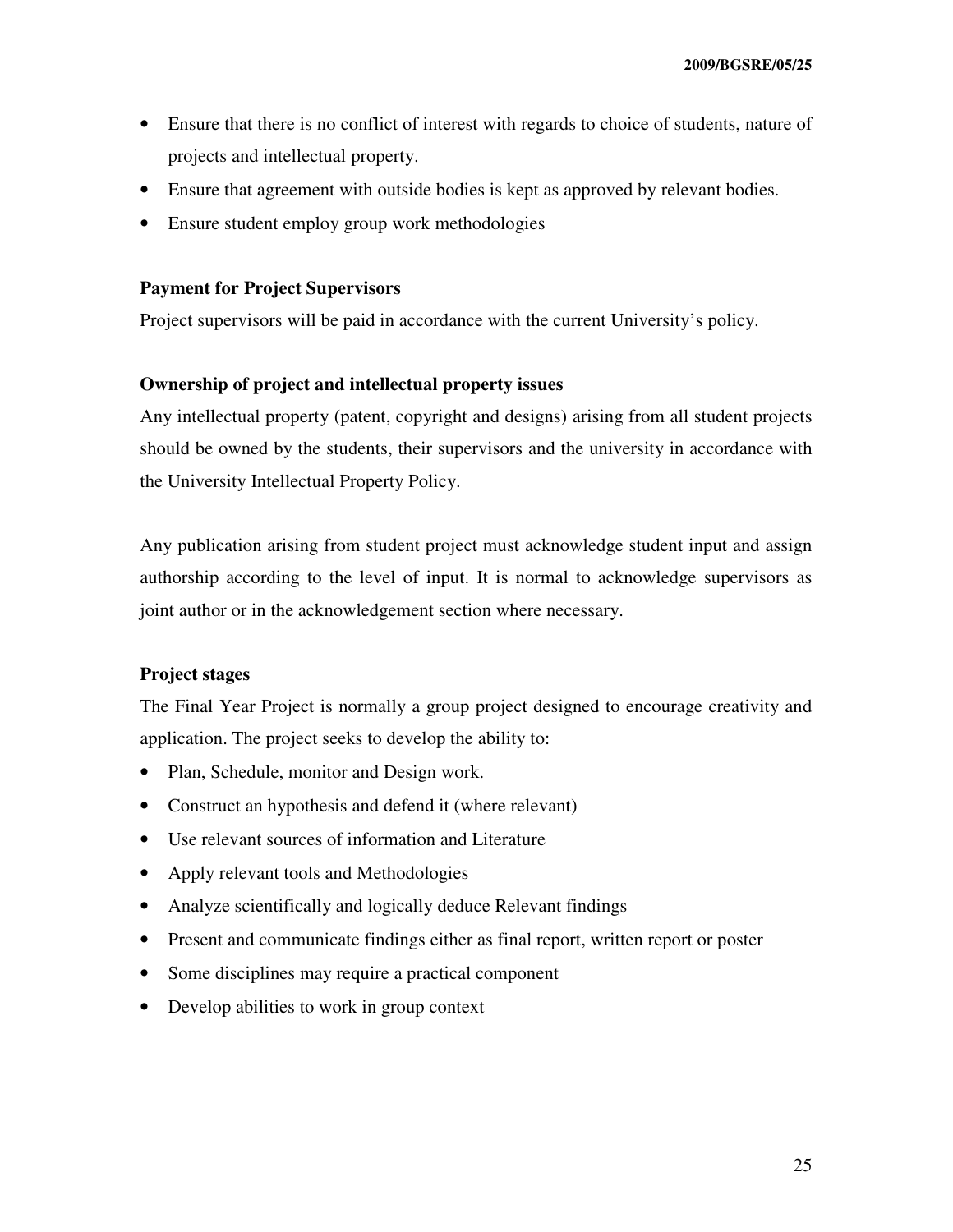- Ensure that there is no conflict of interest with regards to choice of students, nature of projects and intellectual property.
- Ensure that agreement with outside bodies is kept as approved by relevant bodies.
- Ensure student employ group work methodologies

#### **Payment for Project Supervisors**

Project supervisors will be paid in accordance with the current University's policy.

### **Ownership of project and intellectual property issues**

Any intellectual property (patent, copyright and designs) arising from all student projects should be owned by the students, their supervisors and the university in accordance with the University Intellectual Property Policy.

Any publication arising from student project must acknowledge student input and assign authorship according to the level of input. It is normal to acknowledge supervisors as joint author or in the acknowledgement section where necessary.

### **Project stages**

The Final Year Project is normally a group project designed to encourage creativity and application. The project seeks to develop the ability to:

- Plan, Schedule, monitor and Design work.
- Construct an hypothesis and defend it (where relevant)
- Use relevant sources of information and Literature
- Apply relevant tools and Methodologies
- Analyze scientifically and logically deduce Relevant findings
- Present and communicate findings either as final report, written report or poster
- Some disciplines may require a practical component
- Develop abilities to work in group context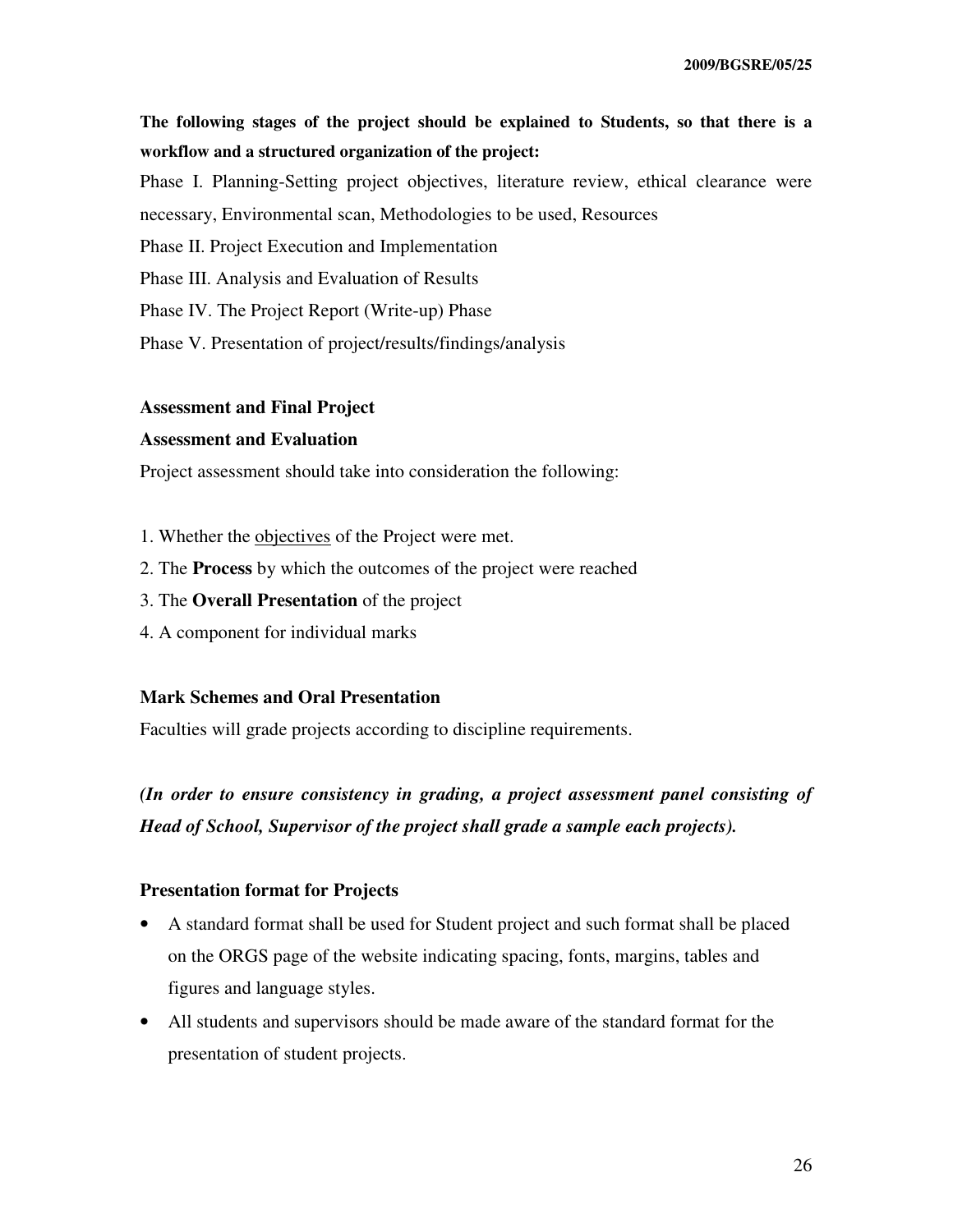# **The following stages of the project should be explained to Students, so that there is a workflow and a structured organization of the project:**

Phase I. Planning-Setting project objectives, literature review, ethical clearance were necessary, Environmental scan, Methodologies to be used, Resources

Phase II. Project Execution and Implementation

Phase III. Analysis and Evaluation of Results

Phase IV. The Project Report (Write-up) Phase

Phase V. Presentation of project/results/findings/analysis

#### **Assessment and Final Project**

#### **Assessment and Evaluation**

Project assessment should take into consideration the following:

- 1. Whether the objectives of the Project were met.
- 2. The **Process** by which the outcomes of the project were reached
- 3. The **Overall Presentation** of the project
- 4. A component for individual marks

# **Mark Schemes and Oral Presentation**

Faculties will grade projects according to discipline requirements.

*(In order to ensure consistency in grading, a project assessment panel consisting of Head of School, Supervisor of the project shall grade a sample each projects).* 

### **Presentation format for Projects**

- A standard format shall be used for Student project and such format shall be placed on the ORGS page of the website indicating spacing, fonts, margins, tables and figures and language styles.
- All students and supervisors should be made aware of the standard format for the presentation of student projects.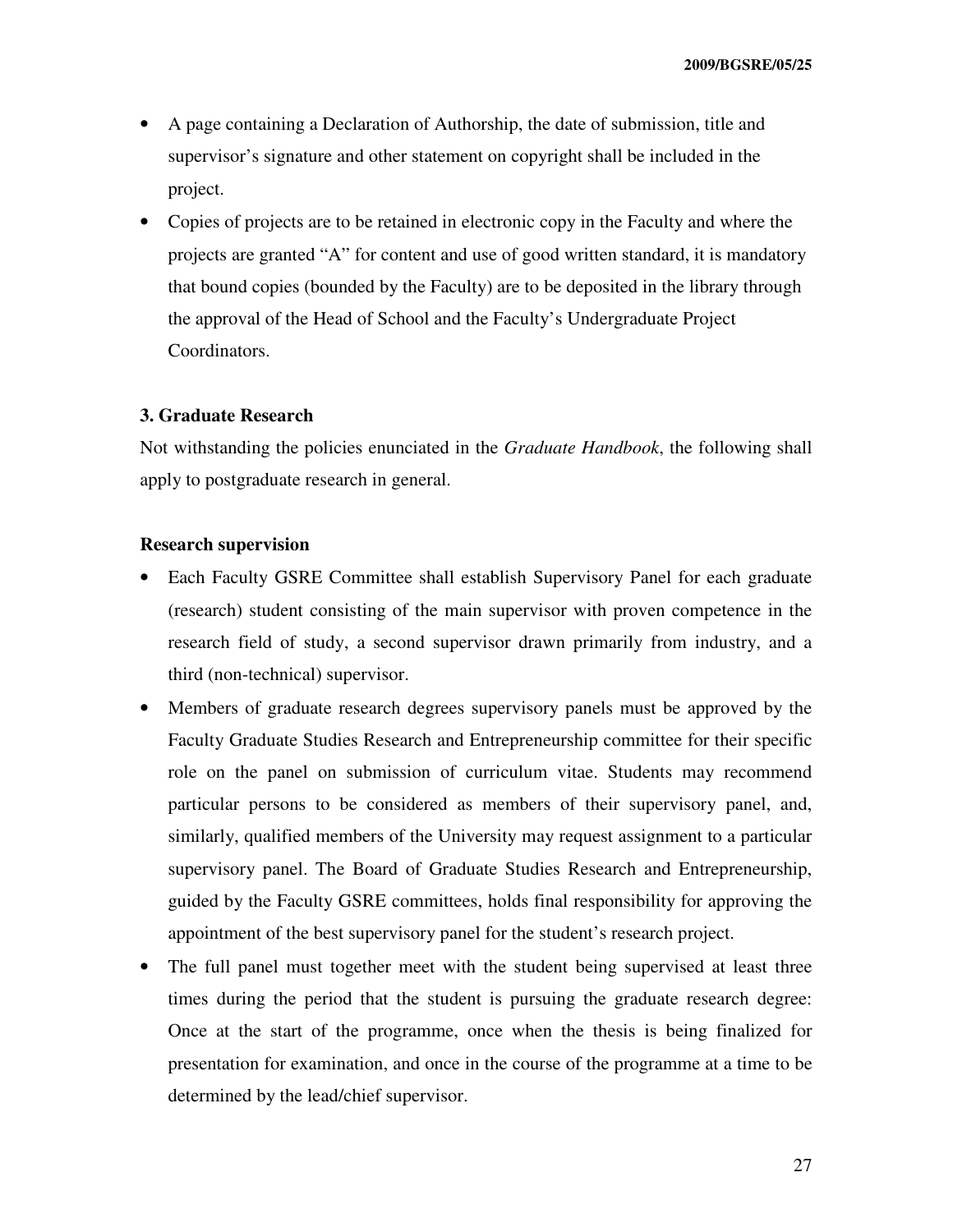- A page containing a Declaration of Authorship, the date of submission, title and supervisor's signature and other statement on copyright shall be included in the project.
- Copies of projects are to be retained in electronic copy in the Faculty and where the projects are granted "A" for content and use of good written standard, it is mandatory that bound copies (bounded by the Faculty) are to be deposited in the library through the approval of the Head of School and the Faculty's Undergraduate Project Coordinators.

#### **3. Graduate Research**

Not withstanding the policies enunciated in the *Graduate Handbook*, the following shall apply to postgraduate research in general.

#### **Research supervision**

- Each Faculty GSRE Committee shall establish Supervisory Panel for each graduate (research) student consisting of the main supervisor with proven competence in the research field of study, a second supervisor drawn primarily from industry, and a third (non-technical) supervisor.
- Members of graduate research degrees supervisory panels must be approved by the Faculty Graduate Studies Research and Entrepreneurship committee for their specific role on the panel on submission of curriculum vitae. Students may recommend particular persons to be considered as members of their supervisory panel, and, similarly, qualified members of the University may request assignment to a particular supervisory panel. The Board of Graduate Studies Research and Entrepreneurship, guided by the Faculty GSRE committees, holds final responsibility for approving the appointment of the best supervisory panel for the student's research project.
- The full panel must together meet with the student being supervised at least three times during the period that the student is pursuing the graduate research degree: Once at the start of the programme, once when the thesis is being finalized for presentation for examination, and once in the course of the programme at a time to be determined by the lead/chief supervisor.

27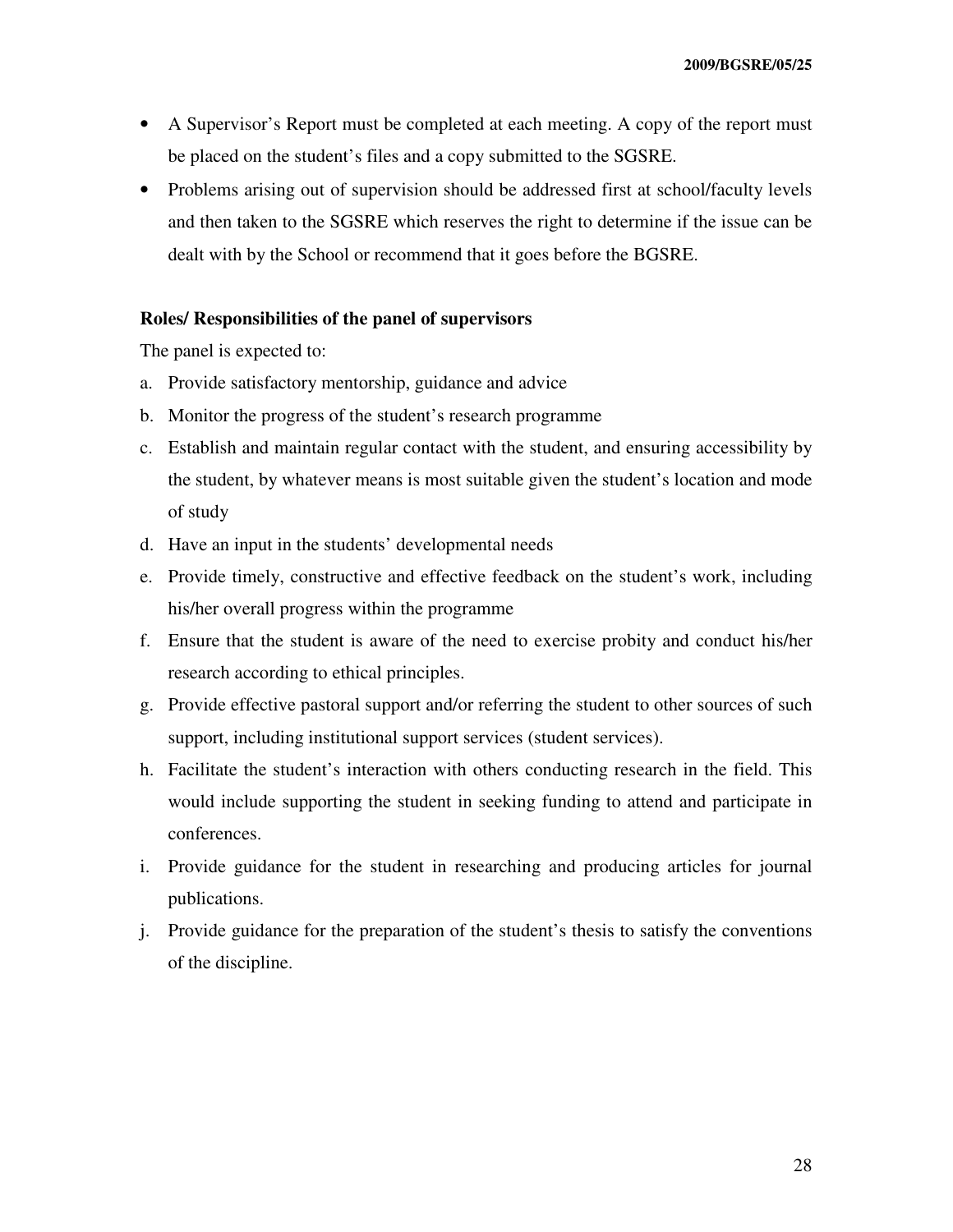- A Supervisor's Report must be completed at each meeting. A copy of the report must be placed on the student's files and a copy submitted to the SGSRE.
- Problems arising out of supervision should be addressed first at school/faculty levels and then taken to the SGSRE which reserves the right to determine if the issue can be dealt with by the School or recommend that it goes before the BGSRE.

#### **Roles/ Responsibilities of the panel of supervisors**

The panel is expected to:

- a. Provide satisfactory mentorship, guidance and advice
- b. Monitor the progress of the student's research programme
- c. Establish and maintain regular contact with the student, and ensuring accessibility by the student, by whatever means is most suitable given the student's location and mode of study
- d. Have an input in the students' developmental needs
- e. Provide timely, constructive and effective feedback on the student's work, including his/her overall progress within the programme
- f. Ensure that the student is aware of the need to exercise probity and conduct his/her research according to ethical principles.
- g. Provide effective pastoral support and/or referring the student to other sources of such support, including institutional support services (student services).
- h. Facilitate the student's interaction with others conducting research in the field. This would include supporting the student in seeking funding to attend and participate in conferences.
- i. Provide guidance for the student in researching and producing articles for journal publications.
- j. Provide guidance for the preparation of the student's thesis to satisfy the conventions of the discipline.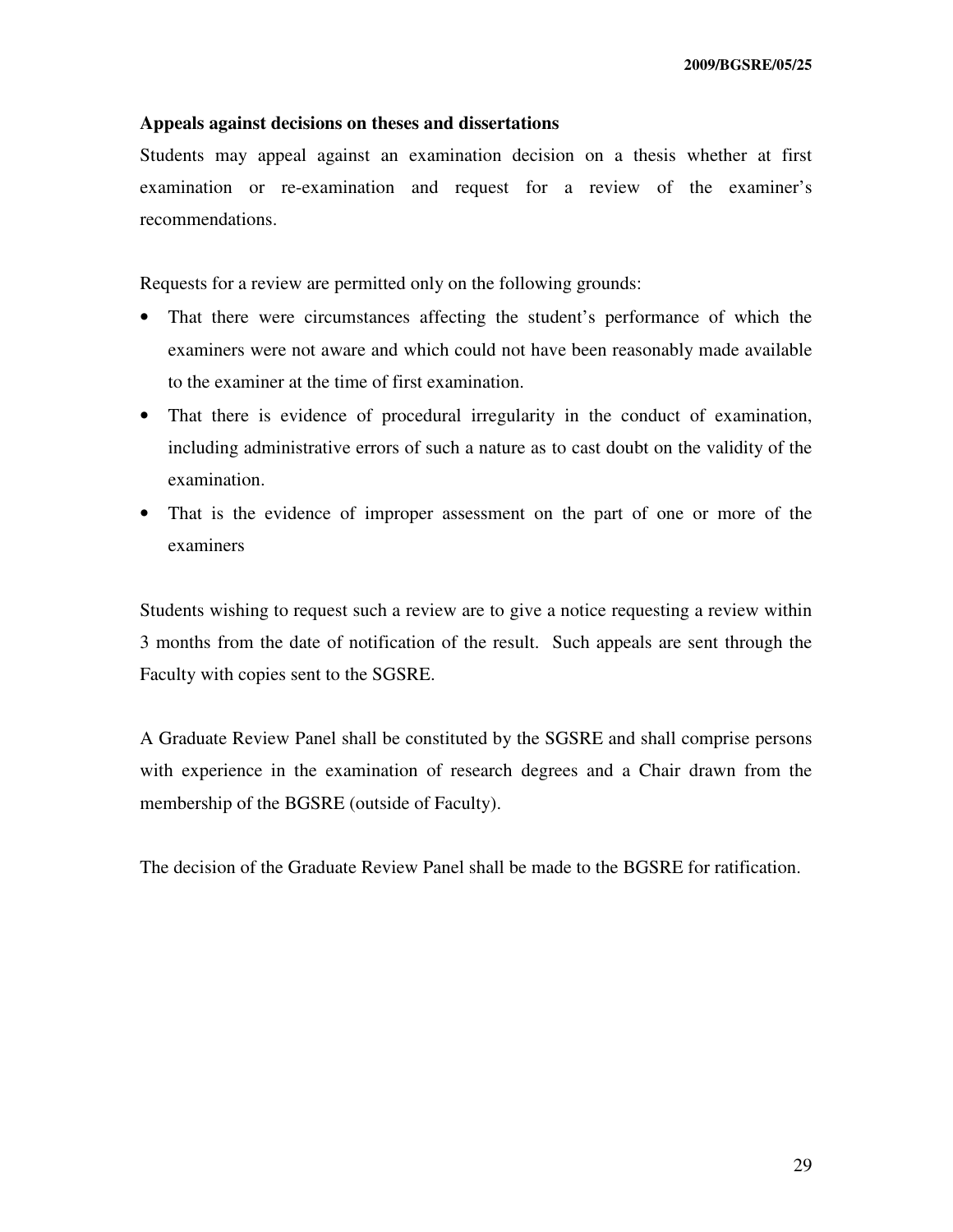#### **Appeals against decisions on theses and dissertations**

Students may appeal against an examination decision on a thesis whether at first examination or re-examination and request for a review of the examiner's recommendations.

Requests for a review are permitted only on the following grounds:

- That there were circumstances affecting the student's performance of which the examiners were not aware and which could not have been reasonably made available to the examiner at the time of first examination.
- That there is evidence of procedural irregularity in the conduct of examination, including administrative errors of such a nature as to cast doubt on the validity of the examination.
- That is the evidence of improper assessment on the part of one or more of the examiners

Students wishing to request such a review are to give a notice requesting a review within 3 months from the date of notification of the result. Such appeals are sent through the Faculty with copies sent to the SGSRE.

A Graduate Review Panel shall be constituted by the SGSRE and shall comprise persons with experience in the examination of research degrees and a Chair drawn from the membership of the BGSRE (outside of Faculty).

The decision of the Graduate Review Panel shall be made to the BGSRE for ratification.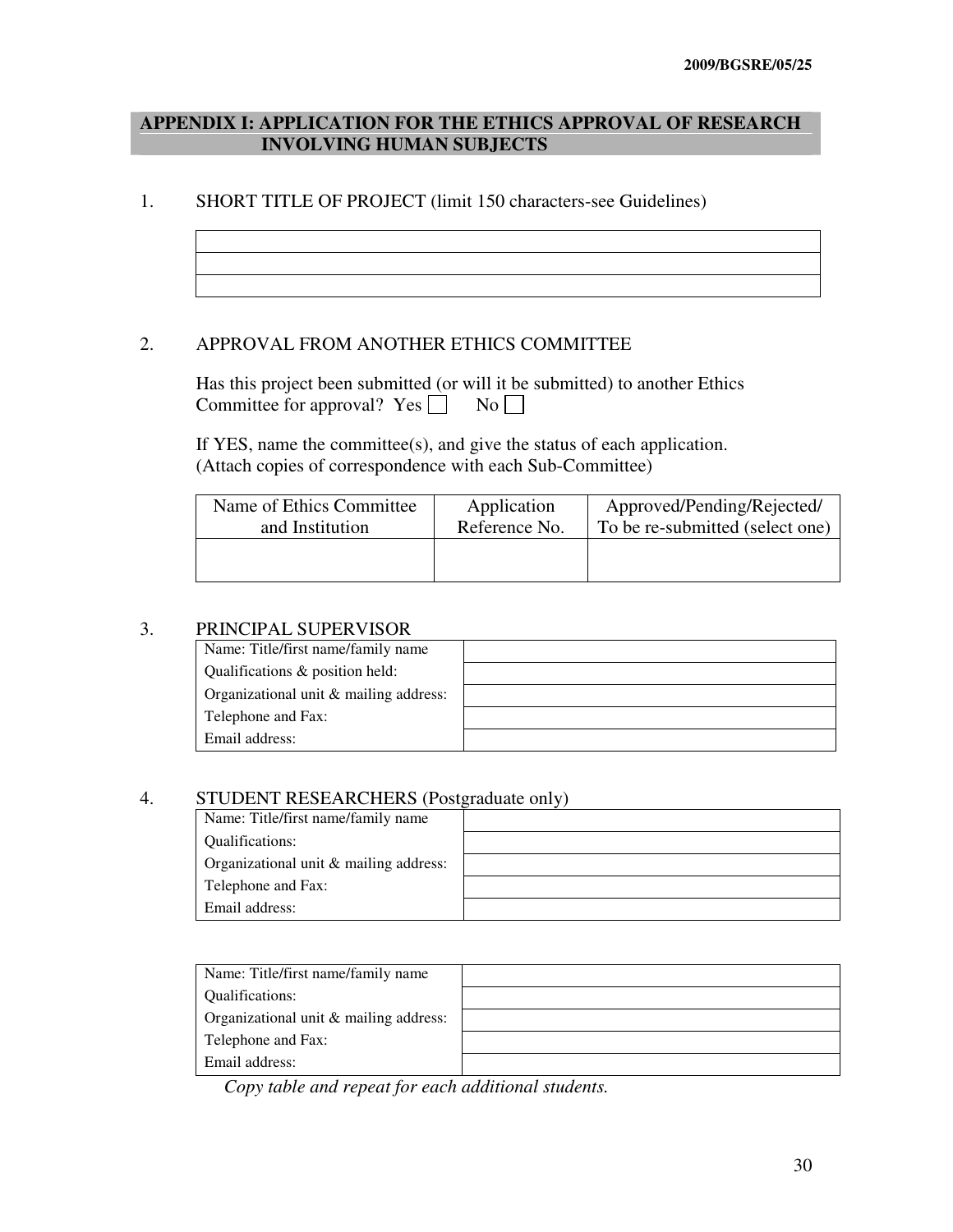# **APPENDIX I: APPLICATION FOR THE ETHICS APPROVAL OF RESEARCH INVOLVING HUMAN SUBJECTS**

#### 1. SHORT TITLE OF PROJECT (limit 150 characters-see Guidelines)

#### 2. APPROVAL FROM ANOTHER ETHICS COMMITTEE

 Has this project been submitted (or will it be submitted) to another Ethics Committee for approval? Yes  $\Box$  No  $\Box$ 

 If YES, name the committee(s), and give the status of each application. (Attach copies of correspondence with each Sub-Committee)

| Name of Ethics Committee | Application   | Approved/Pending/Rejected/      |
|--------------------------|---------------|---------------------------------|
| and Institution          | Reference No. | To be re-submitted (select one) |
|                          |               |                                 |
|                          |               |                                 |

#### 3. PRINCIPAL SUPERVISOR

| Name: Title/first name/family name     |  |
|----------------------------------------|--|
| Qualifications & position held:        |  |
| Organizational unit & mailing address: |  |
| Telephone and Fax:                     |  |
| Email address:                         |  |

#### 4. STUDENT RESEARCHERS (Postgraduate only)

| Name: Title/first name/family name     |  |
|----------------------------------------|--|
| Qualifications:                        |  |
| Organizational unit & mailing address: |  |
| Telephone and Fax:                     |  |
| Email address:                         |  |

| Name: Title/first name/family name     |  |
|----------------------------------------|--|
| <b>Oualifications:</b>                 |  |
| Organizational unit & mailing address: |  |
| Telephone and Fax:                     |  |
| Email address:                         |  |

*Copy table and repeat for each additional students.*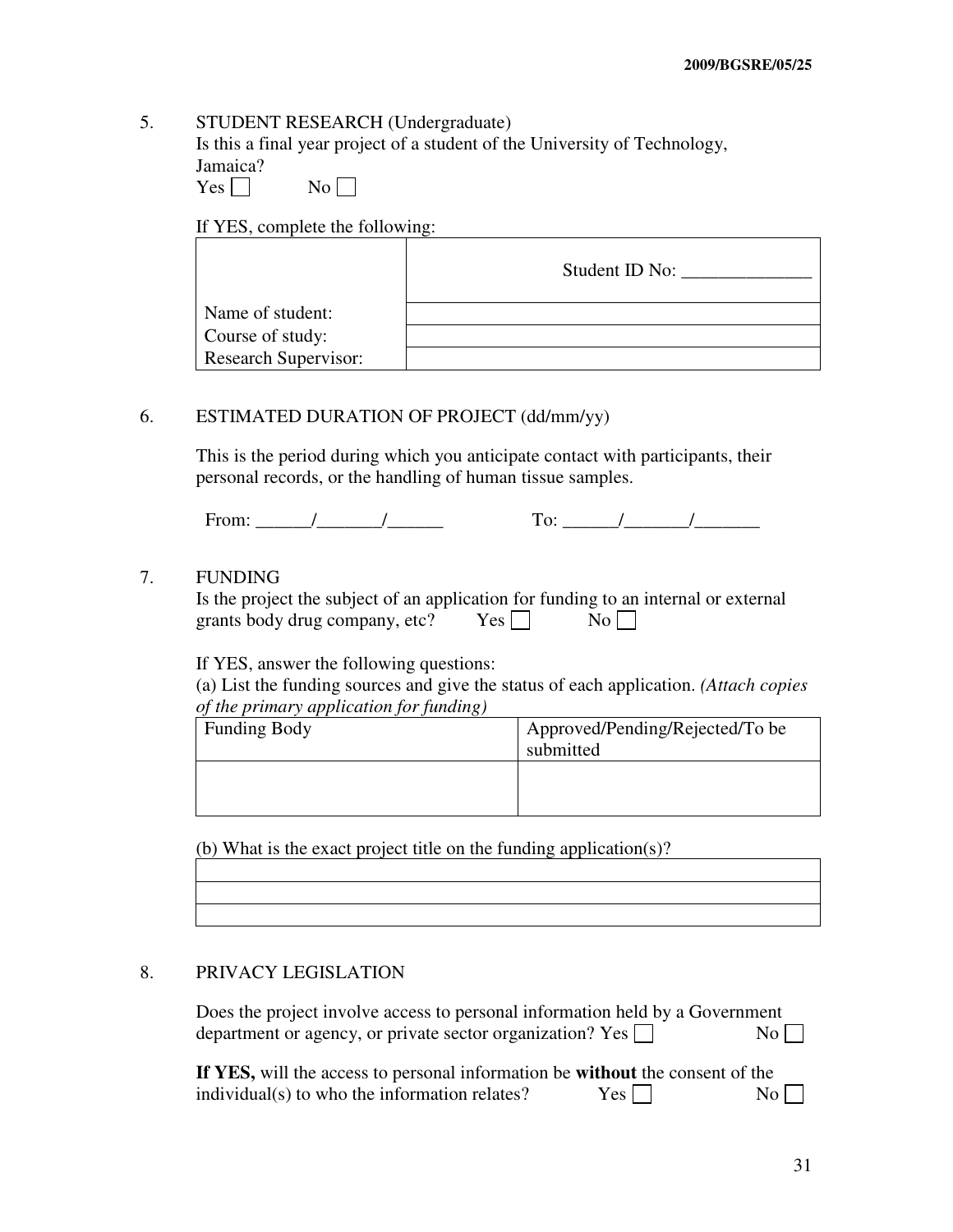# 5. STUDENT RESEARCH (Undergraduate)

 Is this a final year project of a student of the University of Technology, Jamaica?

| es |  | N٥ |
|----|--|----|
|----|--|----|

If YES, complete the following:

|                             | Student ID No: |
|-----------------------------|----------------|
| Name of student:            |                |
| Course of study:            |                |
| <b>Research Supervisor:</b> |                |

# 6. ESTIMATED DURATION OF PROJECT (dd/mm/yy)

 This is the period during which you anticipate contact with participants, their personal records, or the handling of human tissue samples.

From: \_\_\_\_\_\_/\_\_\_\_\_\_\_/\_\_\_\_\_\_ To: \_\_\_\_\_\_/\_\_\_\_\_\_\_/\_\_\_\_\_\_\_

#### 7. FUNDING

| Is the project the subject of an application for funding to an internal or external |            |                  |  |
|-------------------------------------------------------------------------------------|------------|------------------|--|
| grants body drug company, etc?                                                      | $Yes \Box$ | $\overline{N_0}$ |  |

If YES, answer the following questions:

 (a) List the funding sources and give the status of each application. *(Attach copies of the primary application for funding)* 

| <b>Funding Body</b> | Approved/Pending/Rejected/To be<br>submitted |
|---------------------|----------------------------------------------|
|                     |                                              |

(b) What is the exact project title on the funding application(s)?

#### 8. PRIVACY LEGISLATION

 Does the project involve access to personal information held by a Government department or agency, or private sector organization? Yes  $\Box$  No

| If YES, will the access to personal information be without the consent of the |       |    |
|-------------------------------------------------------------------------------|-------|----|
| individual(s) to who the information relates?                                 | Yes l | No |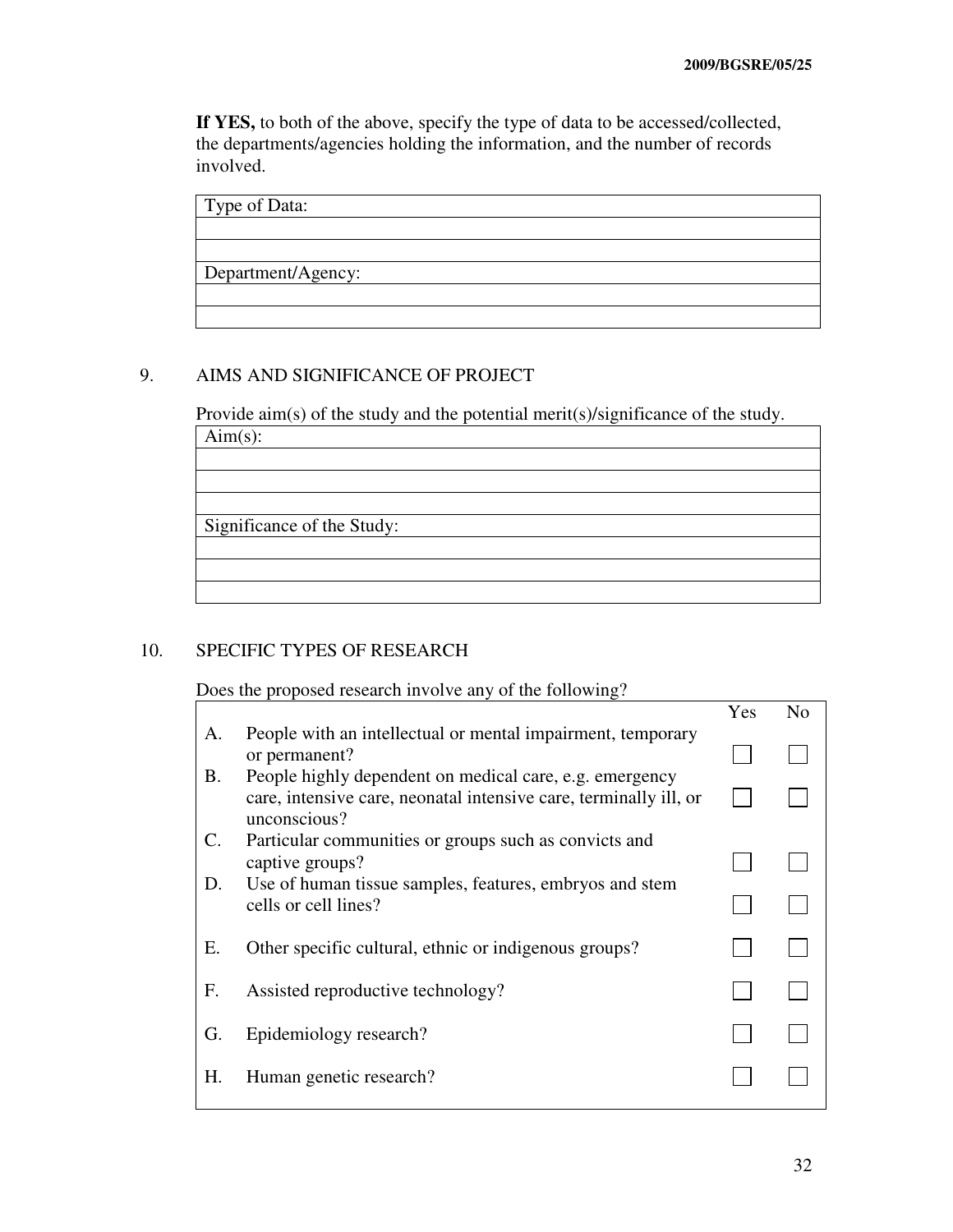**If YES,** to both of the above, specify the type of data to be accessed/collected, the departments/agencies holding the information, and the number of records involved.

| Type of Data:      |  |
|--------------------|--|
|                    |  |
|                    |  |
| Department/Agency: |  |
|                    |  |
|                    |  |

# 9. AIMS AND SIGNIFICANCE OF PROJECT

Provide aim(s) of the study and the potential merit(s)/significance of the study.

| $Aim(s)$ :                 |  |
|----------------------------|--|
|                            |  |
|                            |  |
|                            |  |
| Significance of the Study: |  |
|                            |  |
|                            |  |

# 10. SPECIFIC TYPES OF RESEARCH

Does the proposed research involve any of the following?

|    |                                                                                                                                              | Yes | N <sub>0</sub> |
|----|----------------------------------------------------------------------------------------------------------------------------------------------|-----|----------------|
| А. | People with an intellectual or mental impairment, temporary<br>or permanent?                                                                 |     |                |
| В. | People highly dependent on medical care, e.g. emergency<br>care, intensive care, neonatal intensive care, terminally ill, or<br>unconscious? |     |                |
| C. | Particular communities or groups such as convicts and<br>captive groups?                                                                     |     |                |
| D. | Use of human tissue samples, features, embryos and stem<br>cells or cell lines?                                                              |     |                |
| Е. | Other specific cultural, ethnic or indigenous groups?                                                                                        |     |                |
| F. | Assisted reproductive technology?                                                                                                            |     |                |
| G. | Epidemiology research?                                                                                                                       |     |                |
| Н. | Human genetic research?                                                                                                                      |     |                |
|    |                                                                                                                                              |     |                |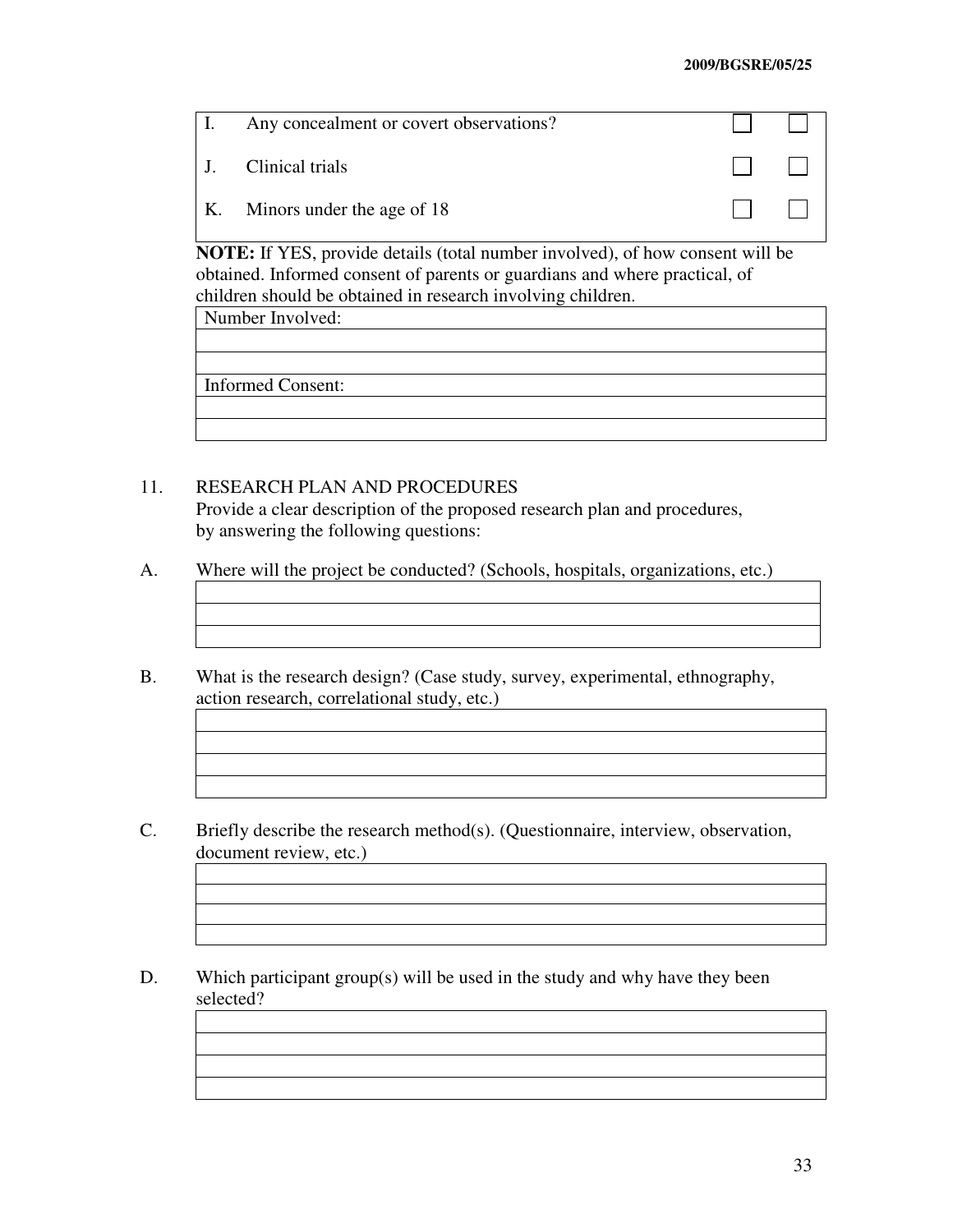| I. | Any concealment or covert observations? |                                                     |  |
|----|-----------------------------------------|-----------------------------------------------------|--|
|    | J. Clinical trials                      | $\mathbf{1}$ $\mathbf{1}$ $\mathbf{1}$ $\mathbf{1}$ |  |
|    | K. Minors under the age of 18           | $\mathbf{1}$ $\mathbf{1}$ $\mathbf{1}$ $\mathbf{1}$ |  |

**NOTE:** If YES, provide details (total number involved), of how consent will be obtained. Informed consent of parents or guardians and where practical, of children should be obtained in research involving children.

Number Involved:

Informed Consent:

# 11. RESEARCH PLAN AND PROCEDURES

 Provide a clear description of the proposed research plan and procedures, by answering the following questions:

- A. Where will the project be conducted? (Schools, hospitals, organizations, etc.)
- B. What is the research design? (Case study, survey, experimental, ethnography, action research, correlational study, etc.)
- C. Briefly describe the research method(s). (Questionnaire, interview, observation, document review, etc.)
- D. Which participant group(s) will be used in the study and why have they been selected?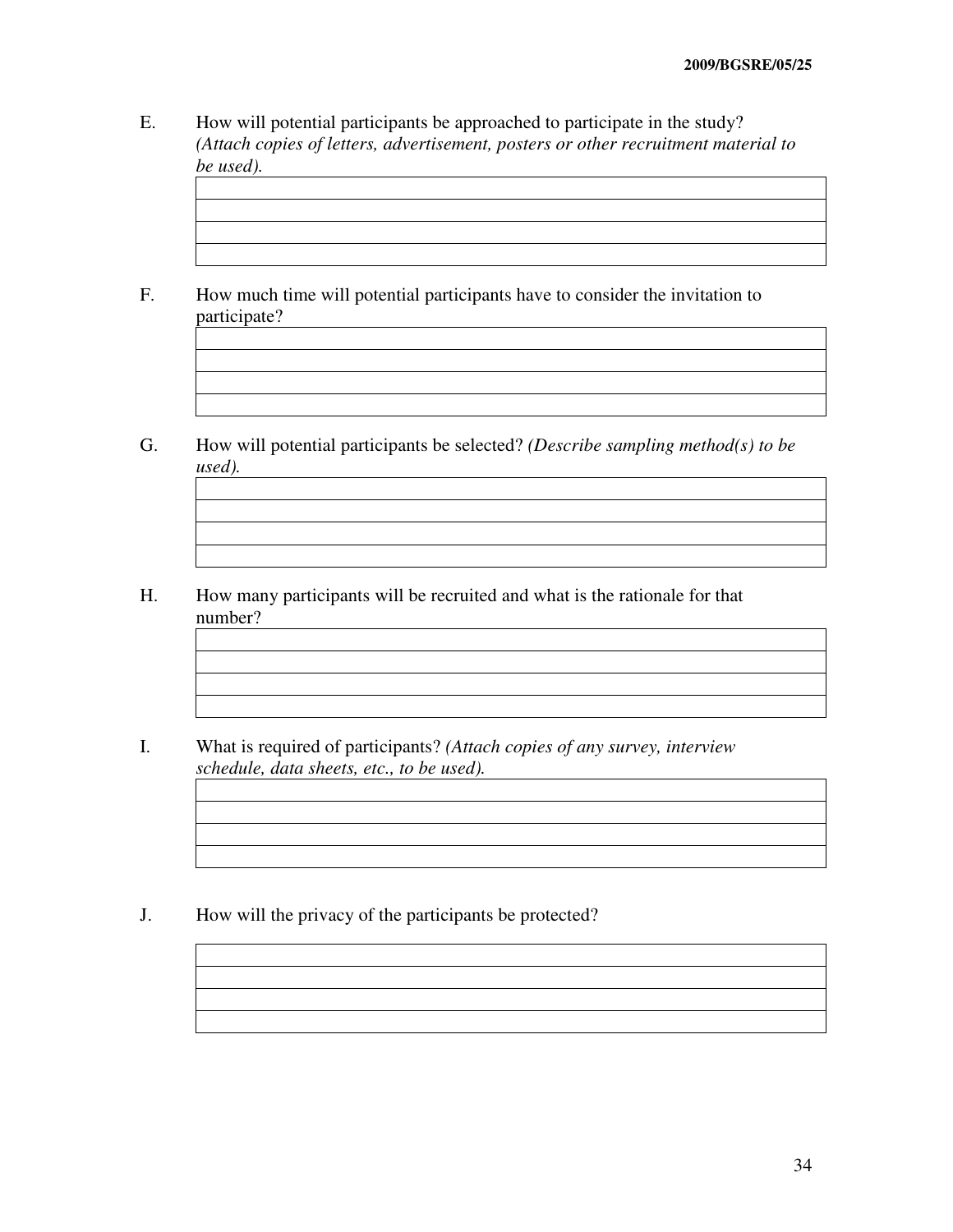- E. How will potential participants be approached to participate in the study? *(Attach copies of letters, advertisement, posters or other recruitment material to be used).*
- F. How much time will potential participants have to consider the invitation to participate?
- G. How will potential participants be selected? *(Describe sampling method(s) to be used).*
- H. How many participants will be recruited and what is the rationale for that number?
- I. What is required of participants? *(Attach copies of any survey, interview schedule, data sheets, etc., to be used).*

J. How will the privacy of the participants be protected?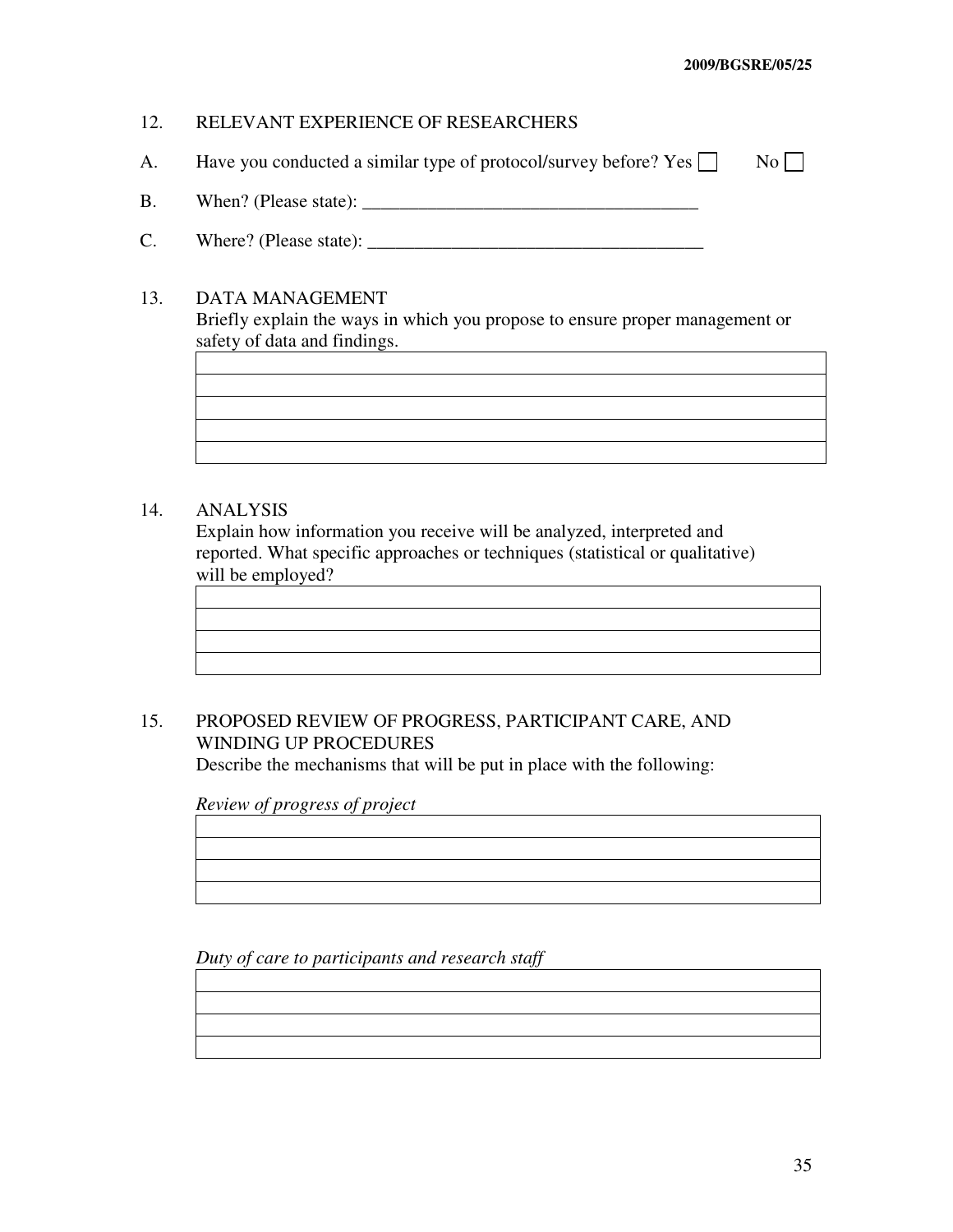# 12. RELEVANT EXPERIENCE OF RESEARCHERS

- A. Have you conducted a similar type of protocol/survey before? Yes  $\Box$  No  $\Box$
- B. When? (Please state): \_\_\_\_\_\_\_\_\_\_\_\_\_\_\_\_\_\_\_\_\_\_\_\_\_\_\_\_\_\_\_\_\_\_\_\_
- C. Where? (Please state): \_\_\_\_\_\_\_\_\_\_\_\_\_\_\_\_\_\_\_\_\_\_\_\_\_\_\_\_\_\_\_\_\_\_\_\_

### 13. DATA MANAGEMENT

 Briefly explain the ways in which you propose to ensure proper management or safety of data and findings.

# 14. ANALYSIS

 Explain how information you receive will be analyzed, interpreted and reported. What specific approaches or techniques (statistical or qualitative) will be employed?

# 15. PROPOSED REVIEW OF PROGRESS, PARTICIPANT CARE, AND WINDING UP PROCEDURES

Describe the mechanisms that will be put in place with the following:

 *Review of progress of project* 

 *Duty of care to participants and research staff*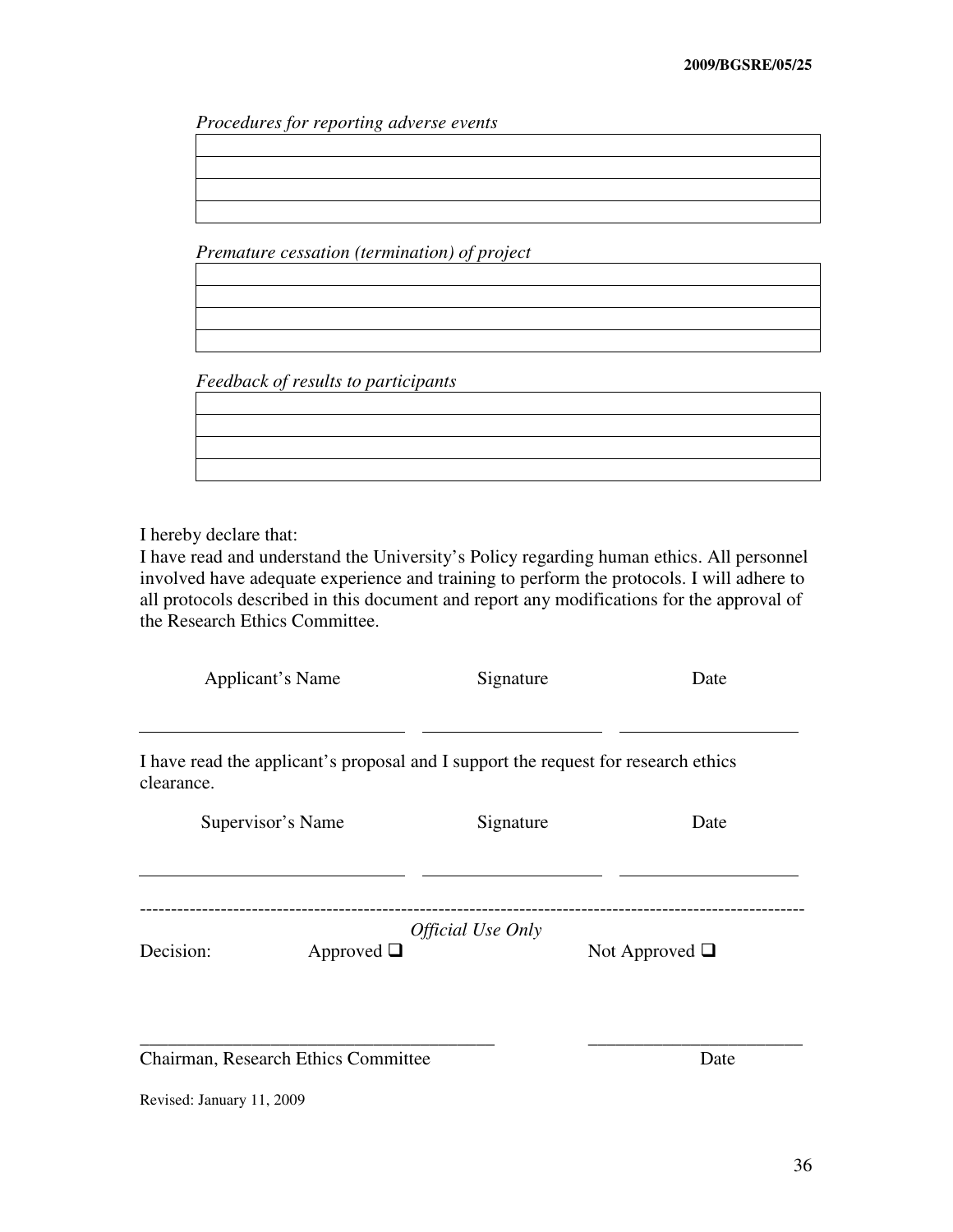*Procedures for reporting adverse events*

 *Premature cessation (termination) of project* 

*Feedback of results to participants* 

I hereby declare that:

I have read and understand the University's Policy regarding human ethics. All personnel involved have adequate experience and training to perform the protocols. I will adhere to all protocols described in this document and report any modifications for the approval of the Research Ethics Committee.

|            | Applicant's Name                    | Signature                                                                          | Date                |
|------------|-------------------------------------|------------------------------------------------------------------------------------|---------------------|
| clearance. |                                     | I have read the applicant's proposal and I support the request for research ethics |                     |
|            | Supervisor's Name                   | Signature                                                                          | Date                |
| Decision:  | Approved $\Box$                     | <i><b>Official Use Only</b></i>                                                    | Not Approved $\Box$ |
|            | Chairman, Research Ethics Committee |                                                                                    | Date                |

Revised: January 11, 2009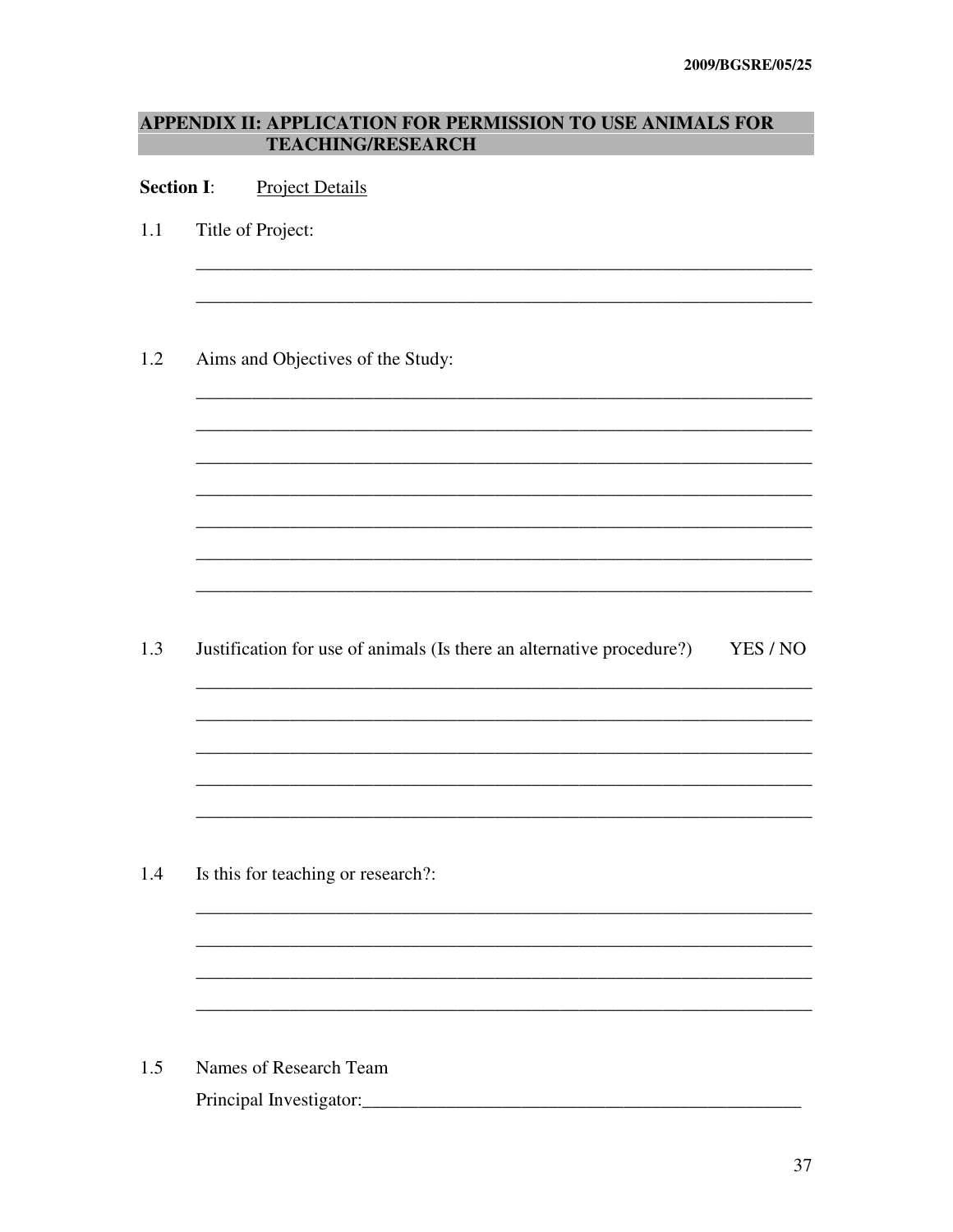# APPENDIX II: APPLICATION FOR PERMISSION TO USE ANIMALS FOR **TEACHING/RESEARCH**

#### **Section I: Project Details**

- $1.1$ Title of Project:
- 1.2 Aims and Objectives of the Study:

1.3 Justification for use of animals (Is there an alternative procedure?) YES / NO

1.4 Is this for teaching or research?:

 $1.5$ Names of Research Team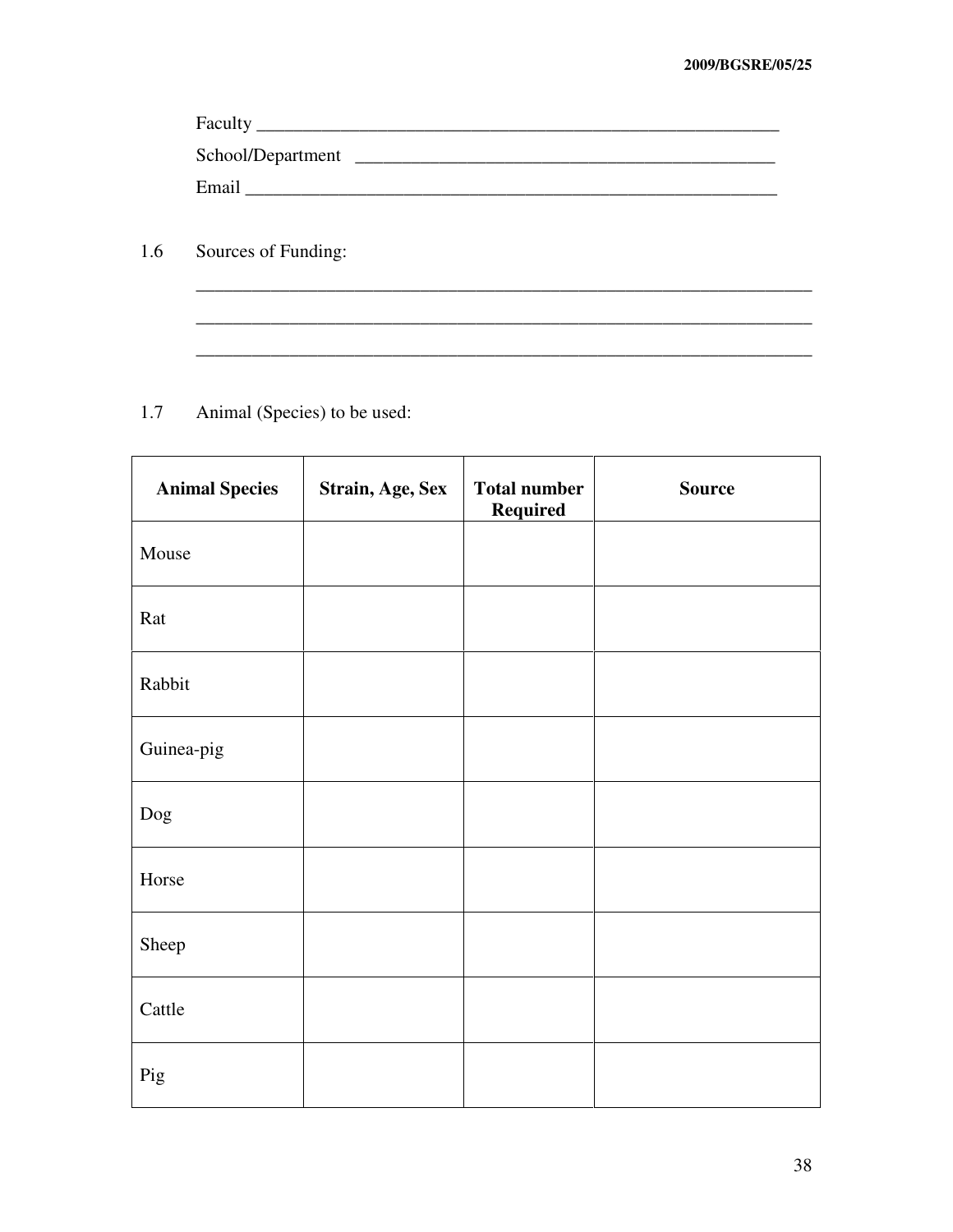| Faculty           |  |
|-------------------|--|
| School/Department |  |
| Email             |  |

\_\_\_\_\_\_\_\_\_\_\_\_\_\_\_\_\_\_\_\_\_\_\_\_\_\_\_\_\_\_\_\_\_\_\_\_\_\_\_\_\_\_\_\_\_\_\_\_\_\_\_\_\_\_\_\_\_\_\_\_\_\_\_\_\_\_

\_\_\_\_\_\_\_\_\_\_\_\_\_\_\_\_\_\_\_\_\_\_\_\_\_\_\_\_\_\_\_\_\_\_\_\_\_\_\_\_\_\_\_\_\_\_\_\_\_\_\_\_\_\_\_\_\_\_\_\_\_\_\_\_\_\_

 $\mathcal{L}_\text{max} = \mathcal{L}_\text{max} = \mathcal{L}_\text{max} = \mathcal{L}_\text{max} = \mathcal{L}_\text{max} = \mathcal{L}_\text{max} = \mathcal{L}_\text{max} = \mathcal{L}_\text{max} = \mathcal{L}_\text{max} = \mathcal{L}_\text{max} = \mathcal{L}_\text{max} = \mathcal{L}_\text{max} = \mathcal{L}_\text{max} = \mathcal{L}_\text{max} = \mathcal{L}_\text{max} = \mathcal{L}_\text{max} = \mathcal{L}_\text{max} = \mathcal{L}_\text{max} = \mathcal{$ 

1.6 Sources of Funding:

1.7 Animal (Species) to be used:

| <b>Animal Species</b> | Strain, Age, Sex | <b>Total number</b><br><b>Required</b> | <b>Source</b> |
|-----------------------|------------------|----------------------------------------|---------------|
| Mouse                 |                  |                                        |               |
| Rat                   |                  |                                        |               |
| Rabbit                |                  |                                        |               |
| Guinea-pig            |                  |                                        |               |
| Dog                   |                  |                                        |               |
| Horse                 |                  |                                        |               |
| Sheep                 |                  |                                        |               |
| Cattle                |                  |                                        |               |
| Pig                   |                  |                                        |               |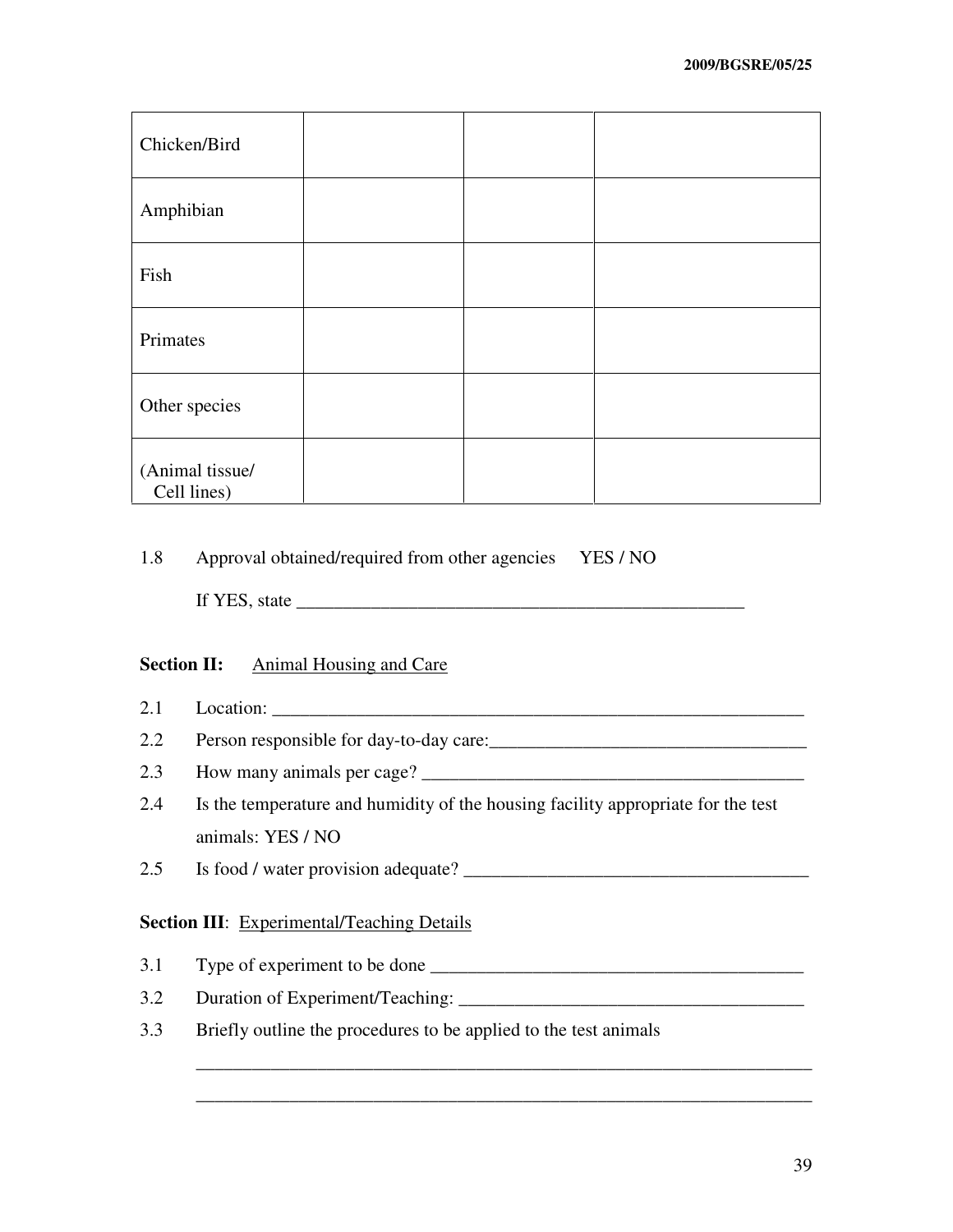| Chicken/Bird                   |  |  |
|--------------------------------|--|--|
| Amphibian                      |  |  |
| Fish                           |  |  |
| Primates                       |  |  |
| Other species                  |  |  |
| (Animal tissue/<br>Cell lines) |  |  |

# 1.8 Approval obtained/required from other agencies YES / NO

If YES, state  $\frac{1}{\sqrt{1-\frac{1}{2}}}\left\{ \frac{1}{2}, \frac{1}{2}, \frac{1}{2}, \frac{1}{2}, \ldots, \frac{1}{2}\right\}$ 

# **Section II:** Animal Housing and Care

- 2.1 Location: \_\_\_\_\_\_\_\_\_\_\_\_\_\_\_\_\_\_\_\_\_\_\_\_\_\_\_\_\_\_\_\_\_\_\_\_\_\_\_\_\_\_\_\_\_\_\_\_\_\_\_\_\_\_\_\_\_
- 2.2 Person responsible for day-to-day care:\_\_\_\_\_\_\_\_\_\_\_\_\_\_\_\_\_\_\_\_\_\_\_\_\_\_\_\_\_\_\_\_\_\_
- 2.3 How many animals per cage? \_\_\_\_\_\_\_\_\_\_\_\_\_\_\_\_\_\_\_\_\_\_\_\_\_\_\_\_\_\_\_\_\_\_\_\_\_\_\_\_\_
- 2.4 Is the temperature and humidity of the housing facility appropriate for the test animals: YES / NO

\_\_\_\_\_\_\_\_\_\_\_\_\_\_\_\_\_\_\_\_\_\_\_\_\_\_\_\_\_\_\_\_\_\_\_\_\_\_\_\_\_\_\_\_\_\_\_\_\_\_\_\_\_\_\_\_\_\_\_\_\_\_\_\_\_\_

\_\_\_\_\_\_\_\_\_\_\_\_\_\_\_\_\_\_\_\_\_\_\_\_\_\_\_\_\_\_\_\_\_\_\_\_\_\_\_\_\_\_\_\_\_\_\_\_\_\_\_\_\_\_\_\_\_\_\_\_\_\_\_\_\_\_

2.5 Is food / water provision adequate? \_\_\_\_\_\_\_\_\_\_\_\_\_\_\_\_\_\_\_\_\_\_\_\_\_\_\_\_\_\_\_\_\_\_\_\_\_

# **Section III:** Experimental/Teaching Details

- 3.1 Type of experiment to be done \_\_\_\_\_\_\_\_\_\_\_\_\_\_\_\_\_\_\_\_\_\_\_\_\_\_\_\_\_\_\_\_\_\_\_\_\_\_\_\_
- 3.2 Duration of Experiment/Teaching: \_\_\_\_\_\_\_\_\_\_\_\_\_\_\_\_\_\_\_\_\_\_\_\_\_\_\_\_\_\_\_\_\_\_\_\_\_
- 3.3 Briefly outline the procedures to be applied to the test animals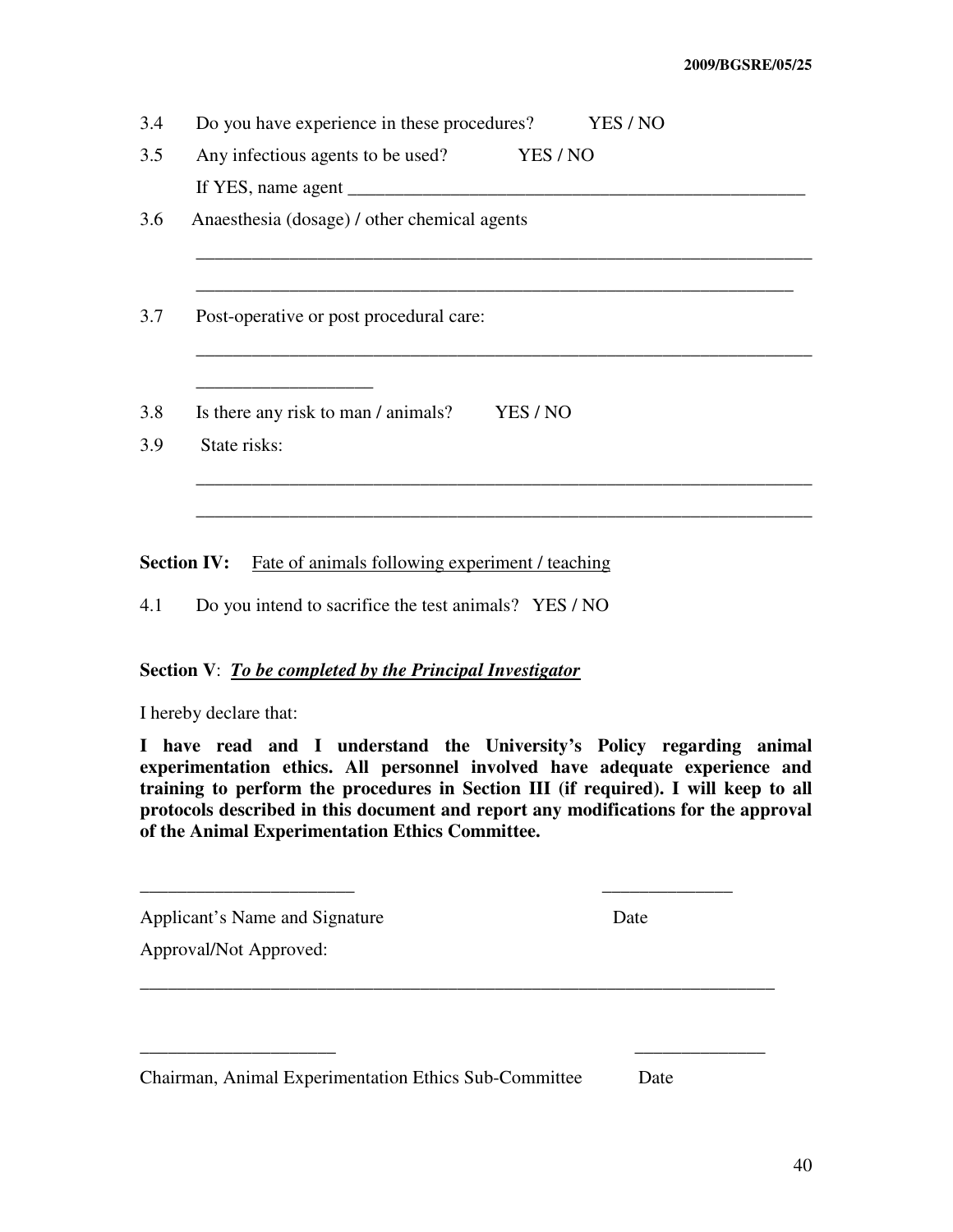3.4 Do you have experience in these procedures? YES / NO 3.5 Any infectious agents to be used? YES / NO If YES, name agent \_\_\_\_\_\_\_\_\_\_\_\_\_\_\_\_\_\_\_\_\_\_\_\_\_\_\_\_\_\_\_\_\_\_\_\_\_\_\_\_\_\_\_\_\_\_\_\_\_ 3.6 Anaesthesia (dosage) / other chemical agents \_\_\_\_\_\_\_\_\_\_\_\_\_\_\_\_\_\_\_\_\_\_\_\_\_\_\_\_\_\_\_\_\_\_\_\_\_\_\_\_\_\_\_\_\_\_\_\_\_\_\_\_\_\_\_\_\_\_\_\_\_\_\_\_\_\_ \_\_\_\_\_\_\_\_\_\_\_\_\_\_\_\_\_\_\_\_\_\_\_\_\_\_\_\_\_\_\_\_\_\_\_\_\_\_\_\_\_\_\_\_\_\_\_\_\_\_\_\_\_\_\_\_\_\_\_\_\_\_\_\_ 3.7 Post-operative or post procedural care: \_\_\_\_\_\_\_\_\_\_\_\_\_\_\_\_\_\_\_\_\_\_\_\_\_\_\_\_\_\_\_\_\_\_\_\_\_\_\_\_\_\_\_\_\_\_\_\_\_\_\_\_\_\_\_\_\_\_\_\_\_\_\_\_\_\_ \_\_\_\_\_\_\_\_\_\_\_\_\_\_\_\_\_\_\_ 3.8 Is there any risk to man / animals? YES / NO 3.9 State risks: \_\_\_\_\_\_\_\_\_\_\_\_\_\_\_\_\_\_\_\_\_\_\_\_\_\_\_\_\_\_\_\_\_\_\_\_\_\_\_\_\_\_\_\_\_\_\_\_\_\_\_\_\_\_\_\_\_\_\_\_\_\_\_\_\_\_ \_\_\_\_\_\_\_\_\_\_\_\_\_\_\_\_\_\_\_\_\_\_\_\_\_\_\_\_\_\_\_\_\_\_\_\_\_\_\_\_\_\_\_\_\_\_\_\_\_\_\_\_\_\_\_\_\_\_\_\_\_\_\_\_\_\_

**Section IV:** Fate of animals following experiment / teaching

4.1 Do you intend to sacrifice the test animals? YES / NO

### **Section V**: *To be completed by the Principal Investigator*

I hereby declare that:

**I have read and I understand the University's Policy regarding animal experimentation ethics. All personnel involved have adequate experience and training to perform the procedures in Section III (if required). I will keep to all protocols described in this document and report any modifications for the approval of the Animal Experimentation Ethics Committee.**

\_\_\_\_\_\_\_\_\_\_\_\_\_\_\_\_\_\_\_\_\_\_\_ \_\_\_\_\_\_\_\_\_\_\_\_\_\_

\_\_\_\_\_\_\_\_\_\_\_\_\_\_\_\_\_\_\_\_\_\_\_\_\_\_\_\_\_\_\_\_\_\_\_\_\_\_\_\_\_\_\_\_\_\_\_\_\_\_\_\_\_\_\_\_\_\_\_\_\_\_\_\_\_\_\_\_

\_\_\_\_\_\_\_\_\_\_\_\_\_\_\_\_\_\_\_\_\_ \_\_\_\_\_\_\_\_\_\_\_\_\_\_

Applicant's Name and Signature Date

Approval/Not Approved:

Chairman, Animal Experimentation Ethics Sub-Committee Date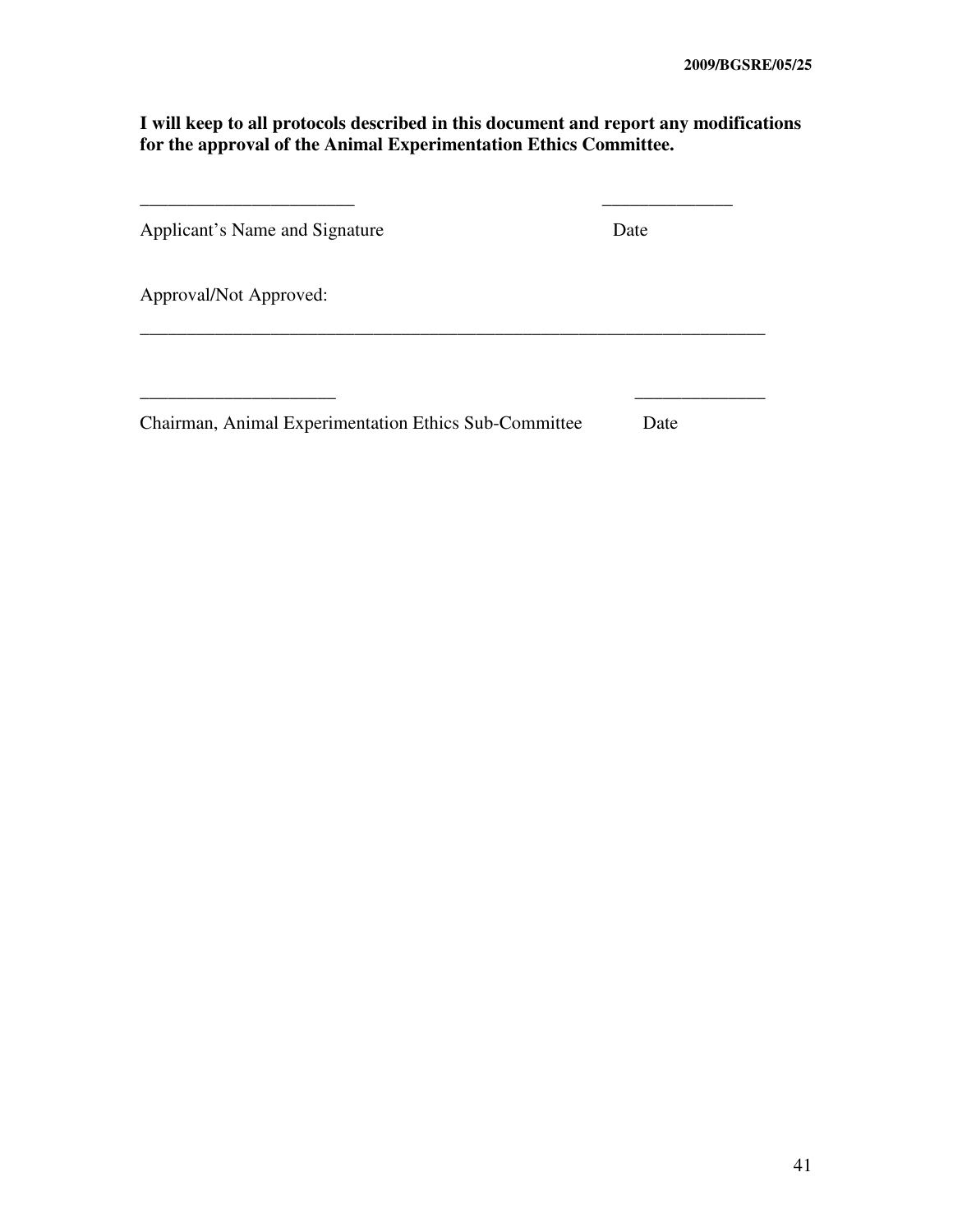# **I will keep to all protocols described in this document and report any modifications for the approval of the Animal Experimentation Ethics Committee.**

| Applicant's Name and Signature                        | Date |
|-------------------------------------------------------|------|
| Approval/Not Approved:                                |      |
|                                                       |      |
| Chairman, Animal Experimentation Ethics Sub-Committee | Date |

 $\overline{\phantom{a}}$  ,  $\overline{\phantom{a}}$  ,  $\overline{\phantom{a}}$  ,  $\overline{\phantom{a}}$  ,  $\overline{\phantom{a}}$  ,  $\overline{\phantom{a}}$  ,  $\overline{\phantom{a}}$  ,  $\overline{\phantom{a}}$  ,  $\overline{\phantom{a}}$  ,  $\overline{\phantom{a}}$  ,  $\overline{\phantom{a}}$  ,  $\overline{\phantom{a}}$  ,  $\overline{\phantom{a}}$  ,  $\overline{\phantom{a}}$  ,  $\overline{\phantom{a}}$  ,  $\overline{\phantom{a}}$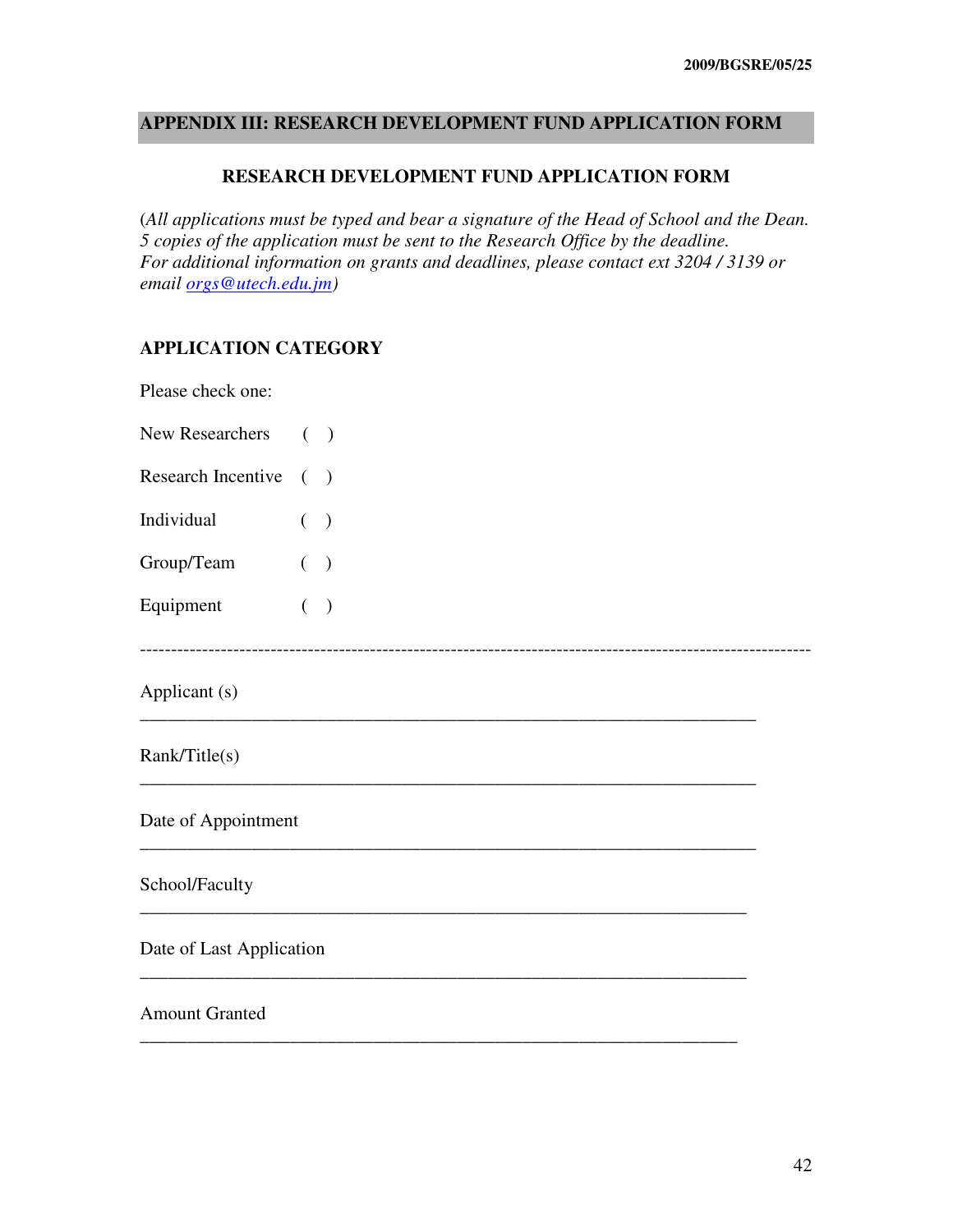# **APPENDIX III: RESEARCH DEVELOPMENT FUND APPLICATION FORM**

#### **RESEARCH DEVELOPMENT FUND APPLICATION FORM**

(*All applications must be typed and bear a signature of the Head of School and the Dean. 5 copies of the application must be sent to the Research Office by the deadline. For additional information on grants and deadlines, please contact ext 3204 / 3139 or email orgs@utech.edu.jm)* 

------------------------------------------------------------------------------------------------------------

\_\_\_\_\_\_\_\_\_\_\_\_\_\_\_\_\_\_\_\_\_\_\_\_\_\_\_\_\_\_\_\_\_\_\_\_\_\_\_\_\_\_\_\_\_\_\_\_\_\_\_\_\_\_\_\_\_\_\_\_\_\_\_\_\_\_

\_\_\_\_\_\_\_\_\_\_\_\_\_\_\_\_\_\_\_\_\_\_\_\_\_\_\_\_\_\_\_\_\_\_\_\_\_\_\_\_\_\_\_\_\_\_\_\_\_\_\_\_\_\_\_\_\_\_\_\_\_\_\_\_\_\_

\_\_\_\_\_\_\_\_\_\_\_\_\_\_\_\_\_\_\_\_\_\_\_\_\_\_\_\_\_\_\_\_\_\_\_\_\_\_\_\_\_\_\_\_\_\_\_\_\_\_\_\_\_\_\_\_\_\_\_\_\_\_\_\_\_\_

\_\_\_\_\_\_\_\_\_\_\_\_\_\_\_\_\_\_\_\_\_\_\_\_\_\_\_\_\_\_\_\_\_\_\_\_\_\_\_\_\_\_\_\_\_\_\_\_\_\_\_\_\_\_\_\_\_\_\_\_\_\_\_\_\_

\_\_\_\_\_\_\_\_\_\_\_\_\_\_\_\_\_\_\_\_\_\_\_\_\_\_\_\_\_\_\_\_\_\_\_\_\_\_\_\_\_\_\_\_\_\_\_\_\_\_\_\_\_\_\_\_\_\_\_\_\_\_\_\_\_

\_\_\_\_\_\_\_\_\_\_\_\_\_\_\_\_\_\_\_\_\_\_\_\_\_\_\_\_\_\_\_\_\_\_\_\_\_\_\_\_\_\_\_\_\_\_\_\_\_\_\_\_\_\_\_\_\_\_\_\_\_\_\_\_

# **APPLICATION CATEGORY**

Please check one:

| <b>New Researchers</b> |  |
|------------------------|--|
|                        |  |

- Research Incentive ( )
- Individual ( )

Group/Team ( )

Equipment ( )

Applicant (s)

Rank/Title(s)

Date of Appointment

### School/Faculty

Date of Last Application

#### Amount Granted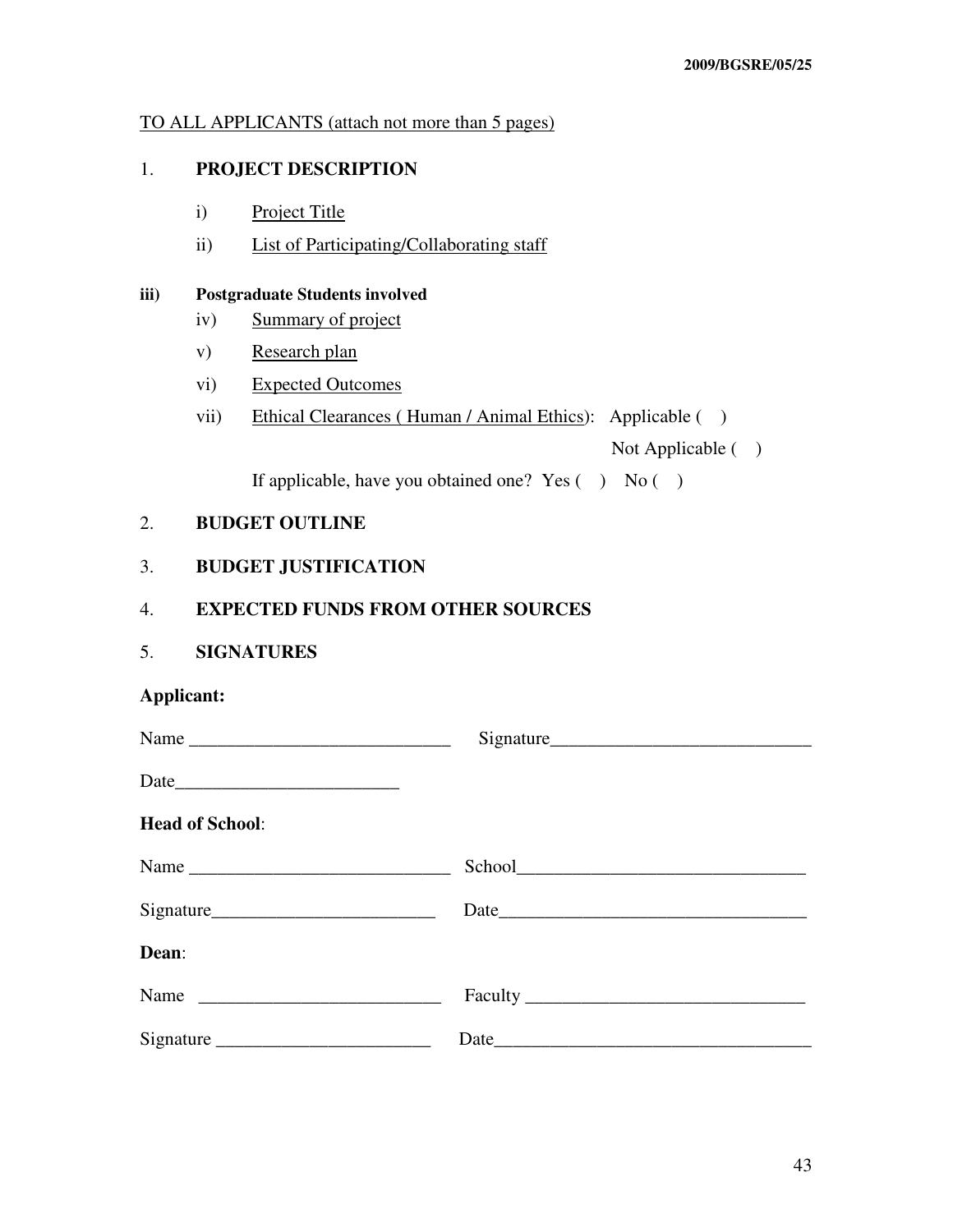# TO ALL APPLICANTS (attach not more than 5 pages)

# 1. **PROJECT DESCRIPTION**

- i) Project Title
- ii) List of Participating/Collaborating staff

#### **iii) Postgraduate Students involved**

- iv) Summary of project
- v) Research plan
- vi) Expected Outcomes
- vii) Ethical Clearances (Human / Animal Ethics): Applicable ()

Not Applicable ( )

If applicable, have you obtained one? Yes  $( )$  No  $( )$ 

# 2. **BUDGET OUTLINE**

# 3. **BUDGET JUSTIFICATION**

# 4. **EXPECTED FUNDS FROM OTHER SOURCES**

5. **SIGNATURES** 

# **Applicant:**

|                        | Signature |
|------------------------|-----------|
|                        |           |
| <b>Head of School:</b> |           |
| Name                   |           |
|                        |           |
| Dean:                  |           |
|                        |           |
| Signature              |           |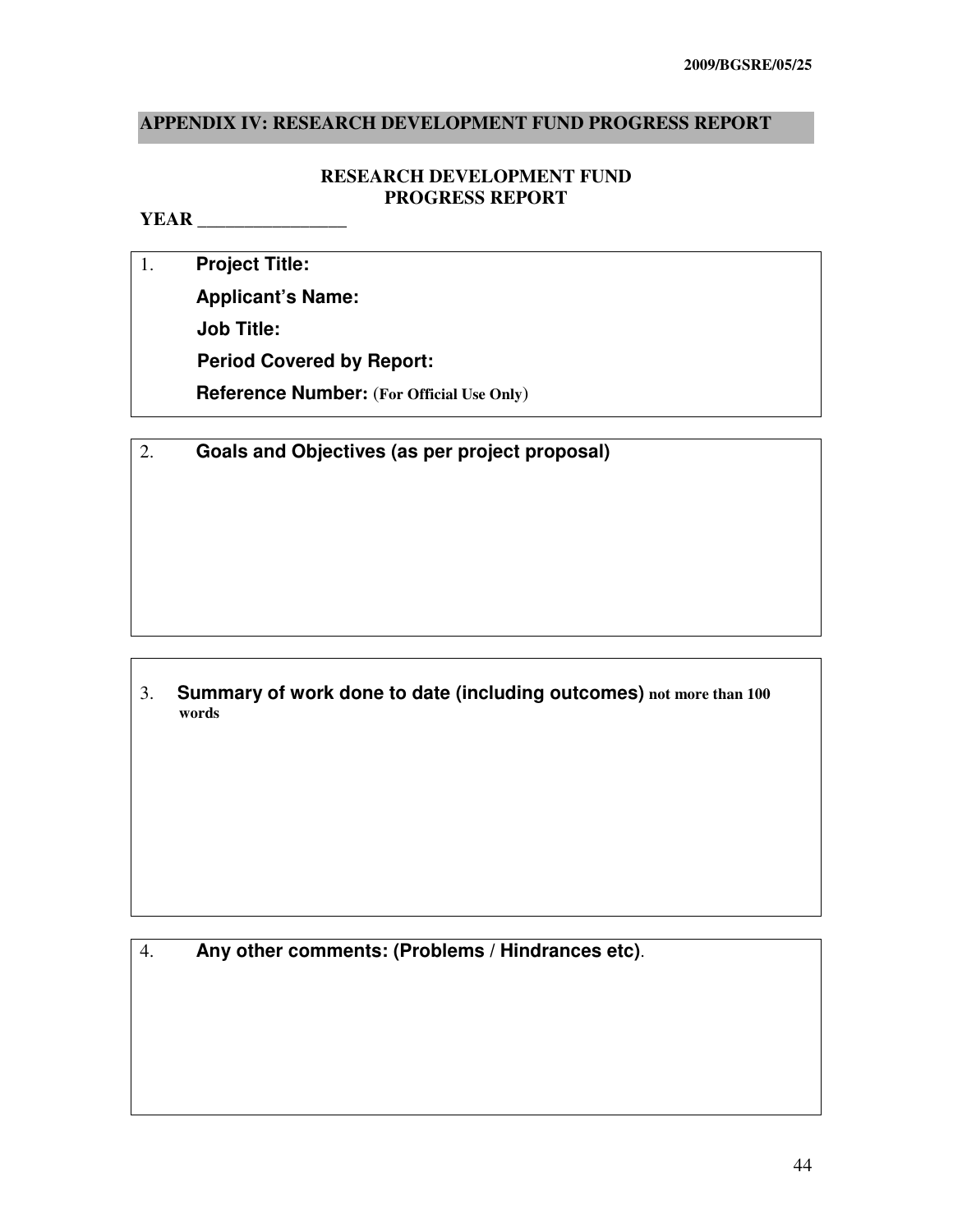# **APPENDIX IV: RESEARCH DEVELOPMENT FUND PROGRESS REPORT**

# **RESEARCH DEVELOPMENT FUND PROGRESS REPORT**

# **YEAR** \_\_\_\_\_\_\_\_\_\_\_\_\_\_\_\_

- 1. **Project Title: Applicant's Name: Job Title: Period Covered by Report:** 
	- **Reference Number:** (**For Official Use Only**)
- 2. **Goals and Objectives (as per project proposal)**

3. **Summary of work done to date (including outcomes) not more than 100 words** 

4. **Any other comments: (Problems / Hindrances etc)**.